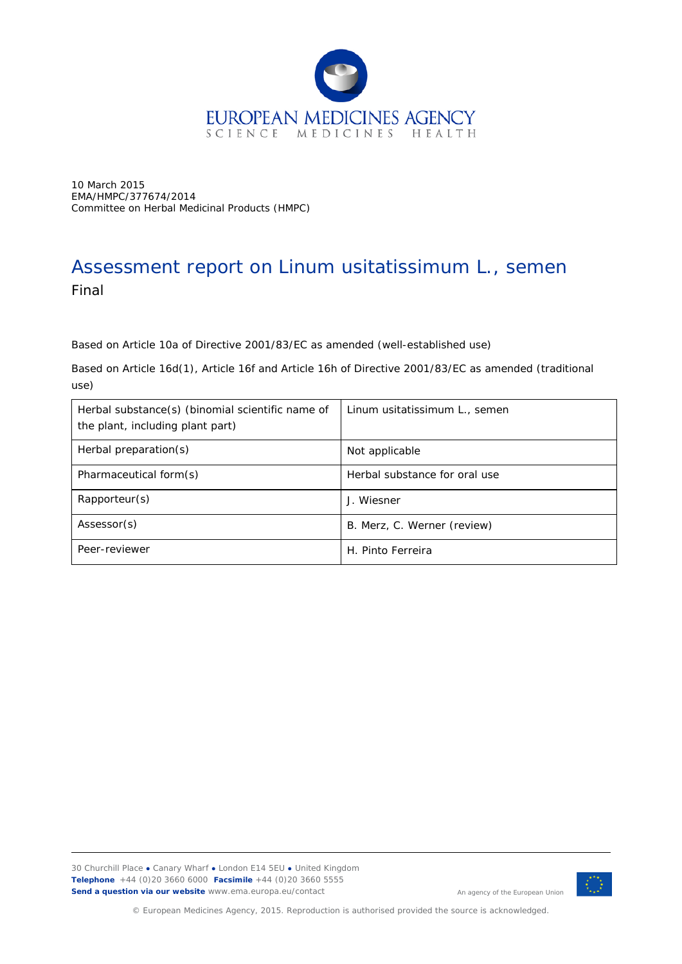

10 March 2015 EMA/HMPC/377674/2014 Committee on Herbal Medicinal Products (HMPC)

# Assessment report on *Linum usitatissimum* L., semen Final

Based on Article 10a of Directive 2001/83/EC as amended (well-established use)

Based on Article 16d(1), Article 16f and Article 16h of Directive 2001/83/EC as amended (traditional use)

| Herbal substance(s) (binomial scientific name of<br>the plant, including plant part) | Linum usitatissimum L., semen |
|--------------------------------------------------------------------------------------|-------------------------------|
| Herbal preparation(s)                                                                | Not applicable                |
| Pharmaceutical form(s)                                                               | Herbal substance for oral use |
| Rapporteur(s)                                                                        | J. Wiesner                    |
| Assessor(s)                                                                          | B. Merz, C. Werner (review)   |
| Peer-reviewer                                                                        | H. Pinto Ferreira             |

30 Churchill Place **●** Canary Wharf **●** London E14 5EU **●** United Kingdom **Telephone** +44 (0)20 3660 6000 **Facsimile** +44 (0)20 3660 5555 **Send a question via our website** www.ema.europa.eu/contact



An agency of the European Union

© European Medicines Agency, 2015. Reproduction is authorised provided the source is acknowledged.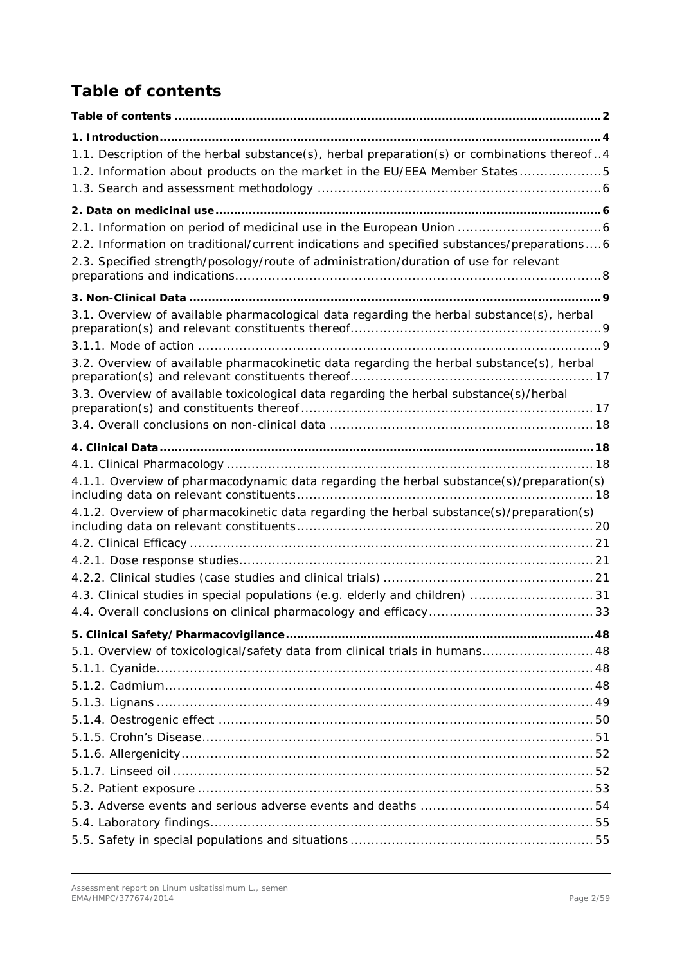# <span id="page-1-0"></span>*Table of contents*

| 1.1. Description of the herbal substance(s), herbal preparation(s) or combinations thereof4 |
|---------------------------------------------------------------------------------------------|
| 1.2. Information about products on the market in the EU/EEA Member States5                  |
|                                                                                             |
|                                                                                             |
|                                                                                             |
| 2.2. Information on traditional/current indications and specified substances/preparations6  |
| 2.3. Specified strength/posology/route of administration/duration of use for relevant       |
|                                                                                             |
|                                                                                             |
| 3.1. Overview of available pharmacological data regarding the herbal substance(s), herbal   |
|                                                                                             |
| 3.2. Overview of available pharmacokinetic data regarding the herbal substance(s), herbal   |
| 3.3. Overview of available toxicological data regarding the herbal substance(s)/herbal      |
|                                                                                             |
|                                                                                             |
|                                                                                             |
| 4.1.1. Overview of pharmacodynamic data regarding the herbal substance(s)/preparation(s)    |
| 4.1.2. Overview of pharmacokinetic data regarding the herbal substance(s)/preparation(s)    |
|                                                                                             |
|                                                                                             |
|                                                                                             |
|                                                                                             |
| 4.3. Clinical studies in special populations (e.g. elderly and children) 31                 |
|                                                                                             |
|                                                                                             |
| 5.1. Overview of toxicological/safety data from clinical trials in humans 48                |
|                                                                                             |
|                                                                                             |
|                                                                                             |
|                                                                                             |
|                                                                                             |
|                                                                                             |
|                                                                                             |
|                                                                                             |
|                                                                                             |
|                                                                                             |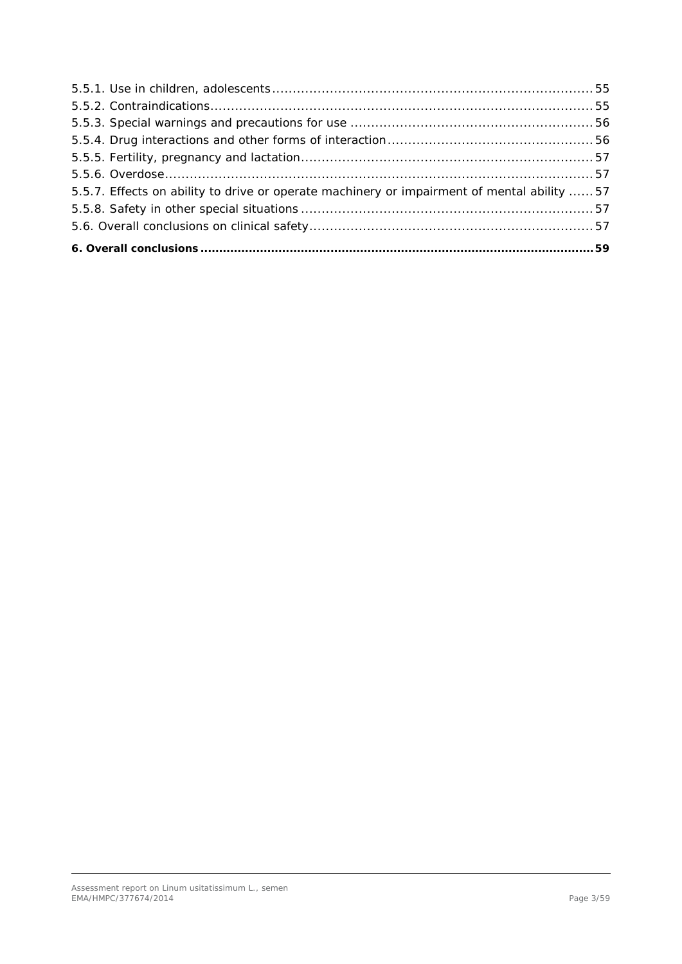| 5.5.7. Effects on ability to drive or operate machinery or impairment of mental ability  57 |  |
|---------------------------------------------------------------------------------------------|--|
|                                                                                             |  |
|                                                                                             |  |
|                                                                                             |  |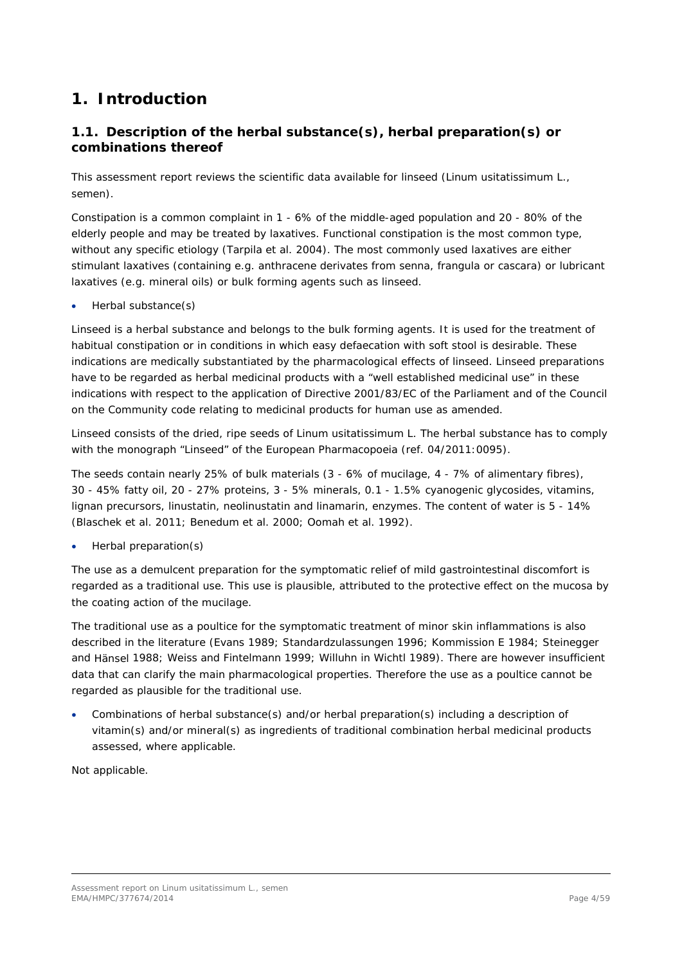# <span id="page-3-0"></span>**1. Introduction**

# <span id="page-3-1"></span>*1.1. Description of the herbal substance(s), herbal preparation(s) or combinations thereof*

This assessment report reviews the scientific data available for linseed (*Linum usitatissimum* L., semen).

Constipation is a common complaint in 1 - 6% of the middle-aged population and 20 - 80% of the elderly people and may be treated by laxatives. Functional constipation is the most common type, without any specific etiology (Tarpila *et al.* 2004). The most commonly used laxatives are either stimulant laxatives (containing e.g. anthracene derivates from senna, frangula or cascara) or lubricant laxatives (e.g. mineral oils) or bulk forming agents such as linseed.

• Herbal substance(s)

Linseed is a herbal substance and belongs to the bulk forming agents. It is used for the treatment of habitual constipation or in conditions in which easy defaecation with soft stool is desirable. These indications are medically substantiated by the pharmacological effects of linseed. Linseed preparations have to be regarded as herbal medicinal products with a "well established medicinal use" in these indications with respect to the application of Directive 2001/83/EC of the Parliament and of the Council on the Community code relating to medicinal products for human use as amended.

Linseed consists of the dried, ripe seeds of *Linum usitatissimum* L. The herbal substance has to comply with the monograph "Linseed" of the European Pharmacopoeia (ref. 04/2011:0095).

The seeds contain nearly 25% of bulk materials (3 - 6% of mucilage, 4 - 7% of alimentary fibres), 30 - 45% fatty oil, 20 - 27% proteins, 3 - 5% minerals, 0.1 - 1.5% cyanogenic glycosides, vitamins, lignan precursors, linustatin, neolinustatin and linamarin, enzymes. The content of water is 5 - 14% (Blaschek e*t al.* 2011; Benedum *et al.* 2000; Oomah *et al.* 1992).

• Herbal preparation(s)

The use as a demulcent preparation for the symptomatic relief of mild gastrointestinal discomfort is regarded as a traditional use. This use is plausible, attributed to the protective effect on the mucosa by the coating action of the mucilage.

The traditional use as a poultice for the symptomatic treatment of minor skin inflammations is also described in the literature (Evans 1989; Standardzulassungen 1996; Kommission E 1984; Steinegger and Hänsel 1988; Weiss and Fintelmann 1999; Willuhn in Wichtl 1989). There are however insufficient data that can clarify the main pharmacological properties. Therefore the use as a poultice cannot be regarded as plausible for the traditional use.

• Combinations of herbal substance(s) and/or herbal preparation(s) including a description of vitamin(s) and/or mineral(s) as ingredients of traditional combination herbal medicinal products assessed, where applicable.

Not applicable.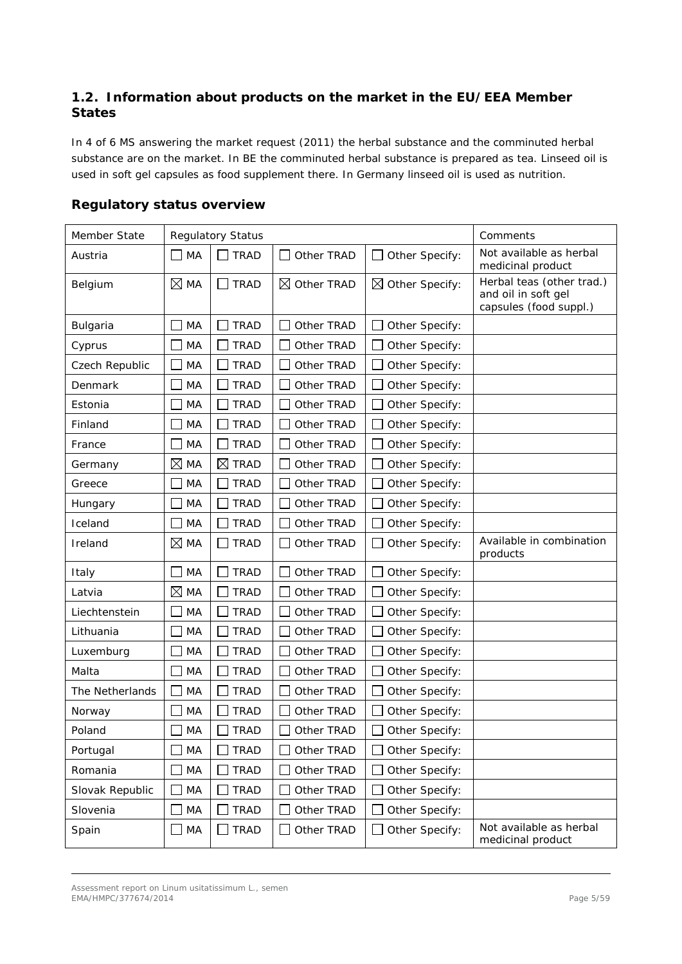# <span id="page-4-0"></span>*1.2. Information about products on the market in the EU/EEA Member States*

In 4 of 6 MS answering the market request (2011) the herbal substance and the comminuted herbal substance are on the market. In BE the comminuted herbal substance is prepared as tea. Linseed oil is used in soft gel capsules as food supplement there. In Germany linseed oil is used as nutrition.

| Member State    | <b>Regulatory Status</b> |                  |                        |                            | Comments                                                                   |
|-----------------|--------------------------|------------------|------------------------|----------------------------|----------------------------------------------------------------------------|
| Austria         | MA                       | <b>TRAD</b>      | Other TRAD             | Other Specify:             | Not available as herbal<br>medicinal product                               |
| Belgium         | $\boxtimes$ MA           | <b>TRAD</b>      | $\boxtimes$ Other TRAD | $\boxtimes$ Other Specify: | Herbal teas (other trad.)<br>and oil in soft gel<br>capsules (food suppl.) |
| Bulgaria        | MA                       | <b>TRAD</b>      | Other TRAD             | Other Specify:             |                                                                            |
| Cyprus          | MA                       | <b>TRAD</b>      | Other TRAD             | Other Specify:             |                                                                            |
| Czech Republic  | MA                       | <b>TRAD</b>      | Other TRAD             | Other Specify:             |                                                                            |
| Denmark         | MA                       | <b>TRAD</b>      | Other TRAD             | Other Specify:             |                                                                            |
| Estonia         | MA                       | <b>TRAD</b>      | Other TRAD             | Other Specify:             |                                                                            |
| Finland         | MA                       | <b>TRAD</b>      | Other TRAD             | Other Specify:             |                                                                            |
| France          | MA                       | <b>TRAD</b>      | Other TRAD             | Other Specify:             |                                                                            |
| Germany         | ⊠<br>MA                  | ⊠<br><b>TRAD</b> | Other TRAD             | Other Specify:             |                                                                            |
| Greece          | MA                       | <b>TRAD</b>      | Other TRAD             | Other Specify:             |                                                                            |
| Hungary         | MA                       | <b>TRAD</b>      | Other TRAD             | Other Specify:             |                                                                            |
| Iceland         | MA                       | <b>TRAD</b>      | Other TRAD             | Other Specify:             |                                                                            |
| Ireland         | $\boxtimes$ MA           | <b>TRAD</b>      | Other TRAD             | Other Specify:             | Available in combination<br>products                                       |
| Italy           | MA                       | <b>TRAD</b>      | Other TRAD             | Other Specify:             |                                                                            |
| Latvia          | ⊠<br>MA                  | <b>TRAD</b>      | Other TRAD             | Other Specify:             |                                                                            |
| Liechtenstein   | MA                       | <b>TRAD</b>      | Other TRAD             | Other Specify:             |                                                                            |
| Lithuania       | MA                       | <b>TRAD</b>      | Other TRAD             | Other Specify:             |                                                                            |
| Luxemburg       | MA                       | <b>TRAD</b>      | Other TRAD             | Other Specify:             |                                                                            |
| Malta           | MA                       | <b>TRAD</b>      | Other TRAD             | Other Specify:             |                                                                            |
| The Netherlands | MA                       | <b>TRAD</b>      | Other TRAD             | Other Specify:             |                                                                            |
| Norway          | МA                       | <b>TRAD</b>      | Other TRAD             | Other Specify:             |                                                                            |
| Poland          | MA                       | <b>TRAD</b>      | Other TRAD             | Other Specify:             |                                                                            |
| Portugal        | MA                       | <b>TRAD</b>      | Other TRAD             | Other Specify:<br>- 1      |                                                                            |
| Romania         | MA                       | <b>TRAD</b>      | Other TRAD             | Other Specify:             |                                                                            |
| Slovak Republic | MA                       | <b>TRAD</b>      | Other TRAD             | Other Specify:             |                                                                            |
| Slovenia        | MA                       | <b>TRAD</b>      | Other TRAD             | Other Specify:             |                                                                            |
| Spain           | MA<br>$\Box$             | <b>TRAD</b>      | Other TRAD             | Other Specify:             | Not available as herbal<br>medicinal product                               |

## **Regulatory status overview**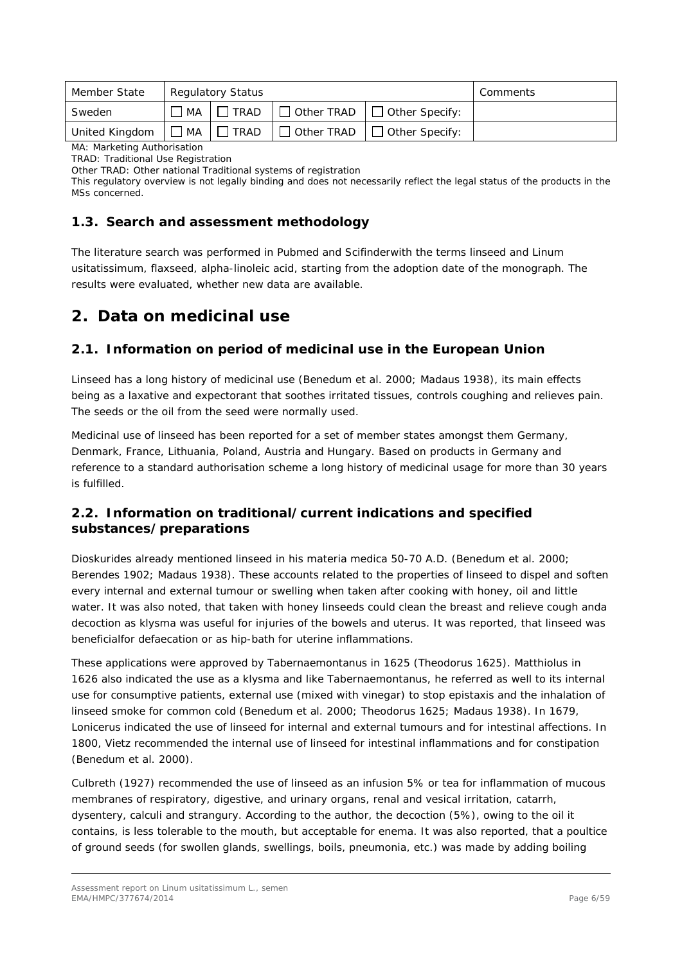| Member State   |                 | <b>Regulatory Status</b> | Comments   |                                         |  |
|----------------|-----------------|--------------------------|------------|-----------------------------------------|--|
| Sweden         | MA              | <b>TRAD</b>              |            | $\Box$ Other TRAD $\Box$ Other Specify: |  |
| United Kingdom | MA <sup>.</sup> | <b>TRAD</b>              | Other TRAD | $\Box$ Other Specify:                   |  |

MA: Marketing Authorisation

TRAD: Traditional Use Registration

Other TRAD: Other national Traditional systems of registration

This regulatory overview is not legally binding and does not necessarily reflect the legal status of the products in the MSs concerned.

## <span id="page-5-0"></span>*1.3. Search and assessment methodology*

The literature search was performed in Pubmed and Scifinderwith the terms linseed and *Linum usitatissimum*, flaxseed, alpha-linoleic acid, starting from the adoption date of the monograph. The results were evaluated, whether new data are available.

# <span id="page-5-1"></span>**2. Data on medicinal use**

# <span id="page-5-2"></span>*2.1. Information on period of medicinal use in the European Union*

Linseed has a long history of medicinal use (Benedum *et al.* 2000; Madaus 1938), its main effects being as a laxative and expectorant that soothes irritated tissues, controls coughing and relieves pain. The seeds or the oil from the seed were normally used.

Medicinal use of linseed has been reported for a set of member states amongst them Germany, Denmark, France, Lithuania, Poland, Austria and Hungary. Based on products in Germany and reference to a standard authorisation scheme a long history of medicinal usage for more than 30 years is fulfilled.

# <span id="page-5-3"></span>*2.2. Information on traditional/current indications and specified substances/preparations*

Dioskurides already mentioned linseed in his materia medica 50-70 A.D. (Benedum *et al.* 2000; Berendes 1902; Madaus 1938). These accounts related to the properties of linseed to dispel and soften every internal and external tumour or swelling when taken after cooking with honey, oil and little water. It was also noted, that taken with honey linseeds could clean the breast and relieve cough anda decoction as klysma was useful for injuries of the bowels and uterus. It was reported, that linseed was beneficialfor defaecation or as hip-bath for uterine inflammations.

These applications were approved by Tabernaemontanus in 1625 (Theodorus 1625). Matthiolus in 1626 also indicated the use as a klysma and like Tabernaemontanus, he referred as well to its internal use for consumptive patients, external use (mixed with vinegar) to stop epistaxis and the inhalation of linseed smoke for common cold (Benedum *et al.* 2000; Theodorus 1625; Madaus 1938). In 1679, Lonicerus indicated the use of linseed for internal and external tumours and for intestinal affections. In 1800, Vietz recommended the internal use of linseed for intestinal inflammations and for constipation (Benedum *et al.* 2000).

Culbreth (1927) recommended the use of linseed as an infusion 5% or tea for inflammation of mucous membranes of respiratory, digestive, and urinary organs, renal and vesical irritation, catarrh, dysentery, calculi and strangury. According to the author, the decoction (5%), owing to the oil it contains, is less tolerable to the mouth, but acceptable for enema. It was also reported, that a poultice of ground seeds (for swollen glands, swellings, boils, pneumonia, etc.) was made by adding boiling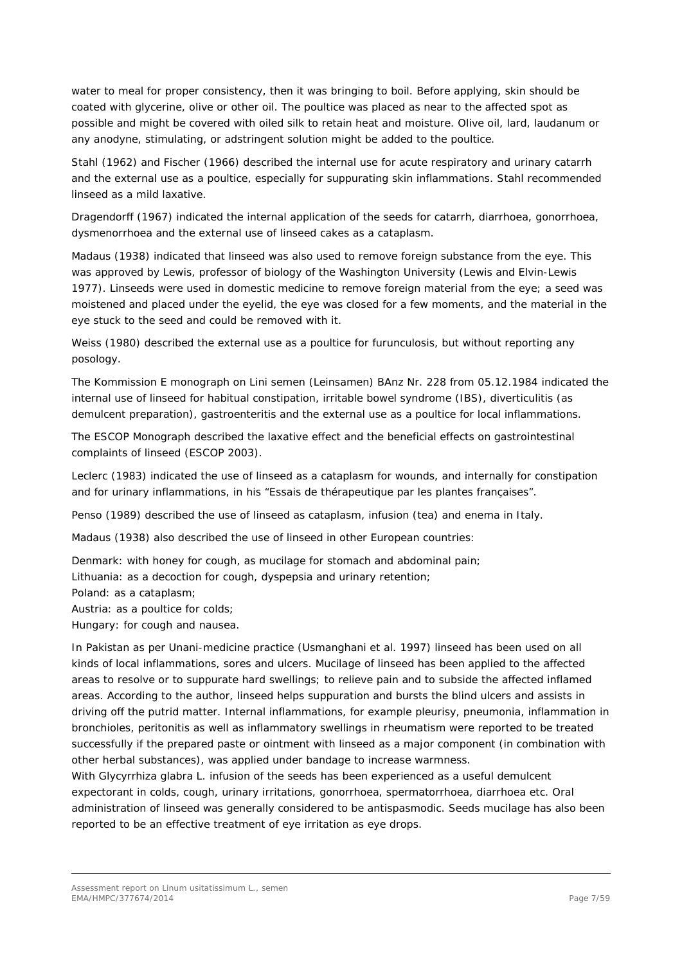water to meal for proper consistency, then it was bringing to boil. Before applying, skin should be coated with glycerine, olive or other oil. The poultice was placed as near to the affected spot as possible and might be covered with oiled silk to retain heat and moisture. Olive oil, lard, laudanum or any anodyne, stimulating, or adstringent solution might be added to the poultice.

Stahl (1962) and Fischer (1966) described the internal use for acute respiratory and urinary catarrh and the external use as a poultice, especially for suppurating skin inflammations. Stahl recommended linseed as a mild laxative.

Dragendorff (1967) indicated the internal application of the seeds for catarrh, diarrhoea, gonorrhoea, dysmenorrhoea and the external use of linseed cakes as a cataplasm.

Madaus (1938) indicated that linseed was also used to remove foreign substance from the eye. This was approved by Lewis, professor of biology of the Washington University (Lewis and Elvin-Lewis 1977). Linseeds were used in domestic medicine to remove foreign material from the eye; a seed was moistened and placed under the eyelid, the eye was closed for a few moments, and the material in the eye stuck to the seed and could be removed with it.

Weiss (1980) described the external use as a poultice for furunculosis, but without reporting any posology.

The Kommission E monograph on Lini semen (Leinsamen) BAnz Nr. 228 from 05.12.1984 indicated the internal use of linseed for habitual constipation, irritable bowel syndrome (IBS), diverticulitis (as demulcent preparation), gastroenteritis and the external use as a poultice for local inflammations.

The ESCOP Monograph described the laxative effect and the beneficial effects on gastrointestinal complaints of linseed (ESCOP 2003).

Leclerc (1983) indicated the use of linseed as a cataplasm for wounds, and internally for constipation and for urinary inflammations, in his "Essais de thérapeutique par les plantes françaises".

Penso (1989) described the use of linseed as cataplasm, infusion (tea) and enema in Italy.

Madaus (1938) also described the use of linseed in other European countries:

Denmark: with honey for cough, as mucilage for stomach and abdominal pain;

Lithuania: as a decoction for cough, dyspepsia and urinary retention;

Poland: as a cataplasm;

Austria: as a poultice for colds;

Hungary: for cough and nausea.

In Pakistan as per Unani-medicine practice (Usmanghani *et al.* 1997) linseed has been used on all kinds of local inflammations, sores and ulcers. Mucilage of linseed has been applied to the affected areas to resolve or to suppurate hard swellings; to relieve pain and to subside the affected inflamed areas. According to the author, linseed helps suppuration and bursts the blind ulcers and assists in driving off the putrid matter. Internal inflammations, for example pleurisy, pneumonia, inflammation in bronchioles, peritonitis as well as inflammatory swellings in rheumatism were reported to be treated successfully if the prepared paste or ointment with linseed as a major component (in combination with other herbal substances), was applied under bandage to increase warmness.

With *Glycyrrhiza glabra* L. infusion of the seeds has been experienced as a useful demulcent expectorant in colds, cough, urinary irritations, gonorrhoea, spermatorrhoea, diarrhoea etc. Oral administration of linseed was generally considered to be antispasmodic. Seeds mucilage has also been reported to be an effective treatment of eye irritation as eye drops.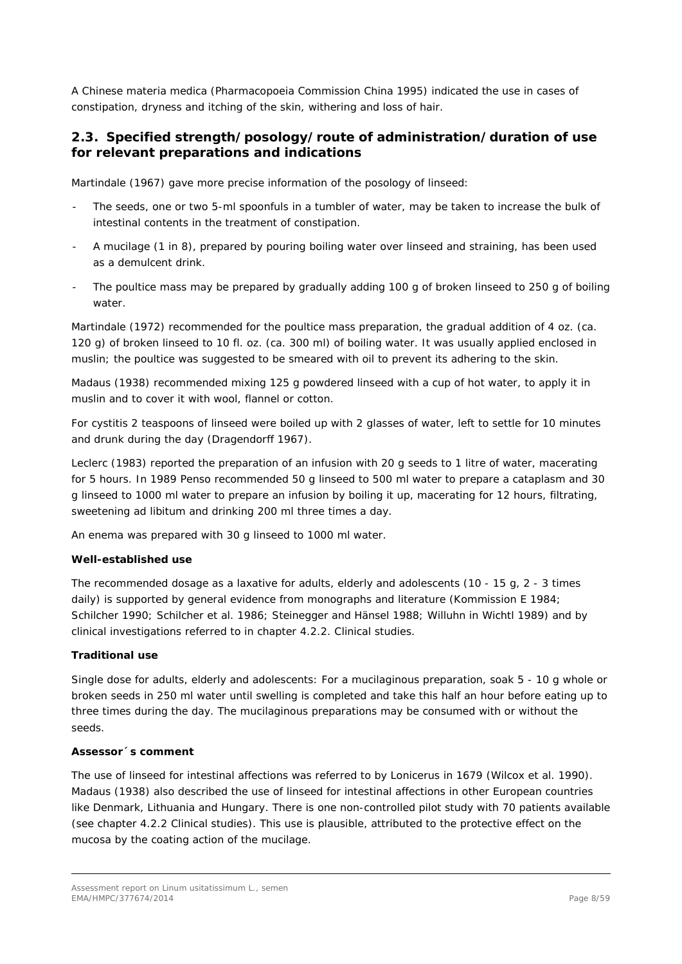A Chinese materia medica (Pharmacopoeia Commission China 1995) indicated the use in cases of constipation, dryness and itching of the skin, withering and loss of hair.

## <span id="page-7-0"></span>*2.3. Specified strength/posology/route of administration/duration of use for relevant preparations and indications*

Martindale (1967) gave more precise information of the posology of linseed:

- The seeds, one or two 5-ml spoonfuls in a tumbler of water, may be taken to increase the bulk of intestinal contents in the treatment of constipation.
- A mucilage (1 in 8), prepared by pouring boiling water over linseed and straining, has been used as a demulcent drink.
- The poultice mass may be prepared by gradually adding 100 g of broken linseed to 250 g of boiling water.

Martindale (1972) recommended for the poultice mass preparation, the gradual addition of 4 oz. (ca. 120 g) of broken linseed to 10 fl. oz. (ca. 300 ml) of boiling water. It was usually applied enclosed in muslin; the poultice was suggested to be smeared with oil to prevent its adhering to the skin.

Madaus (1938) recommended mixing 125 g powdered linseed with a cup of hot water, to apply it in muslin and to cover it with wool, flannel or cotton.

For cystitis 2 teaspoons of linseed were boiled up with 2 glasses of water, left to settle for 10 minutes and drunk during the day (Dragendorff 1967).

Leclerc (1983) reported the preparation of an infusion with 20 g seeds to 1 litre of water, macerating for 5 hours. In 1989 Penso recommended 50 g linseed to 500 ml water to prepare a cataplasm and 30 g linseed to 1000 ml water to prepare an infusion by boiling it up, macerating for 12 hours, filtrating, sweetening ad libitum and drinking 200 ml three times a day.

An enema was prepared with 30 g linseed to 1000 ml water.

#### **Well-established use**

The recommended dosage as a laxative for adults, elderly and adolescents (10 - 15 g, 2 - 3 times daily) is supported by general evidence from monographs and literature (Kommission E 1984; Schilcher 1990; Schilcher *et al*. 1986; Steinegger and Hänsel 1988; Willuhn in Wichtl 1989) and by clinical investigations referred to in chapter 4.2.2. Clinical studies.

#### **Traditional use**

Single dose for adults, elderly and adolescents: For a mucilaginous preparation, soak 5 - 10 g whole or broken seeds in 250 ml water until swelling is completed and take this half an hour before eating up to three times during the day. The mucilaginous preparations may be consumed with or without the seeds.

#### *Assessor´s comment*

*The use of linseed for intestinal affections was referred to by Lonicerus in 1679 (Wilcox et al. 1990). Madaus (1938) also described the use of linseed for intestinal affections in other European countries like Denmark, Lithuania and Hungary. There is one non-controlled pilot study with 70 patients available (see chapter 4.2.2 Clinical studies). This use is plausible, attributed to the protective effect on the mucosa by the coating action of the mucilage.*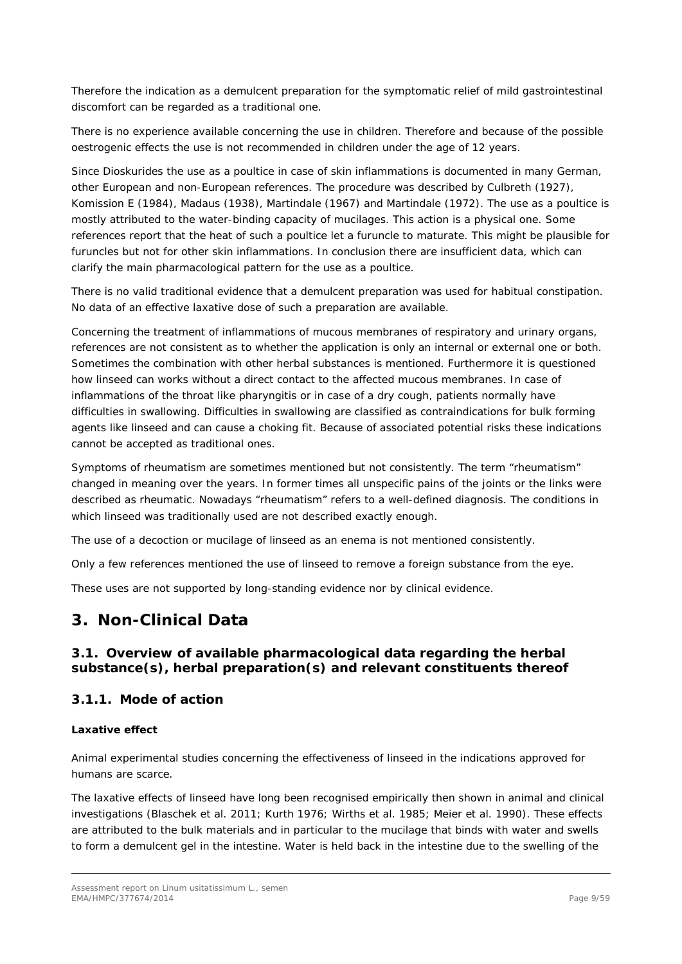*Therefore the indication as a demulcent preparation for the symptomatic relief of mild gastrointestinal discomfort can be regarded as a traditional one.* 

*There is no experience available concerning the use in children. Therefore and because of the possible oestrogenic effects the use is not recommended in children under the age of 12 years.*

*Since Dioskurides the use as a poultice in case of skin inflammations is documented in many German, other European and non-European references. The procedure was described by Culbreth (1927), Komission E (1984), Madaus (1938), Martindale (1967) and Martindale (1972). The use as a poultice is mostly attributed to the water-binding capacity of mucilages. This action is a physical one. Some references report that the heat of such a poultice let a furuncle to maturate. This might be plausible for furuncles but not for other skin inflammations. In conclusion there are insufficient data, which can clarify the main pharmacological pattern for the use as a poultice.* 

*There is no valid traditional evidence that a demulcent preparation was used for habitual constipation. No data of an effective laxative dose of such a preparation are available.* 

*Concerning the treatment of inflammations of mucous membranes of respiratory and urinary organs, references are not consistent as to whether the application is only an internal or external one or both. Sometimes the combination with other herbal substances is mentioned. Furthermore it is questioned how linseed can works without a direct contact to the affected mucous membranes. In case of inflammations of the throat like pharyngitis or in case of a dry cough, patients normally have difficulties in swallowing. Difficulties in swallowing are classified as contraindications for bulk forming agents like linseed and can cause a choking fit. Because of associated potential risks these indications cannot be accepted as traditional ones.* 

*Symptoms of rheumatism are sometimes mentioned but not consistently. The term "rheumatism" changed in meaning over the years. In former times all unspecific pains of the joints or the links were described as rheumatic. Nowadays "rheumatism" refers to a well-defined diagnosis. The conditions in which linseed was traditionally used are not described exactly enough.* 

*The use of a decoction or mucilage of linseed as an enema is not mentioned consistently.* 

*Only a few references mentioned the use of linseed to remove a foreign substance from the eye.* 

*These uses are not supported by long-standing evidence nor by clinical evidence.* 

# <span id="page-8-0"></span>**3. Non-Clinical Data**

## <span id="page-8-1"></span>*3.1. Overview of available pharmacological data regarding the herbal substance(s), herbal preparation(s) and relevant constituents thereof*

## <span id="page-8-2"></span>**3.1.1. Mode of action**

#### **Laxative effect**

Animal experimental studies concerning the effectiveness of linseed in the indications approved for humans are scarce.

The laxative effects of linseed have long been recognised empirically then shown in animal and clinical investigations (Blaschek e*t al.* 2011; Kurth 1976; Wirths *et al.* 1985*;* Meier *et al.* 1990). These effects are attributed to the bulk materials and in particular to the mucilage that binds with water and swells to form a demulcent gel in the intestine. Water is held back in the intestine due to the swelling of the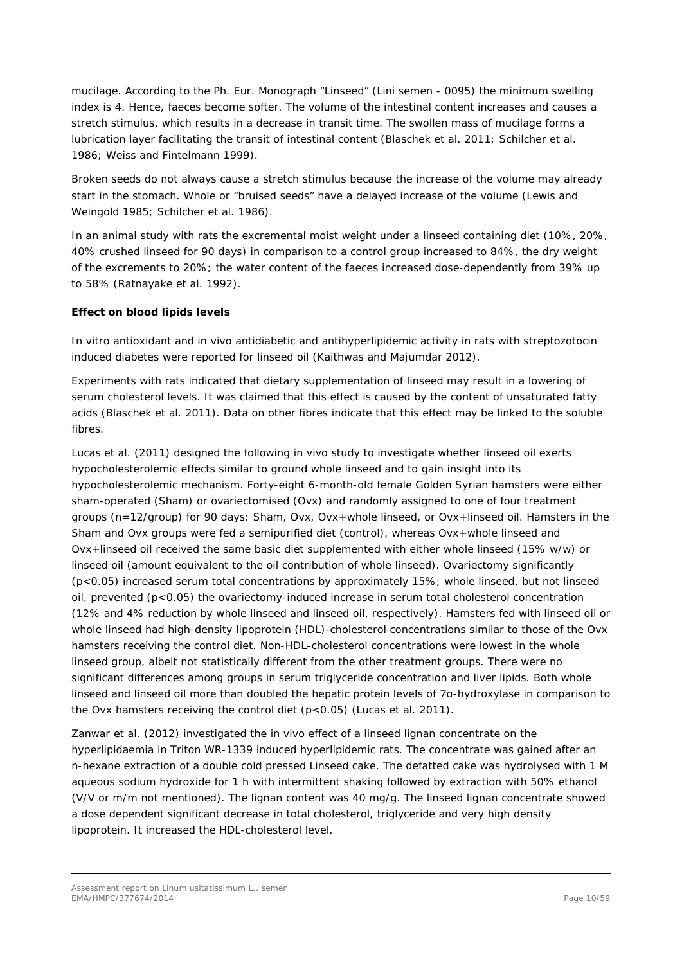mucilage. According to the Ph. Eur. Monograph "Linseed" (Lini semen - 0095) the minimum swelling index is 4. Hence, faeces become softer. The volume of the intestinal content increases and causes a stretch stimulus, which results in a decrease in transit time. The swollen mass of mucilage forms a lubrication layer facilitating the transit of intestinal content (Blaschek e*t al.* 2011; Schilcher *et al.*  1986*;* Weiss and Fintelmann 1999).

Broken seeds do not always cause a stretch stimulus because the increase of the volume may already start in the stomach. Whole or "bruised seeds" have a delayed increase of the volume (Lewis and Weingold 1985; Schilcher *et al.* 1986).

In an animal study with rats the excremental moist weight under a linseed containing diet (10%, 20%, 40% crushed linseed for 90 days) in comparison to a control group increased to 84%, the dry weight of the excrements to 20%; the water content of the faeces increased dose-dependently from 39% up to 58% (Ratnayake *et al.* 1992).

## **Effect on blood lipids levels**

*In vitro* antioxidant and *in vivo* antidiabetic and antihyperlipidemic activity in rats with streptozotocin induced diabetes were reported for linseed oil (Kaithwas and Majumdar 2012).

Experiments with rats indicated that dietary supplementation of linseed may result in a lowering of serum cholesterol levels. It was claimed that this effect is caused by the content of unsaturated fatty acids (Blaschek e*t al.* 2011). Data on other fibres indicate that this effect may be linked to the soluble fibres.

Lucas *et al*. (2011) designed the following *in vivo* study to investigate whether linseed oil exerts hypocholesterolemic effects similar to ground whole linseed and to gain insight into its hypocholesterolemic mechanism. Forty-eight 6-month-old female Golden Syrian hamsters were either sham-operated (Sham) or ovariectomised (Ovx) and randomly assigned to one of four treatment groups (n=12/group) for 90 days: Sham, Ovx, Ovx+whole linseed, or Ovx+linseed oil. Hamsters in the Sham and Ovx groups were fed a semipurified diet (control), whereas Ovx+whole linseed and Ovx+linseed oil received the same basic diet supplemented with either whole linseed (15% w/w) or linseed oil (amount equivalent to the oil contribution of whole linseed). Ovariectomy significantly (p<0.05) increased serum total concentrations by approximately 15%; whole linseed, but not linseed oil, prevented (p<0.05) the ovariectomy-induced increase in serum total cholesterol concentration (12% and 4% reduction by whole linseed and linseed oil, respectively). Hamsters fed with linseed oil or whole linseed had high-density lipoprotein (HDL)-cholesterol concentrations similar to those of the Ovx hamsters receiving the control diet. Non-HDL-cholesterol concentrations were lowest in the whole linseed group, albeit not statistically different from the other treatment groups. There were no significant differences among groups in serum triglyceride concentration and liver lipids. Both whole linseed and linseed oil more than doubled the hepatic protein levels of 7α-hydroxylase in comparison to the Ovx hamsters receiving the control diet (p<0.05) (Lucas *et al*. 2011).

Zanwar *et al*. (2012) investigated the *in vivo* effect of a linseed lignan concentrate on the hyperlipidaemia in Triton WR-1339 induced hyperlipidemic rats. The concentrate was gained after an *n*-hexane extraction of a double cold pressed Linseed cake. The defatted cake was hydrolysed with 1 M aqueous sodium hydroxide for 1 h with intermittent shaking followed by extraction with 50% ethanol (V/V or m/m not mentioned). The lignan content was 40 mg/g. The linseed lignan concentrate showed a dose dependent significant decrease in total cholesterol, triglyceride and very high density lipoprotein. It increased the HDL-cholesterol level.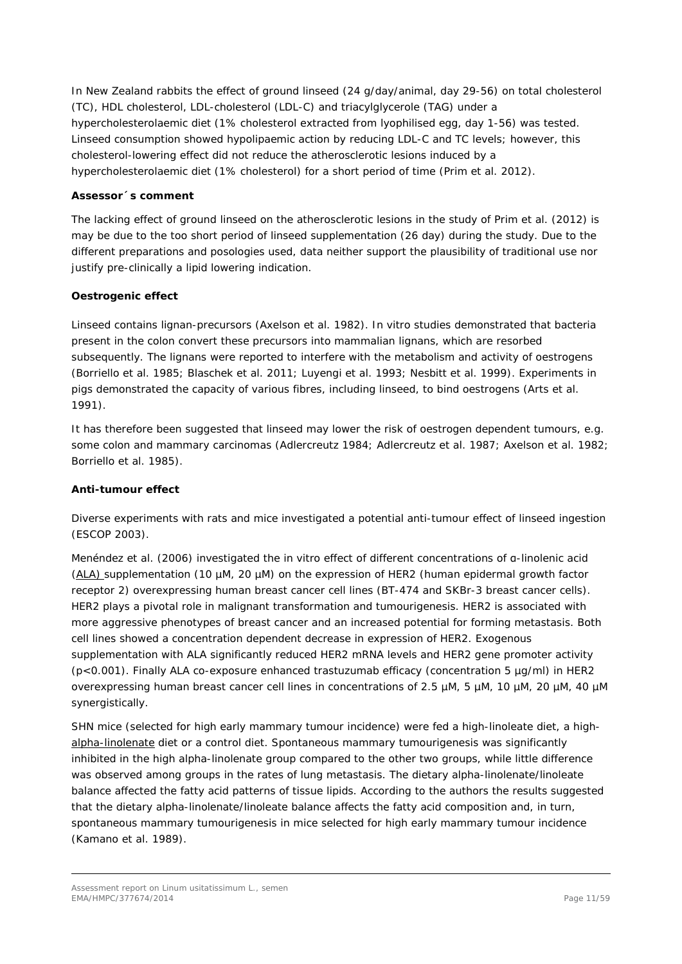In New Zealand rabbits the effect of ground linseed (24 g/day/animal, day 29-56) on total cholesterol (TC), HDL cholesterol, LDL-cholesterol (LDL-C) and triacylglycerole (TAG) under a hypercholesterolaemic diet (1% cholesterol extracted from lyophilised egg, day 1-56) was tested. Linseed consumption showed hypolipaemic action by reducing LDL-C and TC levels; however, this cholesterol-lowering effect did not reduce the atherosclerotic lesions induced by a hypercholesterolaemic diet (1% cholesterol) for a short period of time (Prim *et al*. 2012).

### *Assessor´s comment*

*The lacking effect of ground linseed on the atherosclerotic lesions in the study of Prim et al. (2012) is may be due to the too short period of linseed supplementation (26 day) during the study. Due to the different preparations and posologies used, data neither support the plausibility of traditional use nor justify pre-clinically a lipid lowering indication.*

### **Oestrogenic effect**

Linseed contains lignan-precursors (Axelson *et al*. 1982). *In vitro* studies demonstrated that bacteria present in the colon convert these precursors into mammalian lignans, which are resorbed subsequently. The lignans were reported to interfere with the metabolism and activity of oestrogens (Borriello *et al*. 1985; Blaschek e*t al.* 2011; Luyengi *et al*. 1993; Nesbitt *et al*. 1999). Experiments in pigs demonstrated the capacity of various fibres, including linseed, to bind oestrogens (Arts *et al*. 1991).

It has therefore been suggested that linseed may lower the risk of oestrogen dependent tumours, e.g. some colon and mammary carcinomas (Adlercreutz 1984; Adlercreutz *et al*. 1987; Axelson *et al*. 1982; Borriello *et al*. 1985).

#### **Anti-tumour effect**

Diverse experiments with rats and mice investigated a potential anti-tumour effect of linseed ingestion (ESCOP 2003).

Menéndez *et al.* (2006) investigated the *in vitro* effect of different concentrations of α-linolenic acid (ALA) supplementation (10 µM, 20 µM) on the expression of HER2 (human epidermal growth factor receptor 2) overexpressing human breast cancer cell lines (BT-474 and SKBr-3 breast cancer cells). HER2 plays a pivotal role in malignant transformation and tumourigenesis. HER2 is associated with more aggressive phenotypes of breast cancer and an increased potential for forming metastasis. Both cell lines showed a concentration dependent decrease in expression of HER2. Exogenous supplementation with ALA significantly reduced HER2 mRNA levels and HER2 gene promoter activity (p<0.001). Finally ALA co-exposure enhanced trastuzumab efficacy (concentration 5 µg/ml) in HER2 overexpressing human breast cancer cell lines in concentrations of 2.5 µM, 5 µM, 10 µM, 20 µM, 40 µM synergistically.

SHN mice (selected for high early mammary tumour incidence) were fed a high-linoleate diet, a highalpha-linolenate diet or a control diet. Spontaneous mammary tumourigenesis was significantly inhibited in the high alpha-linolenate group compared to the other two groups, while little difference was observed among groups in the rates of lung metastasis. The dietary alpha-linolenate/linoleate balance affected the fatty acid patterns of tissue lipids. According to the authors the results suggested that the dietary alpha-linolenate/linoleate balance affects the fatty acid composition and, in turn, spontaneous mammary tumourigenesis in mice selected for high early mammary tumour incidence (Kamano *et al.* 1989*)*.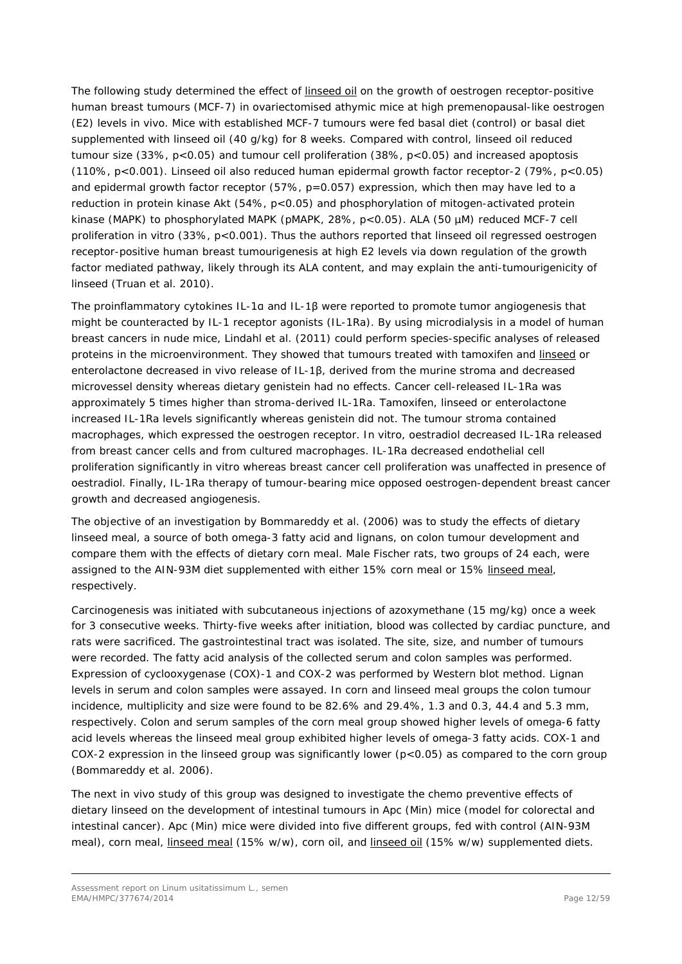The following study determined the effect of linseed oil on the growth of oestrogen receptor-positive human breast tumours (MCF-7) in ovariectomised athymic mice at high premenopausal-like oestrogen (E2) levels *in vivo*. Mice with established MCF-7 tumours were fed basal diet (control) or basal diet supplemented with linseed oil (40 g/kg) for 8 weeks. Compared with control, linseed oil reduced tumour size (33%, p<0.05) and tumour cell proliferation (38%, p<0.05) and increased apoptosis (110%, p<0.001). Linseed oil also reduced human epidermal growth factor receptor-2 (79%, p<0.05) and epidermal growth factor receptor (57%, p=0.057) expression, which then may have led to a reduction in protein kinase Akt (54%, p<0.05) and phosphorylation of mitogen-activated protein kinase (MAPK) to phosphorylated MAPK (pMAPK, 28%, p<0.05). ALA (50 µM) reduced MCF-7 cell proliferation *in vitro* (33%, p<0.001). Thus the authors reported that linseed oil regressed oestrogen receptor-positive human breast tumourigenesis at high E2 levels via down regulation of the growth factor mediated pathway, likely through its ALA content, and may explain the anti-tumourigenicity of linseed (Truan *et al.* 2010).

The proinflammatory cytokines IL-1α and IL-1β were reported to promote tumor angiogenesis that might be counteracted by IL-1 receptor agonists (IL-1Ra). By using microdialysis in a model of human breast cancers in nude mice, Lindahl *et al*. (2011) could perform species-specific analyses of released proteins in the microenvironment. They showed that tumours treated with tamoxifen and linseed or enterolactone decreased *in vivo* release of IL-1β, derived from the murine stroma and decreased microvessel density whereas dietary genistein had no effects. Cancer cell-released IL-1Ra was approximately 5 times higher than stroma-derived IL-1Ra. Tamoxifen, linseed or enterolactone increased IL-1Ra levels significantly whereas genistein did not. The tumour stroma contained macrophages, which expressed the oestrogen receptor. *In vitro*, oestradiol decreased IL-1Ra released from breast cancer cells and from cultured macrophages. IL-1Ra decreased endothelial cell proliferation significantly *in vitro* whereas breast cancer cell proliferation was unaffected in presence of oestradiol. Finally, IL-1Ra therapy of tumour-bearing mice opposed oestrogen-dependent breast cancer growth and decreased angiogenesis.

The objective of an investigation by Bommareddy *et al.* (2006) was to study the effects of dietary linseed meal, a source of both omega-3 fatty acid and lignans, on colon tumour development and compare them with the effects of dietary corn meal. Male Fischer rats, two groups of 24 each, were assigned to the AIN-93M diet supplemented with either 15% corn meal or 15% linseed meal, respectively.

Carcinogenesis was initiated with subcutaneous injections of azoxymethane (15 mg/kg) once a week for 3 consecutive weeks. Thirty-five weeks after initiation, blood was collected by cardiac puncture, and rats were sacrificed. The gastrointestinal tract was isolated. The site, size, and number of tumours were recorded. The fatty acid analysis of the collected serum and colon samples was performed. Expression of cyclooxygenase (COX)-1 and COX-2 was performed by Western blot method. Lignan levels in serum and colon samples were assayed. In corn and linseed meal groups the colon tumour incidence, multiplicity and size were found to be 82.6% and 29.4%, 1.3 and 0.3, 44.4 and 5.3 mm, respectively. Colon and serum samples of the corn meal group showed higher levels of omega-6 fatty acid levels whereas the linseed meal group exhibited higher levels of omega-3 fatty acids. COX-1 and COX-2 expression in the linseed group was significantly lower (p<0.05) as compared to the corn group (Bommareddy *et al.* 2006).

The next *in vivo* study of this group was designed to investigate the chemo preventive effects of dietary linseed on the development of intestinal tumours in Apc (Min) mice (model for colorectal and intestinal cancer). Apc (Min) mice were divided into five different groups, fed with control (AIN-93M meal), corn meal, linseed meal (15% w/w), corn oil, and linseed oil (15% w/w) supplemented diets.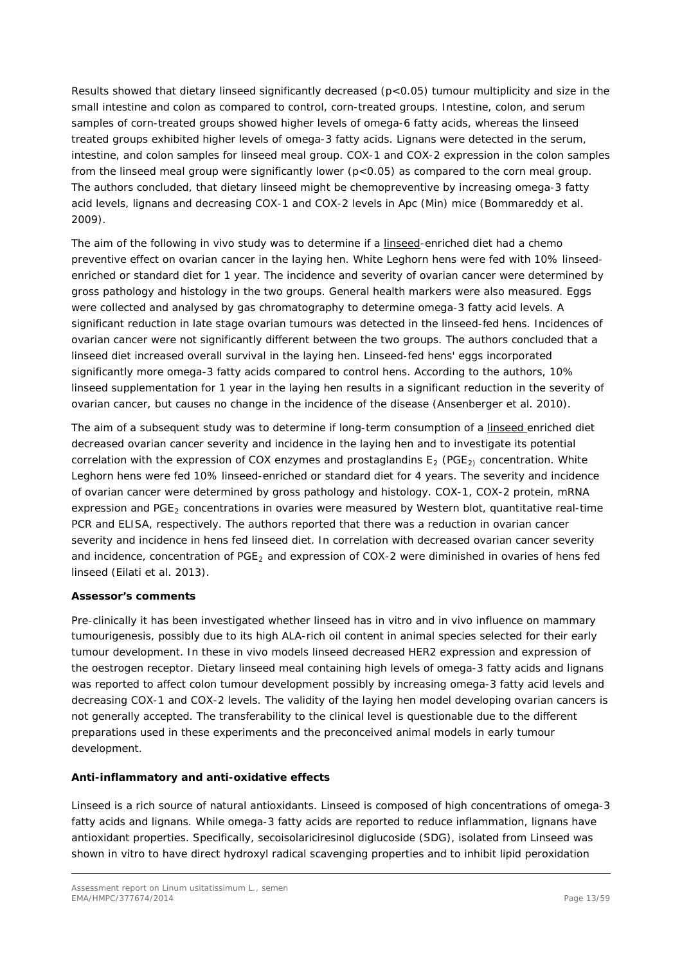Results showed that dietary linseed significantly decreased (p<0.05) tumour multiplicity and size in the small intestine and colon as compared to control, corn-treated groups. Intestine, colon, and serum samples of corn-treated groups showed higher levels of omega-6 fatty acids, whereas the linseed treated groups exhibited higher levels of omega-3 fatty acids. Lignans were detected in the serum, intestine, and colon samples for linseed meal group. COX-1 and COX-2 expression in the colon samples from the linseed meal group were significantly lower (p<0.05) as compared to the corn meal group. The authors concluded, that dietary linseed might be chemopreventive by increasing omega-3 fatty acid levels, lignans and decreasing COX-1 and COX-2 levels in Apc (Min) mice (Bommareddy *et al.* 2009).

The aim of the following *in vivo* study was to determine if a linseed-enriched diet had a chemo preventive effect on ovarian cancer in the laying hen. White Leghorn hens were fed with 10% linseedenriched or standard diet for 1 year. The incidence and severity of ovarian cancer were determined by gross pathology and histology in the two groups. General health markers were also measured. Eggs were collected and analysed by gas chromatography to determine omega-3 fatty acid levels. A significant reduction in late stage ovarian tumours was detected in the linseed-fed hens. Incidences of ovarian cancer were not significantly different between the two groups. The authors concluded that a linseed diet increased overall survival in the laying hen. Linseed-fed hens' eggs incorporated significantly more omega-3 fatty acids compared to control hens. According to the authors, 10% linseed supplementation for 1 year in the laying hen results in a significant reduction in the severity of ovarian cancer, but causes no change in the incidence of the disease (Ansenberger *et al.* 2010).

The aim of a subsequent study was to determine if long-term consumption of a linseed enriched diet decreased ovarian cancer severity and incidence in the laying hen and to investigate its potential correlation with the expression of COX enzymes and prostaglandins  $E_2$  (PGE<sub>2)</sub> concentration. White Leghorn hens were fed 10% linseed-enriched or standard diet for 4 years. The severity and incidence of ovarian cancer were determined by gross pathology and histology. COX-1, COX-2 protein, mRNA expression and PGE<sub>2</sub> concentrations in ovaries were measured by Western blot, quantitative real-time PCR and ELISA, respectively. The authors reported that there was a reduction in ovarian cancer severity and incidence in hens fed linseed diet. In correlation with decreased ovarian cancer severity and incidence, concentration of  $PGE<sub>2</sub>$  and expression of COX-2 were diminished in ovaries of hens fed linseed (Eilati *et al.* 2013).

## *Assessor's comments*

*Pre-clinically it has been investigated whether linseed has in vitro and in vivo influence on mammary tumourigenesis, possibly due to its high ALA-rich oil content in animal species selected for their early tumour development. In these in vivo models linseed decreased HER2 expression and expression of the oestrogen receptor. Dietary linseed meal containing high levels of omega-3 fatty acids and lignans was reported to affect colon tumour development possibly by increasing omega-3 fatty acid levels and decreasing COX-1 and COX-2 levels. The validity of the laying hen model developing ovarian cancers is not generally accepted. The transferability to the clinical level is questionable due to the different preparations used in these experiments and the preconceived animal models in early tumour development.*

## **Anti-inflammatory and anti-oxidative effects**

Linseed is a rich source of natural antioxidants. Linseed is composed of high concentrations of omega-3 fatty acids and lignans. While omega-3 fatty acids are reported to reduce inflammation, lignans have antioxidant properties. Specifically, secoisolariciresinol diglucoside (SDG), isolated from Linseed was shown *in vitro* to have direct hydroxyl radical scavenging properties and to inhibit lipid peroxidation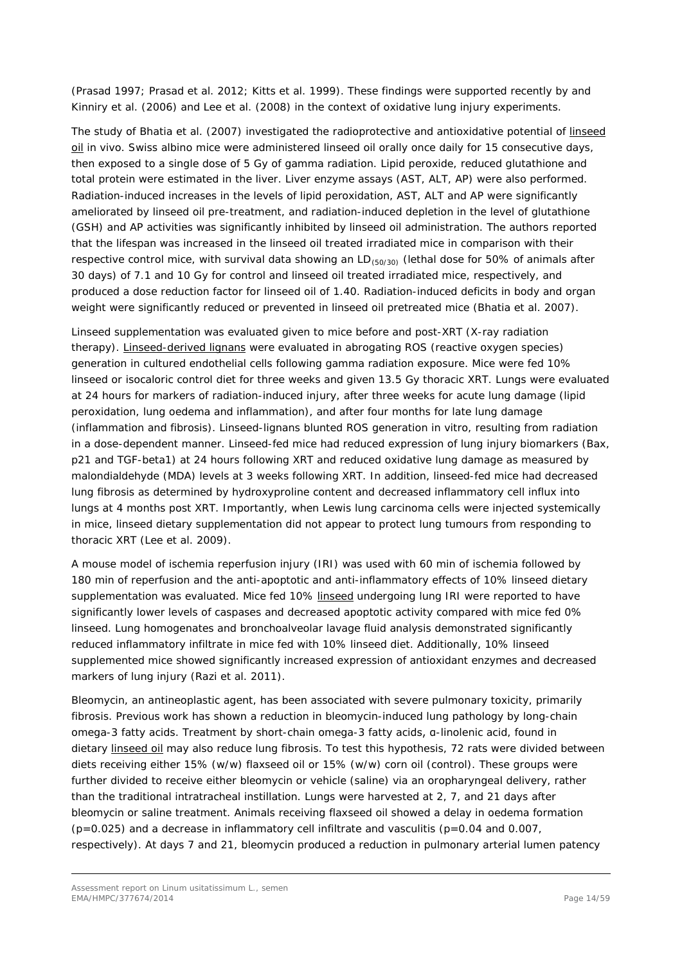(Prasad 1997; Prasad *et al.* 2012; Kitts *et al.* 1999). These findings were supported recently by and Kinniry *et al*. (2006) and Lee *et al*. (2008) in the context of oxidative lung injury experiments.

The study of Bhatia *et al.* (2007) investigated the radioprotective and antioxidative potential of linseed oil *in vivo*. Swiss albino mice were administered linseed oil orally once daily for 15 consecutive days, then exposed to a single dose of 5 Gy of gamma radiation. Lipid peroxide, reduced glutathione and total protein were estimated in the liver. Liver enzyme assays (AST, ALT, AP) were also performed. Radiation-induced increases in the levels of lipid peroxidation, AST, ALT and AP were significantly ameliorated by linseed oil pre-treatment, and radiation-induced depletion in the level of glutathione (GSH) and AP activities was significantly inhibited by linseed oil administration. The authors reported that the lifespan was increased in the linseed oil treated irradiated mice in comparison with their respective control mice, with survival data showing an  $LD_{(50/30)}$  (lethal dose for 50% of animals after 30 days) of 7.1 and 10 Gy for control and linseed oil treated irradiated mice, respectively, and produced a dose reduction factor for linseed oil of 1.40. Radiation-induced deficits in body and organ weight were significantly reduced or prevented in linseed oil pretreated mice (Bhatia *et al.* 2007).

Linseed supplementation was evaluated given to mice before and post-XRT (X-ray radiation therapy). Linseed-derived lignans were evaluated in abrogating ROS (reactive oxygen species) generation in cultured endothelial cells following gamma radiation exposure. Mice were fed 10% linseed or isocaloric control diet for three weeks and given 13.5 Gy thoracic XRT. Lungs were evaluated at 24 hours for markers of radiation-induced injury, after three weeks for acute lung damage (lipid peroxidation, lung oedema and inflammation), and after four months for late lung damage (inflammation and fibrosis). Linseed-lignans blunted ROS generation *in vitro*, resulting from radiation in a dose-dependent manner. Linseed-fed mice had reduced expression of lung injury biomarkers (Bax, p21 and TGF-beta1) at 24 hours following XRT and reduced oxidative lung damage as measured by malondialdehyde (MDA) levels at 3 weeks following XRT. In addition, linseed-fed mice had decreased lung fibrosis as determined by hydroxyproline content and decreased inflammatory cell influx into lungs at 4 months post XRT. Importantly, when Lewis lung carcinoma cells were injected systemically in mice, linseed dietary supplementation did not appear to protect lung tumours from responding to thoracic XRT (Lee *et al.* 2009).

A mouse model of ischemia reperfusion injury (IRI) was used with 60 min of ischemia followed by 180 min of reperfusion and the anti-apoptotic and anti-inflammatory effects of 10% linseed dietary supplementation was evaluated. Mice fed 10% linseed undergoing lung IRI were reported to have significantly lower levels of caspases and decreased apoptotic activity compared with mice fed 0% linseed. Lung homogenates and bronchoalveolar lavage fluid analysis demonstrated significantly reduced inflammatory infiltrate in mice fed with 10% linseed diet. Additionally, 10% linseed supplemented mice showed significantly increased expression of antioxidant enzymes and decreased markers of lung injury (Razi *et al.* 2011).

Bleomycin, an antineoplastic agent, has been associated with severe pulmonary toxicity, primarily fibrosis. Previous work has shown a reduction in bleomycin-induced lung pathology by long-chain omega-3 fatty acids. Treatment by short-chain omega-3 fatty acids, α-linolenic acid, found in dietary linseed oil may also reduce lung fibrosis. To test this hypothesis, 72 rats were divided between diets receiving either 15% (w/w) flaxseed oil or 15% (w/w) corn oil (control). These groups were further divided to receive either bleomycin or vehicle (saline) via an oropharyngeal delivery, rather than the traditional intratracheal instillation. Lungs were harvested at 2, 7, and 21 days after bleomycin or saline treatment. Animals receiving flaxseed oil showed a delay in oedema formation  $(p=0.025)$  and a decrease in inflammatory cell infiltrate and vasculitis  $(p=0.04$  and 0.007, respectively). At days 7 and 21, bleomycin produced a reduction in pulmonary arterial lumen patency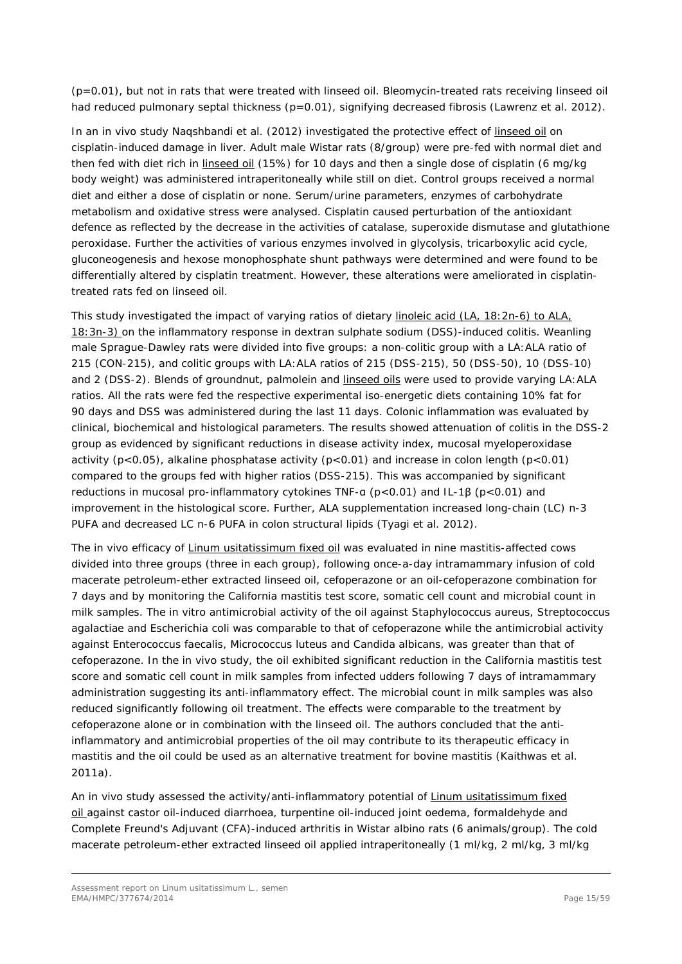(p=0.01), but not in rats that were treated with linseed oil. Bleomycin-treated rats receiving linseed oil had reduced pulmonary septal thickness (p=0.01), signifying decreased fibrosis (Lawrenz *et al.* 2012).

In an *in vivo* study Naqshbandi *et al.* (2012) investigated the protective effect of linseed oil on cisplatin-induced damage in liver. Adult male Wistar rats (8/group) were pre-fed with normal diet and then fed with diet rich in linseed oil (15%) for 10 days and then a single dose of cisplatin (6 mg/kg body weight) was administered intraperitoneally while still on diet. Control groups received a normal diet and either a dose of cisplatin or none. Serum/urine parameters, enzymes of carbohydrate metabolism and oxidative stress were analysed. Cisplatin caused perturbation of the antioxidant defence as reflected by the decrease in the activities of catalase, superoxide dismutase and glutathione peroxidase. Further the activities of various enzymes involved in glycolysis, tricarboxylic acid cycle, gluconeogenesis and hexose monophosphate shunt pathways were determined and were found to be differentially altered by cisplatin treatment. However, these alterations were ameliorated in cisplatintreated rats fed on linseed oil.

This study investigated the impact of varying ratios of dietary linoleic acid (LA, 18:2n-6) to ALA, 18:3n-3) on the inflammatory response in dextran sulphate sodium (DSS)-induced colitis. Weanling male Sprague-Dawley rats were divided into five groups: a non-colitic group with a LA:ALA ratio of 215 (CON-215), and colitic groups with LA:ALA ratios of 215 (DSS-215), 50 (DSS-50), 10 (DSS-10) and 2 (DSS-2). Blends of groundnut, palmolein and linseed oils were used to provide varying LA:ALA ratios. All the rats were fed the respective experimental iso-energetic diets containing 10% fat for 90 days and DSS was administered during the last 11 days. Colonic inflammation was evaluated by clinical, biochemical and histological parameters. The results showed attenuation of colitis in the DSS-2 group as evidenced by significant reductions in disease activity index, mucosal myeloperoxidase activity ( $p < 0.05$ ), alkaline phosphatase activity ( $p < 0.01$ ) and increase in colon length ( $p < 0.01$ ) compared to the groups fed with higher ratios (DSS-215). This was accompanied by significant reductions in mucosal pro-inflammatory cytokines TNF-α (p<0.01) and IL-1β (p<0.01) and improvement in the histological score. Further, ALA supplementation increased long-chain (LC) n-3 PUFA and decreased LC n-6 PUFA in colon structural lipids (Tyagi *et al*. 2012).

The *in vivo* efficacy of *Linum usitatissimum* fixed oil was evaluated in nine mastitis-affected cows divided into three groups (three in each group), following once-a-day intramammary infusion of cold macerate petroleum-ether extracted linseed oil, cefoperazone or an oil-cefoperazone combination for 7 days and by monitoring the California mastitis test score, somatic cell count and microbial count in milk samples. The *in vitro* antimicrobial activity of the oil against *Staphylococcus aureus*, *Streptococcus agalactiae* and *Escherichia coli* was comparable to that of cefoperazone while the antimicrobial activity against *Enterococcus faecalis*, *Micrococcus luteus* and *Candida albicans*, was greater than that of cefoperazone. In the *in vivo* study, the oil exhibited significant reduction in the California mastitis test score and somatic cell count in milk samples from infected udders following 7 days of intramammary administration suggesting its anti-inflammatory effect. The microbial count in milk samples was also reduced significantly following oil treatment. The effects were comparable to the treatment by cefoperazone alone or in combination with the linseed oil. The authors concluded that the antiinflammatory and antimicrobial properties of the oil may contribute to its therapeutic efficacy in mastitis and the oil could be used as an alternative treatment for bovine mastitis (Kaithwas *et al.*  2011a).

An *in vivo* study assessed the activity/anti-inflammatory potential of *Linum usitatissimum* fixed oil against castor oil-induced diarrhoea, turpentine oil-induced joint oedema, formaldehyde and Complete Freund's Adjuvant (CFA)-induced arthritis in Wistar albino rats (6 animals/group). The cold macerate petroleum-ether extracted linseed oil applied intraperitoneally (1 ml/kg, 2 ml/kg, 3 ml/kg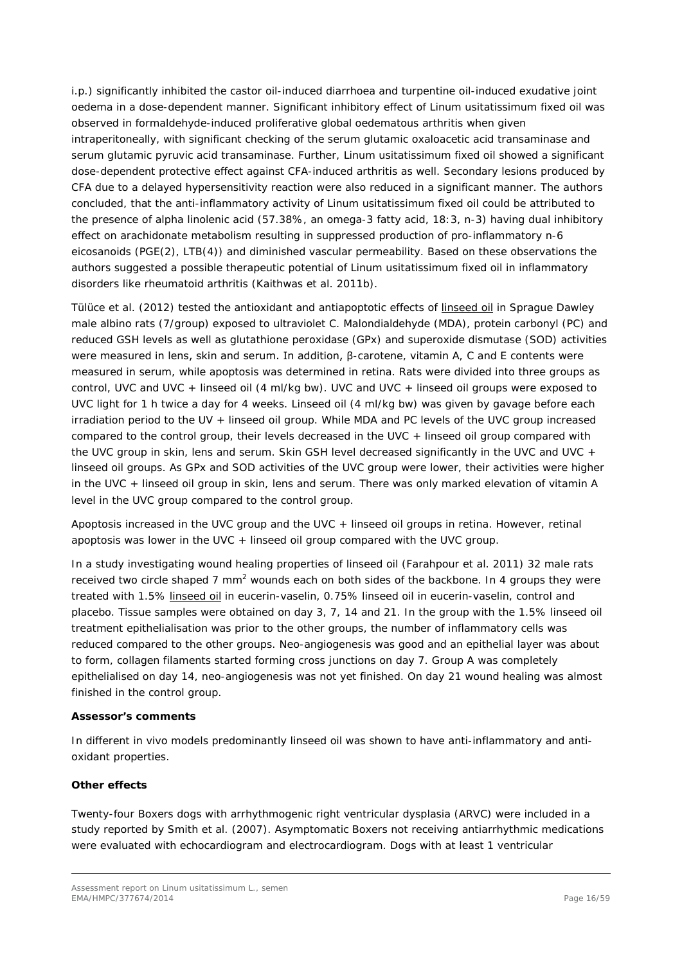i.p.) significantly inhibited the castor oil-induced diarrhoea and turpentine oil-induced exudative joint oedema in a dose-dependent manner. Significant inhibitory effect of *Linum usitatissimum* fixed oil was observed in formaldehyde-induced proliferative global oedematous arthritis when given intraperitoneally, with significant checking of the serum glutamic oxaloacetic acid transaminase and serum glutamic pyruvic acid transaminase. Further, *Linum usitatissimum* fixed oil showed a significant dose-dependent protective effect against CFA-induced arthritis as well. Secondary lesions produced by CFA due to a delayed hypersensitivity reaction were also reduced in a significant manner. The authors concluded, that the anti-inflammatory activity of *Linum usitatissimum* fixed oil could be attributed to the presence of alpha linolenic acid (57.38%, an omega-3 fatty acid, 18:3, n-3) having dual inhibitory effect on arachidonate metabolism resulting in suppressed production of pro-inflammatory n-6 eicosanoids (PGE(2), LTB(4)) and diminished vascular permeability. Based on these observations the authors suggested a possible therapeutic potential of *Linum usitatissimum* fixed oil in inflammatory disorders like rheumatoid arthritis (Kaithwas *et al.* 2011b).

Tülüce *et al.* (2012) tested the antioxidant and antiapoptotic effects of linseed oil in Sprague Dawley male albino rats (7/group) exposed to ultraviolet C. Malondialdehyde (MDA), protein carbonyl (PC) and reduced GSH levels as well as glutathione peroxidase (GPx) and superoxide dismutase (SOD) activities were measured in lens, skin and serum. In addition, β-carotene, vitamin A, C and E contents were measured in serum, while apoptosis was determined in retina. Rats were divided into three groups as control, UVC and UVC + linseed oil (4 ml/kg bw). UVC and UVC + linseed oil groups were exposed to UVC light for 1 h twice a day for 4 weeks. Linseed oil (4 ml/kg bw) was given by gavage before each irradiation period to the UV + linseed oil group. While MDA and PC levels of the UVC group increased compared to the control group, their levels decreased in the UVC + linseed oil group compared with the UVC group in skin, lens and serum. Skin GSH level decreased significantly in the UVC and UVC + linseed oil groups. As GPx and SOD activities of the UVC group were lower, their activities were higher in the UVC + linseed oil group in skin, lens and serum. There was only marked elevation of vitamin A level in the UVC group compared to the control group.

Apoptosis increased in the UVC group and the UVC + linseed oil groups in retina. However, retinal apoptosis was lower in the UVC + linseed oil group compared with the UVC group.

In a study investigating wound healing properties of linseed oil (Farahpour *et al.* 2011) 32 male rats received two circle shaped 7 mm<sup>2</sup> wounds each on both sides of the backbone. In 4 groups they were treated with 1.5% linseed oil in eucerin-vaselin, 0.75% linseed oil in eucerin-vaselin, control and placebo. Tissue samples were obtained on day 3, 7, 14 and 21. In the group with the 1.5% linseed oil treatment epithelialisation was prior to the other groups, the number of inflammatory cells was reduced compared to the other groups. Neo-angiogenesis was good and an epithelial layer was about to form, collagen filaments started forming cross junctions on day 7. Group A was completely epithelialised on day 14, neo-angiogenesis was not yet finished. On day 21 wound healing was almost finished in the control group.

#### *Assessor's comments*

*In different in vivo models predominantly linseed oil was shown to have anti-inflammatory and antioxidant properties.* 

#### **Other effects**

Twenty-four Boxers dogs with arrhythmogenic right ventricular dysplasia (ARVC) were included in a study reported by Smith *et al.* (2007). Asymptomatic Boxers not receiving antiarrhythmic medications were evaluated with echocardiogram and electrocardiogram. Dogs with at least 1 ventricular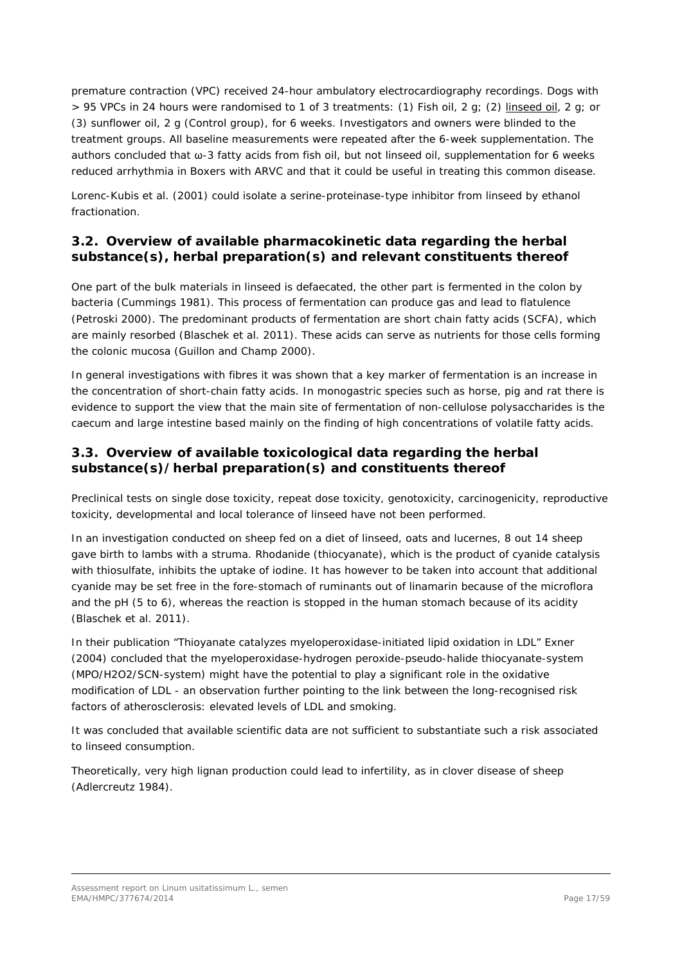premature contraction (VPC) received 24-hour ambulatory electrocardiography recordings. Dogs with > 95 VPCs in 24 hours were randomised to 1 of 3 treatments: (1) Fish oil, 2 g; (2) linseed oil, 2 g; or (3) sunflower oil, 2 g (Control group), for 6 weeks. Investigators and owners were blinded to the treatment groups. All baseline measurements were repeated after the 6-week supplementation. The authors concluded that ω-3 fatty acids from fish oil, but not linseed oil, supplementation for 6 weeks reduced arrhythmia in Boxers with ARVC and that it could be useful in treating this common disease.

Lorenc-Kubis *et al.* (2001) could isolate a serine-proteinase-type inhibitor from linseed by ethanol fractionation.

## <span id="page-16-0"></span>*3.2. Overview of available pharmacokinetic data regarding the herbal substance(s), herbal preparation(s) and relevant constituents thereof*

One part of the bulk materials in linseed is defaecated, the other part is fermented in the colon by bacteria (Cummings 1981). This process of fermentation can produce gas and lead to flatulence (Petroski 2000). The predominant products of fermentation are short chain fatty acids (SCFA), which are mainly resorbed (Blaschek *et al.* 2011). These acids can serve as nutrients for those cells forming the colonic mucosa (Guillon and Champ 2000).

In general investigations with fibres it was shown that a key marker of fermentation is an increase in the concentration of short-chain fatty acids. In monogastric species such as horse, pig and rat there is evidence to support the view that the main site of fermentation of non-cellulose polysaccharides is the caecum and large intestine based mainly on the finding of high concentrations of volatile fatty acids.

# <span id="page-16-1"></span>*3.3. Overview of available toxicological data regarding the herbal substance(s)/herbal preparation(s) and constituents thereof*

Preclinical tests on single dose toxicity, repeat dose toxicity, genotoxicity, carcinogenicity, reproductive toxicity, developmental and local tolerance of linseed have not been performed.

In an investigation conducted on sheep fed on a diet of linseed, oats and lucernes, 8 out 14 sheep gave birth to lambs with a struma. Rhodanide (thiocyanate), which is the product of cyanide catalysis with thiosulfate, inhibits the uptake of iodine. It has however to be taken into account that additional cyanide may be set free in the fore-stomach of ruminants out of linamarin because of the microflora and the pH (5 to 6), whereas the reaction is stopped in the human stomach because of its acidity (Blaschek e*t al.* 2011).

In their publication "Thioyanate catalyzes myeloperoxidase-initiated lipid oxidation in LDL" Exner (2004) concluded that the myeloperoxidase-hydrogen peroxide-pseudo-halide thiocyanate-system (MPO/H2O2/SCN-system) might have the potential to play a significant role in the oxidative modification of LDL - an observation further pointing to the link between the long-recognised risk factors of atherosclerosis: elevated levels of LDL and smoking.

It was concluded that available scientific data are not sufficient to substantiate such a risk associated to linseed consumption.

Theoretically, very high lignan production could lead to infertility, as in clover disease of sheep (Adlercreutz 1984).

Assessment report on *Linum usitatissimum* L., semen EMA/HMPC/377674/2014 Page 17/59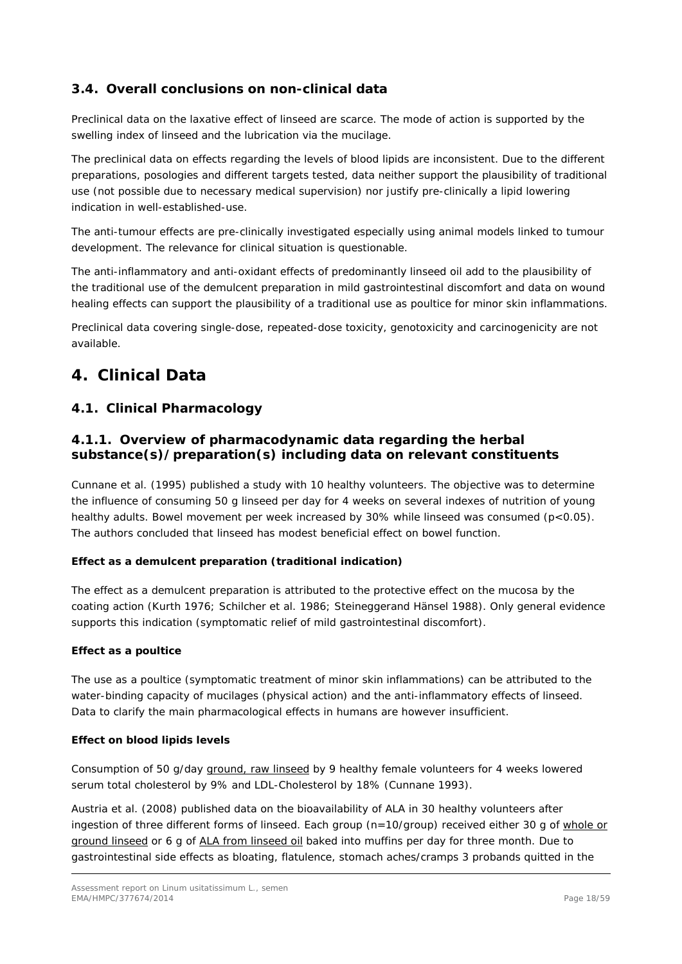# <span id="page-17-0"></span>*3.4. Overall conclusions on non-clinical data*

Preclinical data on the laxative effect of linseed are scarce. The mode of action is supported by the swelling index of linseed and the lubrication via the mucilage.

The preclinical data on effects regarding the levels of blood lipids are inconsistent. Due to the different preparations, posologies and different targets tested, data neither support the plausibility of traditional use (not possible due to necessary medical supervision) nor justify pre-clinically a lipid lowering indication in well-established-use.

The anti-tumour effects are pre-clinically investigated especially using animal models linked to tumour development. The relevance for clinical situation is questionable.

The anti-inflammatory and anti-oxidant effects of predominantly linseed oil add to the plausibility of the traditional use of the demulcent preparation in mild gastrointestinal discomfort and data on wound healing effects can support the plausibility of a traditional use as poultice for minor skin inflammations.

Preclinical data covering single-dose, repeated-dose toxicity, genotoxicity and carcinogenicity are not available.

# <span id="page-17-1"></span>**4. Clinical Data**

## <span id="page-17-2"></span>*4.1. Clinical Pharmacology*

## <span id="page-17-3"></span>**4.1.1. Overview of pharmacodynamic data regarding the herbal substance(s)/preparation(s) including data on relevant constituents**

Cunnane *et al*. (1995) published a study with 10 healthy volunteers. The objective was to determine the influence of consuming 50 g linseed per day for 4 weeks on several indexes of nutrition of young healthy adults. Bowel movement per week increased by 30% while linseed was consumed (p<0.05). The authors concluded that linseed has modest beneficial effect on bowel function.

## **Effect as a demulcent preparation (traditional indication)**

The effect as a demulcent preparation is attributed to the protective effect on the mucosa by the coating action (Kurth 1976; Schilcher *et al.* 1986; Steineggerand Hänsel 1988). Only general evidence supports this indication (symptomatic relief of mild gastrointestinal discomfort).

#### **Effect as a poultice**

The use as a poultice (symptomatic treatment of minor skin inflammations) can be attributed to the water-binding capacity of mucilages (physical action) and the anti-inflammatory effects of linseed. Data to clarify the main pharmacological effects in humans are however insufficient.

## **Effect on blood lipids levels**

Consumption of 50 g/day ground, raw linseed by 9 healthy female volunteers for 4 weeks lowered serum total cholesterol by 9% and LDL-Cholesterol by 18% (Cunnane 1993).

Austria *et al.* (2008) published data on the bioavailability of ALA in 30 healthy volunteers after ingestion of three different forms of linseed. Each group (n=10/group) received either 30 g of whole or ground linseed or 6 g of ALA from linseed oil baked into muffins per day for three month. Due to gastrointestinal side effects as bloating, flatulence, stomach aches/cramps 3 probands quitted in the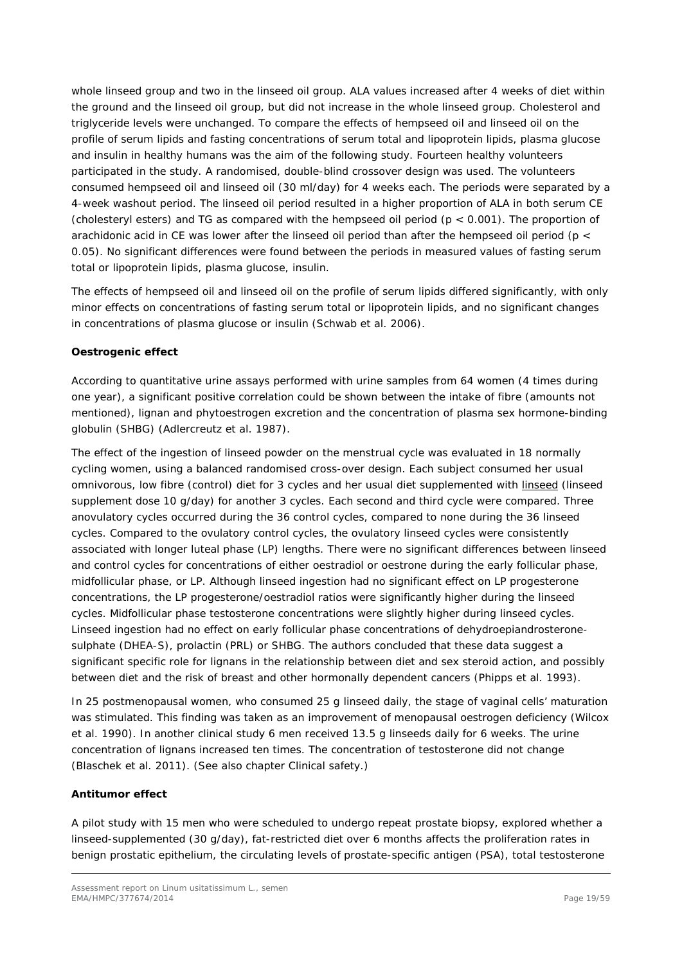whole linseed group and two in the linseed oil group. ALA values increased after 4 weeks of diet within the ground and the linseed oil group, but did not increase in the whole linseed group. Cholesterol and triglyceride levels were unchanged. To compare the effects of hempseed oil and linseed oil on the profile of serum lipids and fasting concentrations of serum total and lipoprotein lipids, plasma glucose and insulin in healthy humans was the aim of the following study. Fourteen healthy volunteers participated in the study. A randomised, double-blind crossover design was used. The volunteers consumed hempseed oil and linseed oil (30 ml/day) for 4 weeks each. The periods were separated by a 4-week washout period. The linseed oil period resulted in a higher proportion of ALA in both serum CE (cholesteryl esters) and TG as compared with the hempseed oil period (p < 0.001). The proportion of arachidonic acid in CE was lower after the linseed oil period than after the hempseed oil period ( $p <$ 0.05). No significant differences were found between the periods in measured values of fasting serum total or lipoprotein lipids, plasma glucose, insulin.

The effects of hempseed oil and linseed oil on the profile of serum lipids differed significantly, with only minor effects on concentrations of fasting serum total or lipoprotein lipids, and no significant changes in concentrations of plasma glucose or insulin (Schwab *et al.* 2006).

### **Oestrogenic effect**

According to quantitative urine assays performed with urine samples from 64 women (4 times during one year), a significant positive correlation could be shown between the intake of fibre (amounts not mentioned), lignan and phytoestrogen excretion and the concentration of plasma sex hormone-binding globulin (SHBG) (Adlercreutz *et al.* 1987).

The effect of the ingestion of linseed powder on the menstrual cycle was evaluated in 18 normally cycling women, using a balanced randomised cross-over design. Each subject consumed her usual omnivorous, low fibre (control) diet for 3 cycles and her usual diet supplemented with linseed (linseed supplement dose 10 g/day) for another 3 cycles. Each second and third cycle were compared. Three anovulatory cycles occurred during the 36 control cycles, compared to none during the 36 linseed cycles. Compared to the ovulatory control cycles, the ovulatory linseed cycles were consistently associated with longer luteal phase (LP) lengths. There were no significant differences between linseed and control cycles for concentrations of either oestradiol or oestrone during the early follicular phase, midfollicular phase, or LP. Although linseed ingestion had no significant effect on LP progesterone concentrations, the LP progesterone/oestradiol ratios were significantly higher during the linseed cycles. Midfollicular phase testosterone concentrations were slightly higher during linseed cycles. Linseed ingestion had no effect on early follicular phase concentrations of dehydroepiandrosteronesulphate (DHEA-S), prolactin (PRL) or SHBG. The authors concluded that these data suggest a significant specific role for lignans in the relationship between diet and sex steroid action, and possibly between diet and the risk of breast and other hormonally dependent cancers (Phipps *et al.* 1993).

In 25 postmenopausal women, who consumed 25 g linseed daily, the stage of vaginal cells' maturation was stimulated. This finding was taken as an improvement of menopausal oestrogen deficiency (Wilcox *et al.* 1990). In another clinical study 6 men received 13.5 g linseeds daily for 6 weeks. The urine concentration of lignans increased ten times. The concentration of testosterone did not change (Blaschek e*t al.* 2011). (See also chapter Clinical safety.)

#### **Antitumor effect**

A pilot study with 15 men who were scheduled to undergo repeat prostate biopsy, explored whether a linseed-supplemented (30 g/day), fat-restricted diet over 6 months affects the proliferation rates in benign prostatic epithelium, the circulating levels of prostate-specific antigen (PSA), total testosterone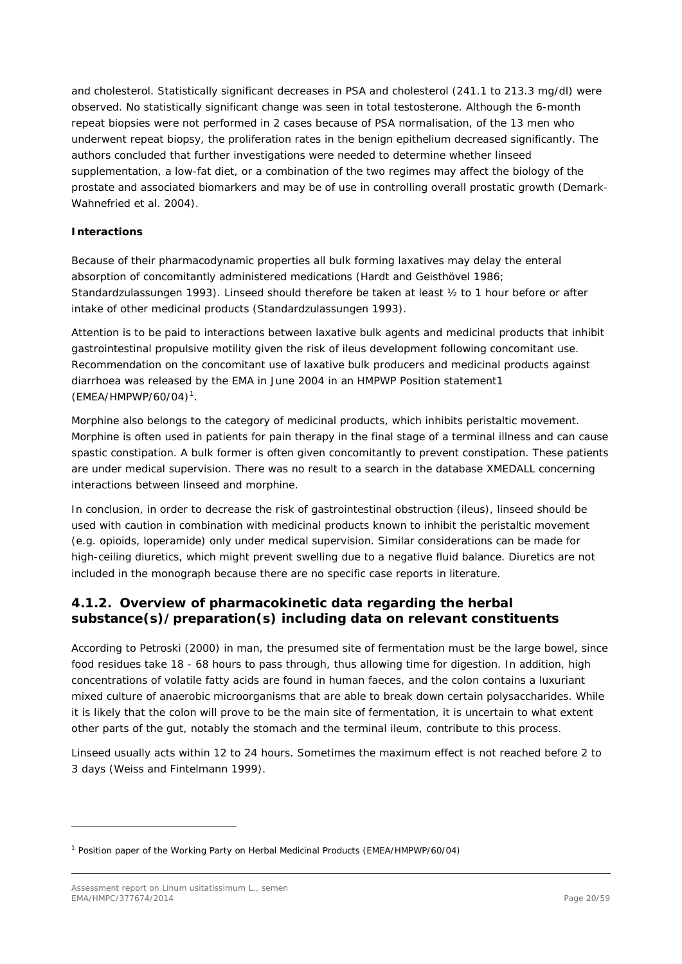and cholesterol. Statistically significant decreases in PSA and cholesterol (241.1 to 213.3 mg/dl) were observed. No statistically significant change was seen in total testosterone. Although the 6-month repeat biopsies were not performed in 2 cases because of PSA normalisation, of the 13 men who underwent repeat biopsy, the proliferation rates in the benign epithelium decreased significantly. The authors concluded that further investigations were needed to determine whether linseed supplementation, a low-fat diet, or a combination of the two regimes may affect the biology of the prostate and associated biomarkers and may be of use in controlling overall prostatic growth (Demark-Wahnefried *et al.* 2004).

## **Interactions**

Because of their pharmacodynamic properties all bulk forming laxatives may delay the enteral absorption of concomitantly administered medications (Hardt and Geisthövel 1986; Standardzulassungen 1993). Linseed should therefore be taken at least ½ to 1 hour before or after intake of other medicinal products (Standardzulassungen 1993).

Attention is to be paid to interactions between laxative bulk agents and medicinal products that inhibit gastrointestinal propulsive motility given the risk of ileus development following concomitant use. Recommendation on the concomitant use of laxative bulk producers and medicinal products against diarrhoea was released by the EMA in June 2004 in an HMPWP Position statement1  $(EMEA/HMPWP/60/04)^1$  $(EMEA/HMPWP/60/04)^1$ .

Morphine also belongs to the category of medicinal products, which inhibits peristaltic movement. Morphine is often used in patients for pain therapy in the final stage of a terminal illness and can cause spastic constipation. A bulk former is often given concomitantly to prevent constipation. These patients are under medical supervision. There was no result to a search in the database XMEDALL concerning interactions between linseed and morphine.

In conclusion, in order to decrease the risk of gastrointestinal obstruction (ileus), linseed should be used with caution in combination with medicinal products known to inhibit the peristaltic movement (e.g. opioids, loperamide) only under medical supervision. Similar considerations can be made for high-ceiling diuretics, which might prevent swelling due to a negative fluid balance. Diuretics are not included in the monograph because there are no specific case reports in literature.

## <span id="page-19-0"></span>**4.1.2. Overview of pharmacokinetic data regarding the herbal substance(s)/preparation(s) including data on relevant constituents**

According to Petroski (2000) in man, the presumed site of fermentation must be the large bowel, since food residues take 18 - 68 hours to pass through, thus allowing time for digestion. In addition, high concentrations of volatile fatty acids are found in human faeces, and the colon contains a luxuriant mixed culture of anaerobic microorganisms that are able to break down certain polysaccharides. While it is likely that the colon will prove to be the main site of fermentation, it is uncertain to what extent other parts of the gut, notably the stomach and the terminal ileum, contribute to this process.

Linseed usually acts within 12 to 24 hours. Sometimes the maximum effect is not reached before 2 to 3 days (Weiss and Fintelmann 1999).

ł

<span id="page-19-1"></span><sup>1</sup> Position paper of the Working Party on Herbal Medicinal Products (EMEA/HMPWP/60/04)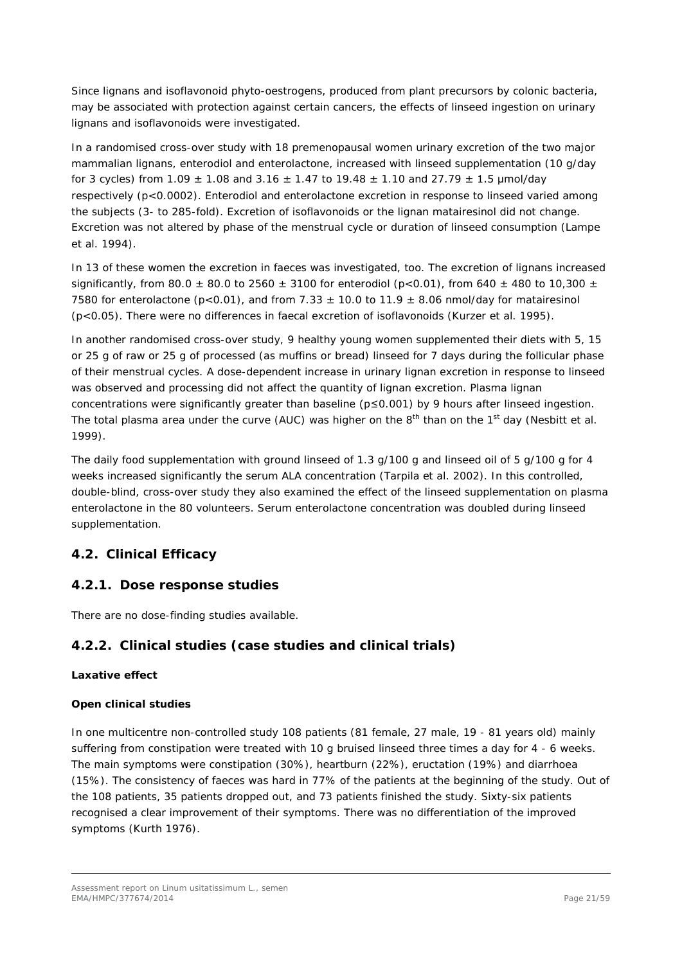Since lignans and isoflavonoid phyto-oestrogens, produced from plant precursors by colonic bacteria, may be associated with protection against certain cancers, the effects of linseed ingestion on urinary lignans and isoflavonoids were investigated.

In a randomised cross-over study with 18 premenopausal women urinary excretion of the two major mammalian lignans, enterodiol and enterolactone, increased with linseed supplementation (10 g/day for 3 cycles) from  $1.09 \pm 1.08$  and  $3.16 \pm 1.47$  to  $19.48 \pm 1.10$  and  $27.79 \pm 1.5$  µmol/day respectively (p<0.0002). Enterodiol and enterolactone excretion in response to linseed varied among the subjects (3- to 285-fold). Excretion of isoflavonoids or the lignan matairesinol did not change. Excretion was not altered by phase of the menstrual cycle or duration of linseed consumption (Lampe *et al*. 1994).

In 13 of these women the excretion in faeces was investigated, too. The excretion of lignans increased significantly, from 80.0  $\pm$  80.0 to 2560  $\pm$  3100 for enterodiol (p<0.01), from 640  $\pm$  480 to 10,300  $\pm$ 7580 for enterolactone (p<0.01), and from 7.33  $\pm$  10.0 to 11.9  $\pm$  8.06 nmol/day for matairesinol (p<0.05). There were no differences in faecal excretion of isoflavonoids (Kurzer *et al*. 1995).

In another randomised cross-over study, 9 healthy young women supplemented their diets with 5, 15 or 25 g of raw or 25 g of processed (as muffins or bread) linseed for 7 days during the follicular phase of their menstrual cycles. A dose-dependent increase in urinary lignan excretion in response to linseed was observed and processing did not affect the quantity of lignan excretion. Plasma lignan concentrations were significantly greater than baseline (p≤0.001) by 9 hours after linseed ingestion. The total plasma area under the curve (AUC) was higher on the 8<sup>th</sup> than on the 1<sup>st</sup> day (Nesbitt *et al.*) 1999).

The daily food supplementation with ground linseed of 1.3 g/100 g and linseed oil of 5 g/100 g for 4 weeks increased significantly the serum ALA concentration (Tarpila *et al*. 2002). In this controlled, double-blind, cross-over study they also examined the effect of the linseed supplementation on plasma enterolactone in the 80 volunteers. Serum enterolactone concentration was doubled during linseed supplementation.

# <span id="page-20-0"></span>*4.2. Clinical Efficacy*

# <span id="page-20-1"></span>**4.2.1. Dose response studies**

There are no dose-finding studies available.

# <span id="page-20-2"></span>**4.2.2. Clinical studies (case studies and clinical trials)**

## *Laxative effect*

## **Open clinical studies**

In one multicentre non-controlled study 108 patients (81 female, 27 male, 19 - 81 years old) mainly suffering from constipation were treated with 10 g bruised linseed three times a day for 4 - 6 weeks. The main symptoms were constipation (30%), heartburn (22%), eructation (19%) and diarrhoea (15%). The consistency of faeces was hard in 77% of the patients at the beginning of the study. Out of the 108 patients, 35 patients dropped out, and 73 patients finished the study. Sixty-six patients recognised a clear improvement of their symptoms. There was no differentiation of the improved symptoms (Kurth 1976).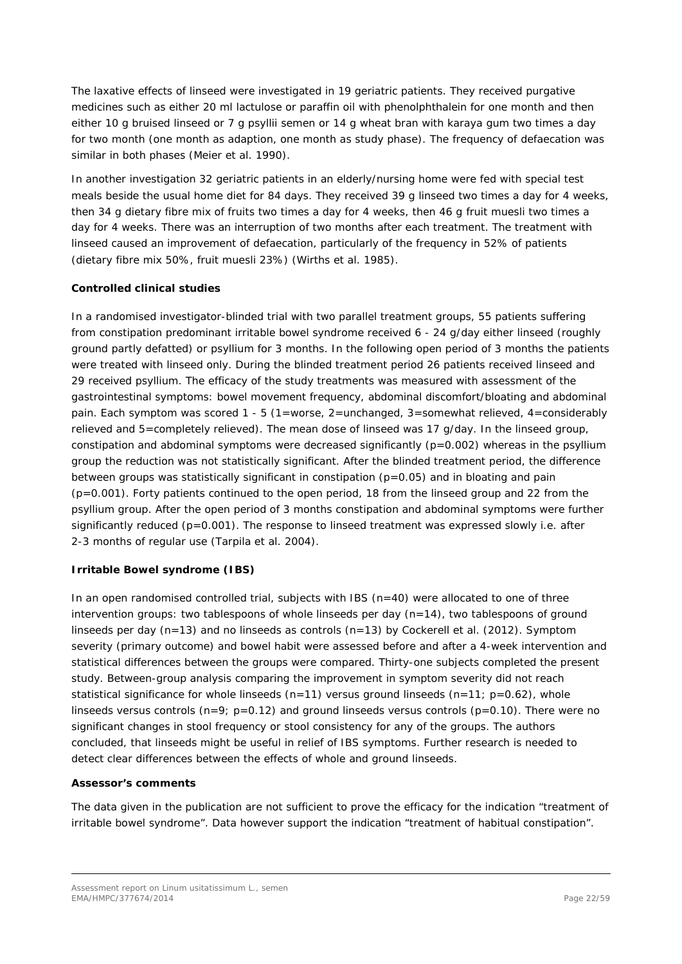The laxative effects of linseed were investigated in 19 geriatric patients. They received purgative medicines such as either 20 ml lactulose or paraffin oil with phenolphthalein for one month and then either 10 g bruised linseed or 7 g psyllii semen or 14 g wheat bran with karaya gum two times a day for two month (one month as adaption, one month as study phase). The frequency of defaecation was similar in both phases (Meier *et al.* 1990).

In another investigation 32 geriatric patients in an elderly/nursing home were fed with special test meals beside the usual home diet for 84 days. They received 39 g linseed two times a day for 4 weeks, then 34 g dietary fibre mix of fruits two times a day for 4 weeks, then 46 g fruit muesli two times a day for 4 weeks. There was an interruption of two months after each treatment. The treatment with linseed caused an improvement of defaecation, particularly of the frequency in 52% of patients (dietary fibre mix 50%, fruit muesli 23%) (Wirths *et al.* 1985).

## **Controlled clinical studies**

In a randomised investigator-blinded trial with two parallel treatment groups, 55 patients suffering from constipation predominant irritable bowel syndrome received 6 - 24 g/day either linseed (roughly ground partly defatted) or psyllium for 3 months. In the following open period of 3 months the patients were treated with linseed only. During the blinded treatment period 26 patients received linseed and 29 received psyllium. The efficacy of the study treatments was measured with assessment of the gastrointestinal symptoms: bowel movement frequency, abdominal discomfort/bloating and abdominal pain. Each symptom was scored 1 - 5 (1=worse, 2=unchanged, 3=somewhat relieved, 4=considerably relieved and 5=completely relieved). The mean dose of linseed was 17 g/day. In the linseed group, constipation and abdominal symptoms were decreased significantly (p=0.002) whereas in the psyllium group the reduction was not statistically significant. After the blinded treatment period, the difference between groups was statistically significant in constipation ( $p=0.05$ ) and in bloating and pain (p=0.001). Forty patients continued to the open period, 18 from the linseed group and 22 from the psyllium group. After the open period of 3 months constipation and abdominal symptoms were further significantly reduced (p=0.001). The response to linseed treatment was expressed slowly i.e. after 2-3 months of regular use (Tarpila *et al.* 2004).

## *Irritable Bowel syndrome (IBS)*

In an open randomised controlled trial, subjects with IBS  $(n=40)$  were allocated to one of three intervention groups: two tablespoons of whole linseeds per day (n=14), two tablespoons of ground linseeds per day (n=13) and no linseeds as controls (n=13) by Cockerell *et al*. (2012). Symptom severity (primary outcome) and bowel habit were assessed before and after a 4-week intervention and statistical differences between the groups were compared. Thirty-one subjects completed the present study. Between-group analysis comparing the improvement in symptom severity did not reach statistical significance for whole linseeds  $(n=11)$  versus ground linseeds  $(n=11; p=0.62)$ , whole linseeds versus controls ( $n=9$ ;  $p=0.12$ ) and ground linseeds versus controls ( $p=0.10$ ). There were no significant changes in stool frequency or stool consistency for any of the groups. The authors concluded, that linseeds might be useful in relief of IBS symptoms. Further research is needed to detect clear differences between the effects of whole and ground linseeds.

## *Assessor's comments*

*The data given in the publication are not sufficient to prove the efficacy for the indication "treatment of irritable bowel syndrome". Data however support the indication "treatment of habitual constipation".*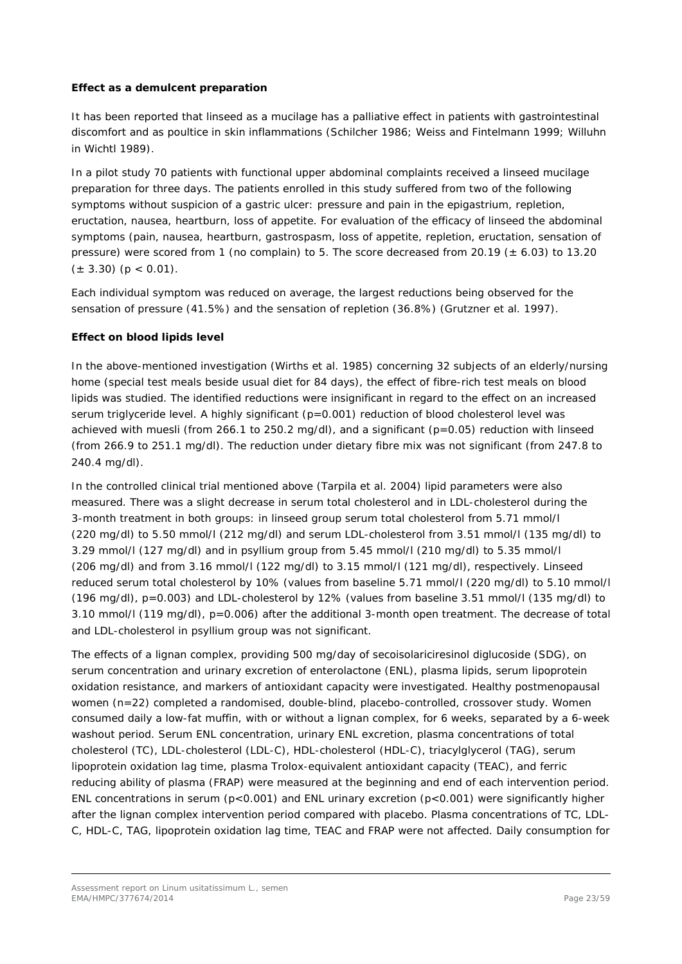### *Effect as a demulcent preparation*

It has been reported that linseed as a mucilage has a palliative effect in patients with gastrointestinal discomfort and as poultice in skin inflammations (Schilcher 1986; Weiss and Fintelmann 1999; Willuhn in Wichtl 1989).

In a pilot study 70 patients with functional upper abdominal complaints received a linseed mucilage preparation for three days. The patients enrolled in this study suffered from two of the following symptoms without suspicion of a gastric ulcer: pressure and pain in the epigastrium, repletion, eructation, nausea, heartburn, loss of appetite. For evaluation of the efficacy of linseed the abdominal symptoms (pain, nausea, heartburn, gastrospasm, loss of appetite, repletion, eructation, sensation of pressure) were scored from 1 (no complain) to 5. The score decreased from 20.19 ( $\pm$  6.03) to 13.20  $(\pm 3.30)$  (p < 0.01).

Each individual symptom was reduced on average, the largest reductions being observed for the sensation of pressure (41.5%) and the sensation of repletion (36.8%) (Grutzner *et al.* 1997).

## *Effect on blood lipids level*

In the above-mentioned investigation (Wirths *et al.* 1985) concerning 32 subjects of an elderly/nursing home (special test meals beside usual diet for 84 days), the effect of fibre-rich test meals on blood lipids was studied. The identified reductions were insignificant in regard to the effect on an increased serum triglyceride level. A highly significant ( $p=0.001$ ) reduction of blood cholesterol level was achieved with muesli (from 266.1 to 250.2 mg/dl), and a significant ( $p=0.05$ ) reduction with linseed (from 266.9 to 251.1 mg/dl). The reduction under dietary fibre mix was not significant (from 247.8 to 240.4 mg/dl).

In the controlled clinical trial mentioned above (Tarpila *et al.* 2004) lipid parameters were also measured. There was a slight decrease in serum total cholesterol and in LDL-cholesterol during the 3-month treatment in both groups: in linseed group serum total cholesterol from 5.71 mmol/l (220 mg/dl) to 5.50 mmol/l (212 mg/dl) and serum LDL-cholesterol from 3.51 mmol/l (135 mg/dl) to 3.29 mmol/l (127 mg/dl) and in psyllium group from 5.45 mmol/l (210 mg/dl) to 5.35 mmol/l (206 mg/dl) and from 3.16 mmol/l (122 mg/dl) to 3.15 mmol/l (121 mg/dl), respectively. Linseed reduced serum total cholesterol by 10% (values from baseline 5.71 mmol/l (220 mg/dl) to 5.10 mmol/l (196 mg/dl), p=0.003) and LDL-cholesterol by 12% (values from baseline 3.51 mmol/l (135 mg/dl) to 3.10 mmol/l (119 mg/dl), p=0.006) after the additional 3-month open treatment. The decrease of total and LDL-cholesterol in psyllium group was not significant.

The effects of a lignan complex, providing 500 mg/day of secoisolariciresinol diglucoside (SDG), on serum concentration and urinary excretion of enterolactone (ENL), plasma lipids, serum lipoprotein oxidation resistance, and markers of antioxidant capacity were investigated. Healthy postmenopausal women (n=22) completed a randomised, double-blind, placebo-controlled, crossover study. Women consumed daily a low-fat muffin, with or without a lignan complex, for 6 weeks, separated by a 6-week washout period. Serum ENL concentration, urinary ENL excretion, plasma concentrations of total cholesterol (TC), LDL-cholesterol (LDL-C), HDL-cholesterol (HDL-C), triacylglycerol (TAG), serum lipoprotein oxidation lag time, plasma Trolox-equivalent antioxidant capacity (TEAC), and ferric reducing ability of plasma (FRAP) were measured at the beginning and end of each intervention period. ENL concentrations in serum ( $p<0.001$ ) and ENL urinary excretion ( $p<0.001$ ) were significantly higher after the lignan complex intervention period compared with placebo. Plasma concentrations of TC, LDL-C, HDL-C, TAG, lipoprotein oxidation lag time, TEAC and FRAP were not affected. Daily consumption for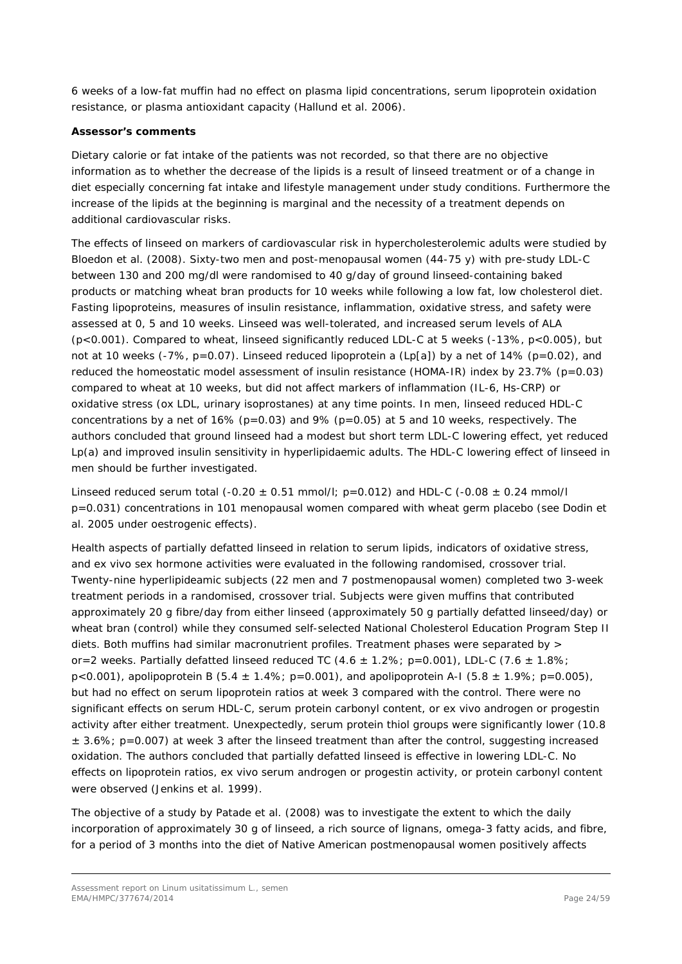6 weeks of a low-fat muffin had no effect on plasma lipid concentrations, serum lipoprotein oxidation resistance, or plasma antioxidant capacity (Hallund *et al.* 2006).

#### *Assessor's comments*

*Dietary calorie or fat intake of the patients was not recorded, so that there are no objective information as to whether the decrease of the lipids is a result of linseed treatment or of a change in diet especially concerning fat intake and lifestyle management under study conditions. Furthermore the increase of the lipids at the beginning is marginal and the necessity of a treatment depends on additional cardiovascular risks.* 

The effects of linseed on markers of cardiovascular risk in hypercholesterolemic adults were studied by Bloedon *et al.* (2008). Sixty-two men and post-menopausal women (44-75 y) with pre-study LDL-C between 130 and 200 mg/dl were randomised to 40 g/day of ground linseed-containing baked products or matching wheat bran products for 10 weeks while following a low fat, low cholesterol diet. Fasting lipoproteins, measures of insulin resistance, inflammation, oxidative stress, and safety were assessed at 0, 5 and 10 weeks. Linseed was well-tolerated, and increased serum levels of ALA (p<0.001). Compared to wheat, linseed significantly reduced LDL-C at 5 weeks (-13%, p<0.005), but not at 10 weeks (-7%,  $p=0.07$ ). Linseed reduced lipoprotein a (Lp[a]) by a net of 14% ( $p=0.02$ ), and reduced the homeostatic model assessment of insulin resistance (HOMA-IR) index by 23.7% (p=0.03) compared to wheat at 10 weeks, but did not affect markers of inflammation (IL-6, Hs-CRP) or oxidative stress (ox LDL, urinary isoprostanes) at any time points. In men, linseed reduced HDL-C concentrations by a net of 16% ( $p=0.03$ ) and 9% ( $p=0.05$ ) at 5 and 10 weeks, respectively. The authors concluded that ground linseed had a modest but short term LDL-C lowering effect, yet reduced Lp(a) and improved insulin sensitivity in hyperlipidaemic adults. The HDL-C lowering effect of linseed in men should be further investigated.

Linseed reduced serum total  $(-0.20 \pm 0.51 \text{ mmol/l}; \text{p} = 0.012)$  and HDL-C  $(-0.08 \pm 0.24 \text{ mmol/l}$ p=0.031) concentrations in 101 menopausal women compared with wheat germ placebo (see Dodin *et al*. 2005 under oestrogenic effects).

Health aspects of partially defatted linseed in relation to serum lipids, indicators of oxidative stress, and *ex vivo* sex hormone activities were evaluated in the following randomised, crossover trial. Twenty-nine hyperlipideamic subjects (22 men and 7 postmenopausal women) completed two 3-week treatment periods in a randomised, crossover trial. Subjects were given muffins that contributed approximately 20 g fibre/day from either linseed (approximately 50 g partially defatted linseed/day) or wheat bran (control) while they consumed self-selected National Cholesterol Education Program Step II diets. Both muffins had similar macronutrient profiles. Treatment phases were separated by > or=2 weeks. Partially defatted linseed reduced TC (4.6  $\pm$  1.2%; p=0.001), LDL-C (7.6  $\pm$  1.8%;  $p$ <0.001), apolipoprotein B (5.4  $\pm$  1.4%; p=0.001), and apolipoprotein A-I (5.8  $\pm$  1.9%; p=0.005), but had no effect on serum lipoprotein ratios at week 3 compared with the control. There were no significant effects on serum HDL-C, serum protein carbonyl content, or *ex vivo* androgen or progestin activity after either treatment. Unexpectedly, serum protein thiol groups were significantly lower (10.8  $\pm$  3.6%; p=0.007) at week 3 after the linseed treatment than after the control, suggesting increased oxidation. The authors concluded that partially defatted linseed is effective in lowering LDL-C. No effects on lipoprotein ratios, *ex vivo* serum androgen or progestin activity, or protein carbonyl content were observed (Jenkins *et al.* 1999).

The objective of a study by Patade *et al.* (2008) was to investigate the extent to which the daily incorporation of approximately 30 g of linseed, a rich source of lignans, omega-3 fatty acids, and fibre, for a period of 3 months into the diet of Native American postmenopausal women positively affects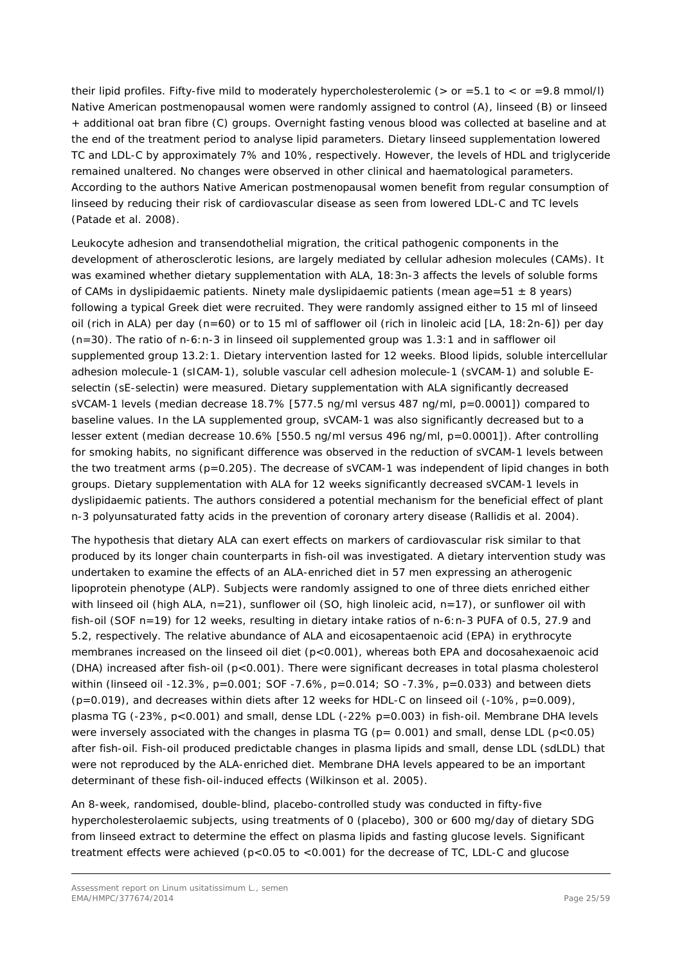their lipid profiles. Fifty-five mild to moderately hypercholesterolemic ( $>$  or =5.1 to  $<$  or =9.8 mmol/l) Native American postmenopausal women were randomly assigned to control (A), linseed (B) or linseed + additional oat bran fibre (C) groups. Overnight fasting venous blood was collected at baseline and at the end of the treatment period to analyse lipid parameters. Dietary linseed supplementation lowered TC and LDL-C by approximately 7% and 10%, respectively. However, the levels of HDL and triglyceride remained unaltered. No changes were observed in other clinical and haematological parameters. According to the authors Native American postmenopausal women benefit from regular consumption of linseed by reducing their risk of cardiovascular disease as seen from lowered LDL-C and TC levels (Patade *et al.* 2008).

Leukocyte adhesion and transendothelial migration, the critical pathogenic components in the development of atherosclerotic lesions, are largely mediated by cellular adhesion molecules (CAMs). It was examined whether dietary supplementation with ALA, 18:3n-3 affects the levels of soluble forms of CAMs in dyslipidaemic patients. Ninety male dyslipidaemic patients (mean age=51  $\pm$  8 years) following a typical Greek diet were recruited. They were randomly assigned either to 15 ml of linseed oil (rich in ALA) per day (n=60) or to 15 ml of safflower oil (rich in linoleic acid [LA, 18:2n-6]) per day  $(n=30)$ . The ratio of n-6:n-3 in linseed oil supplemented group was 1.3:1 and in safflower oil supplemented group 13.2:1. Dietary intervention lasted for 12 weeks. Blood lipids, soluble intercellular adhesion molecule-1 (sICAM-1), soluble vascular cell adhesion molecule-1 (sVCAM-1) and soluble Eselectin (sE-selectin) were measured. Dietary supplementation with ALA significantly decreased sVCAM-1 levels (median decrease 18.7% [577.5 ng/ml versus 487 ng/ml, p=0.0001]) compared to baseline values. In the LA supplemented group, sVCAM-1 was also significantly decreased but to a lesser extent (median decrease 10.6% [550.5 ng/ml versus 496 ng/ml, p=0.0001]). After controlling for smoking habits, no significant difference was observed in the reduction of sVCAM-1 levels between the two treatment arms (p=0.205). The decrease of sVCAM-1 was independent of lipid changes in both groups. Dietary supplementation with ALA for 12 weeks significantly decreased sVCAM-1 levels in dyslipidaemic patients. The authors considered a potential mechanism for the beneficial effect of plant n-3 polyunsaturated fatty acids in the prevention of coronary artery disease (Rallidis *et al.* 2004).

The hypothesis that dietary ALA can exert effects on markers of cardiovascular risk similar to that produced by its longer chain counterparts in fish-oil was investigated. A dietary intervention study was undertaken to examine the effects of an ALA-enriched diet in 57 men expressing an atherogenic lipoprotein phenotype (ALP). Subjects were randomly assigned to one of three diets enriched either with linseed oil (high ALA, n=21), sunflower oil (SO, high linoleic acid, n=17), or sunflower oil with fish-oil (SOF n=19) for 12 weeks, resulting in dietary intake ratios of n-6:n-3 PUFA of 0.5, 27.9 and 5.2, respectively. The relative abundance of ALA and eicosapentaenoic acid (EPA) in erythrocyte membranes increased on the linseed oil diet (p<0.001), whereas both EPA and docosahexaenoic acid (DHA) increased after fish-oil (p<0.001). There were significant decreases in total plasma cholesterol within (linseed oil -12.3%, p=0.001; SOF -7.6%, p=0.014; SO -7.3%, p=0.033) and between diets  $(p=0.019)$ , and decreases within diets after 12 weeks for HDL-C on linseed oil  $(-10\%)$ , p=0.009), plasma TG (-23%, p<0.001) and small, dense LDL (-22% p=0.003) in fish-oil. Membrane DHA levels were inversely associated with the changes in plasma TG ( $p = 0.001$ ) and small, dense LDL ( $p < 0.05$ ) after fish-oil. Fish-oil produced predictable changes in plasma lipids and small, dense LDL (sdLDL) that were not reproduced by the ALA-enriched diet. Membrane DHA levels appeared to be an important determinant of these fish-oil-induced effects (Wilkinson *et al.* 2005).

An 8-week, randomised, double-blind, placebo-controlled study was conducted in fifty-five hypercholesterolaemic subjects, using treatments of 0 (placebo), 300 or 600 mg/day of dietary SDG from linseed extract to determine the effect on plasma lipids and fasting glucose levels. Significant treatment effects were achieved (p<0.05 to <0.001) for the decrease of TC, LDL-C and glucose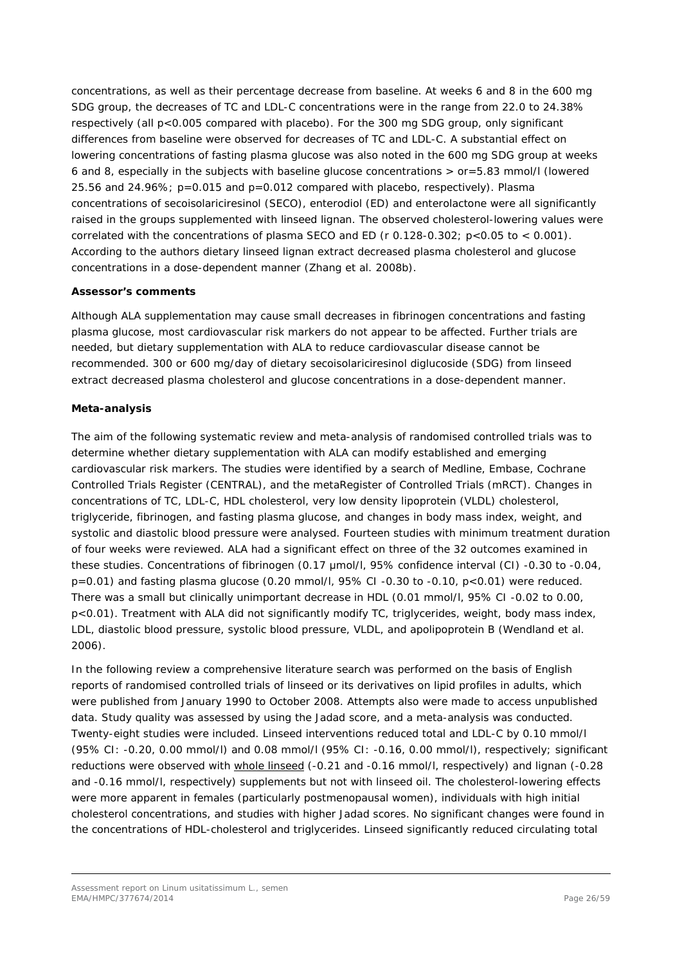concentrations, as well as their percentage decrease from baseline. At weeks 6 and 8 in the 600 mg SDG group, the decreases of TC and LDL-C concentrations were in the range from 22.0 to 24.38% respectively (all p<0.005 compared with placebo). For the 300 mg SDG group, only significant differences from baseline were observed for decreases of TC and LDL-C. A substantial effect on lowering concentrations of fasting plasma glucose was also noted in the 600 mg SDG group at weeks 6 and 8, especially in the subjects with baseline glucose concentrations > or=5.83 mmol/l (lowered 25.56 and 24.96%; p=0.015 and p=0.012 compared with placebo, respectively). Plasma concentrations of secoisolariciresinol (SECO), enterodiol (ED) and enterolactone were all significantly raised in the groups supplemented with linseed lignan. The observed cholesterol-lowering values were correlated with the concentrations of plasma SECO and ED ( $r$  0.128-0.302;  $p < 0.05$  to  $< 0.001$ ). According to the authors dietary linseed lignan extract decreased plasma cholesterol and glucose concentrations in a dose-dependent manner (Zhang *et al.* 2008b).

## *Assessor's comments*

*Although ALA supplementation may cause small decreases in fibrinogen concentrations and fasting plasma glucose, most cardiovascular risk markers do not appear to be affected. Further trials are needed, but dietary supplementation with ALA to reduce cardiovascular disease cannot be recommended. 300 or 600 mg/day of dietary secoisolariciresinol diglucoside (SDG) from linseed extract decreased plasma cholesterol and glucose concentrations in a dose-dependent manner.*

### **Meta-analysis**

The aim of the following systematic review and meta-analysis of randomised controlled trials was to determine whether dietary supplementation with ALA can modify established and emerging cardiovascular risk markers. The studies were identified by a search of Medline, Embase, Cochrane Controlled Trials Register (CENTRAL), and the metaRegister of Controlled Trials (mRCT). Changes in concentrations of TC, LDL-C, HDL cholesterol, very low density lipoprotein (VLDL) cholesterol, triglyceride, fibrinogen, and fasting plasma glucose, and changes in body mass index, weight, and systolic and diastolic blood pressure were analysed. Fourteen studies with minimum treatment duration of four weeks were reviewed. ALA had a significant effect on three of the 32 outcomes examined in these studies. Concentrations of fibrinogen (0.17 μmol/l, 95% confidence interval (CI) -0.30 to -0.04,  $p=0.01$ ) and fasting plasma glucose (0.20 mmol/l, 95% CI -0.30 to -0.10,  $p<0.01$ ) were reduced. There was a small but clinically unimportant decrease in HDL (0.01 mmol/l, 95% CI -0.02 to 0.00, p<0.01). Treatment with ALA did not significantly modify TC, triglycerides, weight, body mass index, LDL, diastolic blood pressure, systolic blood pressure, VLDL, and apolipoprotein B (Wendland *et al.* 2006).

In the following review a comprehensive literature search was performed on the basis of English reports of randomised controlled trials of linseed or its derivatives on lipid profiles in adults, which were published from January 1990 to October 2008. Attempts also were made to access unpublished data. Study quality was assessed by using the Jadad score, and a meta-analysis was conducted. Twenty-eight studies were included. Linseed interventions reduced total and LDL-C by 0.10 mmol/l (95% CI: -0.20, 0.00 mmol/l) and 0.08 mmol/l (95% CI: -0.16, 0.00 mmol/l), respectively; significant reductions were observed with whole linseed (-0.21 and -0.16 mmol/l, respectively) and lignan (-0.28 and -0.16 mmol/l, respectively) supplements but not with linseed oil. The cholesterol-lowering effects were more apparent in females (particularly postmenopausal women), individuals with high initial cholesterol concentrations, and studies with higher Jadad scores. No significant changes were found in the concentrations of HDL-cholesterol and triglycerides. Linseed significantly reduced circulating total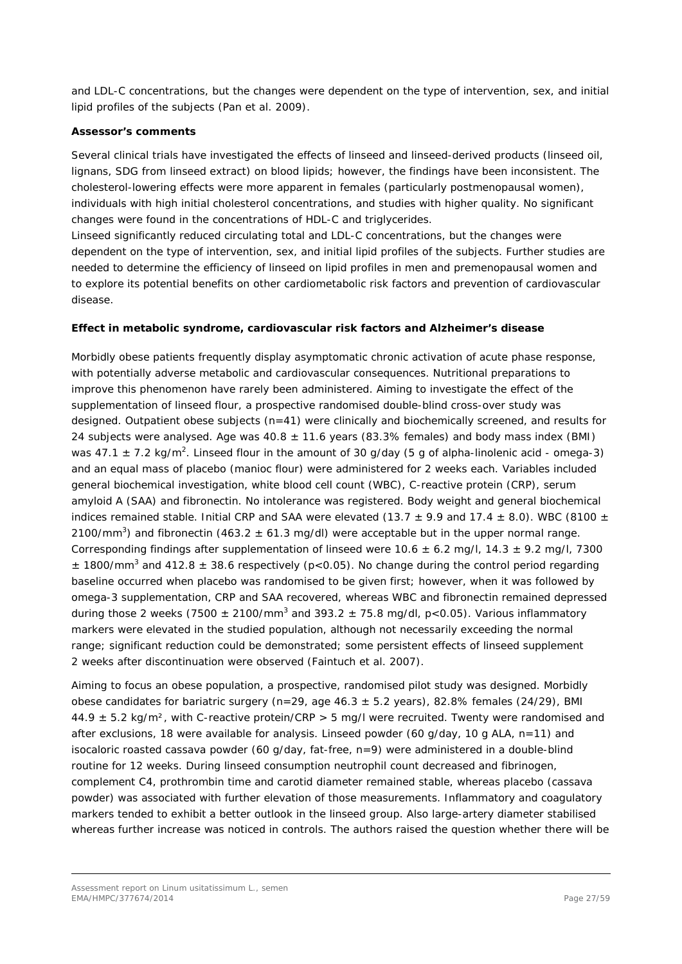and LDL-C concentrations, but the changes were dependent on the type of intervention, sex, and initial lipid profiles of the subjects (Pan *et al.* 2009).

#### *Assessor's comments*

*Several clinical trials have investigated the effects of linseed and linseed-derived products (linseed oil, lignans, SDG from linseed extract) on blood lipids; however, the findings have been inconsistent. The cholesterol-lowering effects were more apparent in females (particularly postmenopausal women), individuals with high initial cholesterol concentrations, and studies with higher quality. No significant changes were found in the concentrations of HDL-C and triglycerides.*

*Linseed significantly reduced circulating total and LDL-C concentrations, but the changes were dependent on the type of intervention, sex, and initial lipid profiles of the subjects. Further studies are needed to determine the efficiency of linseed on lipid profiles in men and premenopausal women and to explore its potential benefits on other cardiometabolic risk factors and prevention of cardiovascular disease.*

#### *Effect in metabolic syndrome, cardiovascular risk factors and Alzheimer's disease*

Morbidly obese patients frequently display asymptomatic chronic activation of acute phase response, with potentially adverse metabolic and cardiovascular consequences. Nutritional preparations to improve this phenomenon have rarely been administered. Aiming to investigate the effect of the supplementation of linseed flour, a prospective randomised double-blind cross-over study was designed. Outpatient obese subjects (n=41) were clinically and biochemically screened, and results for 24 subjects were analysed. Age was  $40.8 \pm 11.6$  years (83.3% females) and body mass index (BMI) was 47.1  $\pm$  7.2 kg/m<sup>2</sup>. Linseed flour in the amount of 30 g/day (5 g of alpha-linolenic acid - omega-3) and an equal mass of placebo (manioc flour) were administered for 2 weeks each. Variables included general biochemical investigation, white blood cell count (WBC), C-reactive protein (CRP), serum amyloid A (SAA) and fibronectin. No intolerance was registered. Body weight and general biochemical indices remained stable. Initial CRP and SAA were elevated (13.7  $\pm$  9.9 and 17.4  $\pm$  8.0). WBC (8100  $\pm$ 2100/mm<sup>3</sup>) and fibronectin (463.2  $\pm$  61.3 mg/dl) were acceptable but in the upper normal range. Corresponding findings after supplementation of linseed were  $10.6 \pm 6.2$  mg/l,  $14.3 \pm 9.2$  mg/l,  $7300$  $\pm$  1800/mm<sup>3</sup> and 412.8  $\pm$  38.6 respectively (p<0.05). No change during the control period regarding baseline occurred when placebo was randomised to be given first; however, when it was followed by omega-3 supplementation, CRP and SAA recovered, whereas WBC and fibronectin remained depressed during those 2 weeks (7500  $\pm$  2100/mm<sup>3</sup> and 393.2  $\pm$  75.8 mg/dl, p<0.05). Various inflammatory markers were elevated in the studied population, although not necessarily exceeding the normal range; significant reduction could be demonstrated; some persistent effects of linseed supplement 2 weeks after discontinuation were observed (Faintuch *et al*. 2007).

Aiming to focus an obese population, a prospective, randomised pilot study was designed. Morbidly obese candidates for bariatric surgery (n=29, age  $46.3 \pm 5.2$  years), 82.8% females (24/29), BMI  $44.9 \pm 5.2$  kg/m<sup>2</sup>, with C-reactive protein/CRP > 5 mg/l were recruited. Twenty were randomised and after exclusions, 18 were available for analysis. Linseed powder (60 g/day, 10 g ALA, n=11) and isocaloric roasted cassava powder (60 g/day, fat-free, n=9) were administered in a double-blind routine for 12 weeks. During linseed consumption neutrophil count decreased and fibrinogen, complement C4, prothrombin time and carotid diameter remained stable, whereas placebo (cassava powder) was associated with further elevation of those measurements. Inflammatory and coagulatory markers tended to exhibit a better outlook in the linseed group. Also large-artery diameter stabilised whereas further increase was noticed in controls. The authors raised the question whether there will be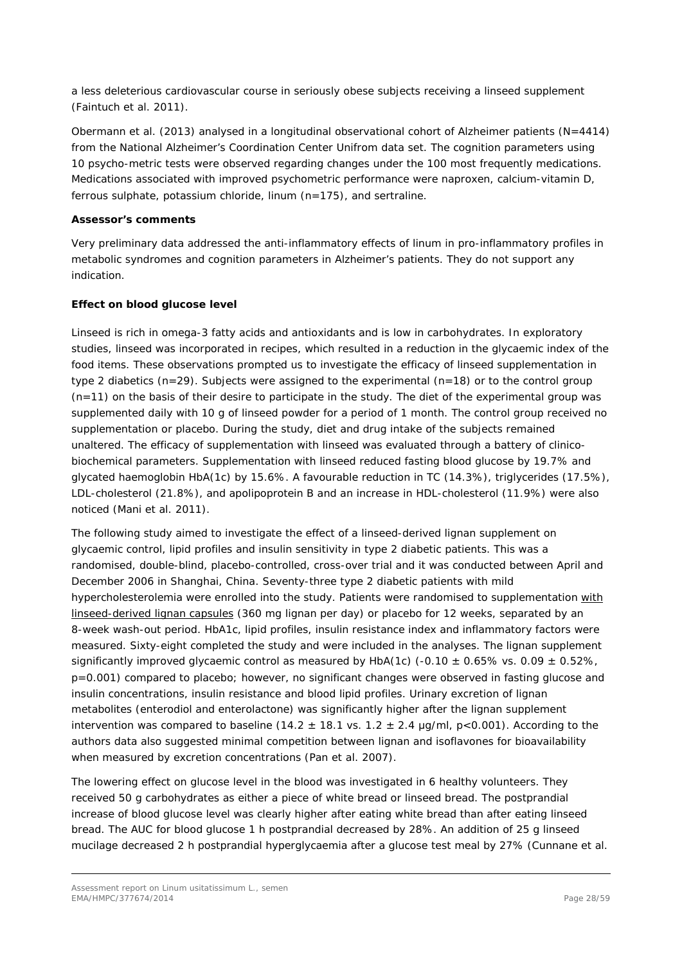a less deleterious cardiovascular course in seriously obese subjects receiving a linseed supplement (Faintuch *et al.* 2011).

Obermann *et al.* (2013) analysed in a longitudinal observational cohort of Alzheimer patients (N=4414) from the National Alzheimer's Coordination Center Unifrom data set. The cognition parameters using 10 psycho-metric tests were observed regarding changes under the 100 most frequently medications. Medications associated with improved psychometric performance were naproxen, calcium-vitamin D, ferrous sulphate, potassium chloride, linum (n=175), and sertraline.

### *Assessor's comments*

*Very preliminary data addressed the anti-inflammatory effects of linum in pro-inflammatory profiles in metabolic syndromes and cognition parameters in Alzheimer's patients. They do not support any indication.*

## *Effect on blood glucose level*

Linseed is rich in omega-3 fatty acids and antioxidants and is low in carbohydrates. In exploratory studies, linseed was incorporated in recipes, which resulted in a reduction in the glycaemic index of the food items. These observations prompted us to investigate the efficacy of linseed supplementation in type 2 diabetics (n=29). Subjects were assigned to the experimental (n=18) or to the control group (n=11) on the basis of their desire to participate in the study. The diet of the experimental group was supplemented daily with 10 g of linseed powder for a period of 1 month. The control group received no supplementation or placebo. During the study, diet and drug intake of the subjects remained unaltered. The efficacy of supplementation with linseed was evaluated through a battery of clinicobiochemical parameters. Supplementation with linseed reduced fasting blood glucose by 19.7% and glycated haemoglobin HbA(1c) by 15.6%. A favourable reduction in TC (14.3%), triglycerides (17.5%), LDL-cholesterol (21.8%), and apolipoprotein B and an increase in HDL-cholesterol (11.9%) were also noticed (Mani *et al.* 2011).

The following study aimed to investigate the effect of a linseed-derived lignan supplement on glycaemic control, lipid profiles and insulin sensitivity in type 2 diabetic patients. This was a randomised, double-blind, placebo-controlled, cross-over trial and it was conducted between April and December 2006 in Shanghai, China. Seventy-three type 2 diabetic patients with mild hypercholesterolemia were enrolled into the study. Patients were randomised to supplementation with linseed-derived lignan capsules (360 mg lignan per day) or placebo for 12 weeks, separated by an 8-week wash-out period. HbA1c, lipid profiles, insulin resistance index and inflammatory factors were measured. Sixty-eight completed the study and were included in the analyses. The lignan supplement significantly improved glycaemic control as measured by HbA(1c) (-0.10  $\pm$  0.65% vs. 0.09  $\pm$  0.52%, p=0.001) compared to placebo; however, no significant changes were observed in fasting glucose and insulin concentrations, insulin resistance and blood lipid profiles. Urinary excretion of lignan metabolites (enterodiol and enterolactone) was significantly higher after the lignan supplement intervention was compared to baseline (14.2  $\pm$  18.1 vs. 1.2  $\pm$  2.4 µg/ml, p<0.001). According to the authors data also suggested minimal competition between lignan and isoflavones for bioavailability when measured by excretion concentrations (Pan *et al.* 2007).

The lowering effect on glucose level in the blood was investigated in 6 healthy volunteers. They received 50 g carbohydrates as either a piece of white bread or linseed bread. The postprandial increase of blood glucose level was clearly higher after eating white bread than after eating linseed bread. The AUC for blood glucose 1 h postprandial decreased by 28%. An addition of 25 g linseed mucilage decreased 2 h postprandial hyperglycaemia after a glucose test meal by 27% (Cunnane *et al.*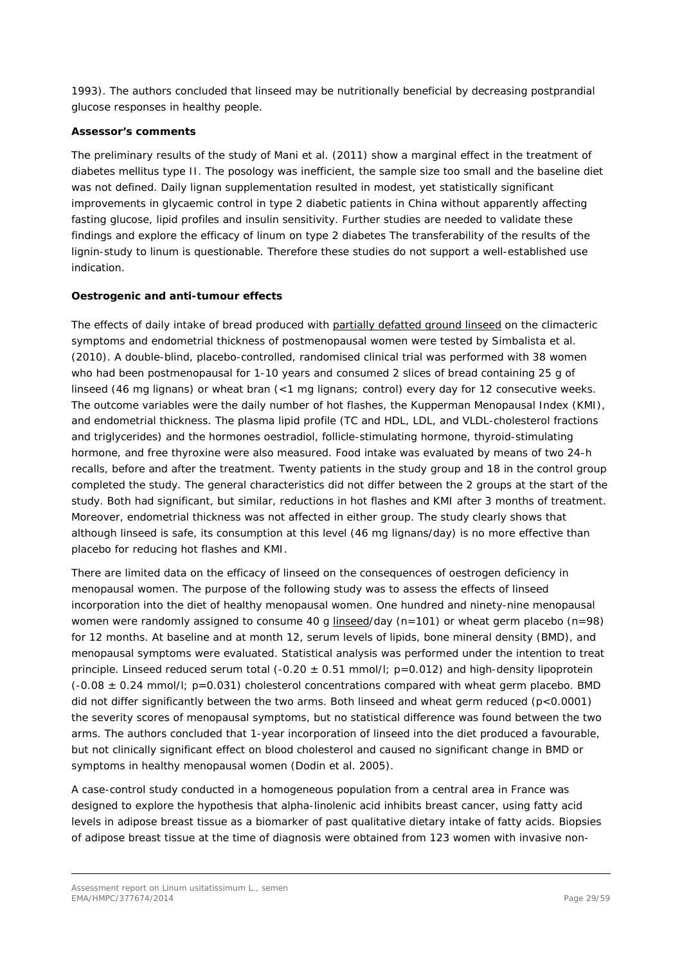1993). The authors concluded that linseed may be nutritionally beneficial by decreasing postprandial glucose responses in healthy people.

#### *Assessor's comments*

*The preliminary results of the study of Mani et al. (2011) show a marginal effect in the treatment of diabetes mellitus type II. The posology was inefficient, the sample size too small and the baseline diet was not defined. Daily lignan supplementation resulted in modest, yet statistically significant improvements in glycaemic control in type 2 diabetic patients in China without apparently affecting fasting glucose, lipid profiles and insulin sensitivity. Further studies are needed to validate these findings and explore the efficacy of linum on type 2 diabetes The transferability of the results of the lignin-study to linum is questionable. Therefore these studies do not support a well-established use indication.*

### *Oestrogenic and anti-tumour effects*

The effects of daily intake of bread produced with partially defatted ground linseed on the climacteric symptoms and endometrial thickness of postmenopausal women were tested by Simbalista *et al.*  (2010)*.* A double-blind, placebo-controlled, randomised clinical trial was performed with 38 women who had been postmenopausal for 1-10 years and consumed 2 slices of bread containing 25 g of linseed (46 mg lignans) or wheat bran (<1 mg lignans; control) every day for 12 consecutive weeks. The outcome variables were the daily number of hot flashes, the Kupperman Menopausal Index (KMI), and endometrial thickness. The plasma lipid profile (TC and HDL, LDL, and VLDL-cholesterol fractions and triglycerides) and the hormones oestradiol, follicle-stimulating hormone, thyroid-stimulating hormone, and free thyroxine were also measured. Food intake was evaluated by means of two 24-h recalls, before and after the treatment. Twenty patients in the study group and 18 in the control group completed the study. The general characteristics did not differ between the 2 groups at the start of the study. Both had significant, but similar, reductions in hot flashes and KMI after 3 months of treatment. Moreover, endometrial thickness was not affected in either group. The study clearly shows that although linseed is safe, its consumption at this level (46 mg lignans/day) is no more effective than placebo for reducing hot flashes and KMI.

There are limited data on the efficacy of linseed on the consequences of oestrogen deficiency in menopausal women. The purpose of the following study was to assess the effects of linseed incorporation into the diet of healthy menopausal women. One hundred and ninety-nine menopausal women were randomly assigned to consume 40 g linseed/day (n=101) or wheat germ placebo (n=98) for 12 months. At baseline and at month 12, serum levels of lipids, bone mineral density (BMD), and menopausal symptoms were evaluated. Statistical analysis was performed under the intention to treat principle. Linseed reduced serum total  $(-0.20 \pm 0.51 \text{ mmol/l}; p=0.012)$  and high-density lipoprotein  $(-0.08 \pm 0.24$  mmol/l; p=0.031) cholesterol concentrations compared with wheat germ placebo. BMD did not differ significantly between the two arms. Both linseed and wheat germ reduced (p<0.0001) the severity scores of menopausal symptoms, but no statistical difference was found between the two arms. The authors concluded that 1-year incorporation of linseed into the diet produced a favourable, but not clinically significant effect on blood cholesterol and caused no significant change in BMD or symptoms in healthy menopausal women (Dodin *et al.* 2005).

A case-control study conducted in a homogeneous population from a central area in France was designed to explore the hypothesis that alpha-linolenic acid inhibits breast cancer, using fatty acid levels in adipose breast tissue as a biomarker of past qualitative dietary intake of fatty acids. Biopsies of adipose breast tissue at the time of diagnosis were obtained from 123 women with invasive non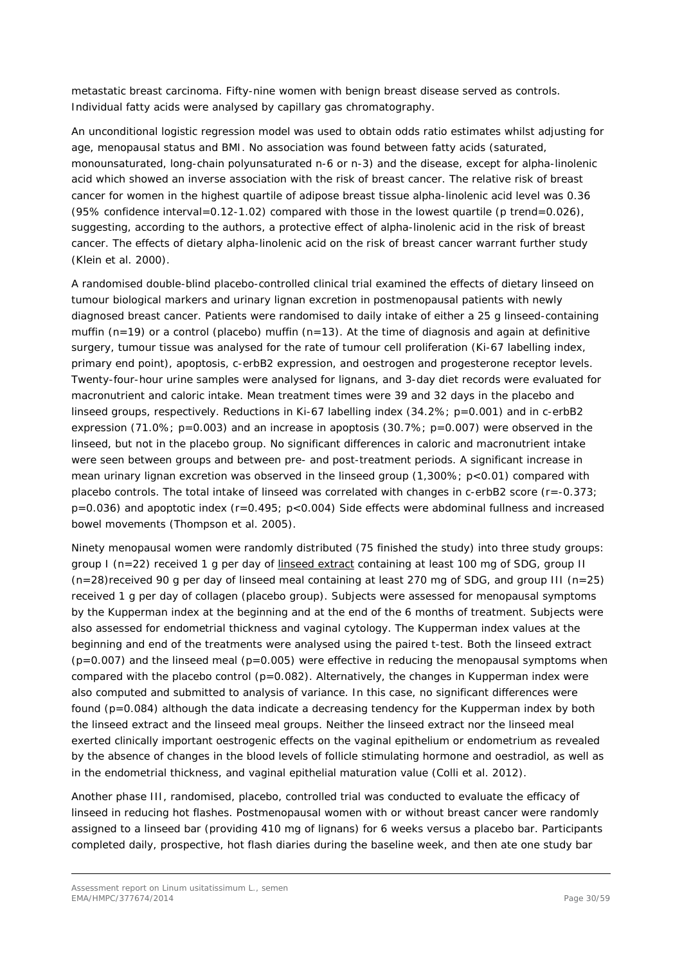metastatic breast carcinoma. Fifty-nine women with benign breast disease served as controls. Individual fatty acids were analysed by capillary gas chromatography.

An unconditional logistic regression model was used to obtain odds ratio estimates whilst adjusting for age, menopausal status and BMI. No association was found between fatty acids (saturated, monounsaturated, long-chain polyunsaturated n-6 or n-3) and the disease, except for alpha-linolenic acid which showed an inverse association with the risk of breast cancer. The relative risk of breast cancer for women in the highest quartile of adipose breast tissue alpha-linolenic acid level was 0.36 (95% confidence interval=0.12-1.02) compared with those in the lowest quartile (p trend=0.026), suggesting, according to the authors, a protective effect of alpha-linolenic acid in the risk of breast cancer. The effects of dietary alpha-linolenic acid on the risk of breast cancer warrant further study (Klein *et al.* 2000).

A randomised double-blind placebo-controlled clinical trial examined the effects of dietary linseed on tumour biological markers and urinary lignan excretion in postmenopausal patients with newly diagnosed breast cancer. Patients were randomised to daily intake of either a 25 g linseed-containing muffin ( $n=19$ ) or a control (placebo) muffin ( $n=13$ ). At the time of diagnosis and again at definitive surgery, tumour tissue was analysed for the rate of tumour cell proliferation (Ki-67 labelling index, primary end point), apoptosis, c-erbB2 expression, and oestrogen and progesterone receptor levels. Twenty-four-hour urine samples were analysed for lignans, and 3-day diet records were evaluated for macronutrient and caloric intake. Mean treatment times were 39 and 32 days in the placebo and linseed groups, respectively. Reductions in Ki-67 labelling index (34.2%; p=0.001) and in c-erbB2 expression (71.0%; p=0.003) and an increase in apoptosis (30.7%; p=0.007) were observed in the linseed, but not in the placebo group. No significant differences in caloric and macronutrient intake were seen between groups and between pre- and post-treatment periods. A significant increase in mean urinary lignan excretion was observed in the linseed group (1,300%; p<0.01) compared with placebo controls. The total intake of linseed was correlated with changes in c-erbB2 score (r=-0.373; p=0.036) and apoptotic index (r=0.495; p<0.004) Side effects were abdominal fullness and increased bowel movements (Thompson *et al.* 2005).

Ninety menopausal women were randomly distributed (75 finished the study) into three study groups: group I (n=22) received 1 g per day of linseed extract containing at least 100 mg of SDG, group II  $(n=28)$ received 90 g per day of linseed meal containing at least 270 mg of SDG, and group III (n=25) received 1 g per day of collagen (placebo group). Subjects were assessed for menopausal symptoms by the Kupperman index at the beginning and at the end of the 6 months of treatment. Subjects were also assessed for endometrial thickness and vaginal cytology. The Kupperman index values at the beginning and end of the treatments were analysed using the paired t-test. Both the linseed extract  $(p=0.007)$  and the linseed meal  $(p=0.005)$  were effective in reducing the menopausal symptoms when compared with the placebo control ( $p=0.082$ ). Alternatively, the changes in Kupperman index were also computed and submitted to analysis of variance. In this case, no significant differences were found (p=0.084) although the data indicate a decreasing tendency for the Kupperman index by both the linseed extract and the linseed meal groups. Neither the linseed extract nor the linseed meal exerted clinically important oestrogenic effects on the vaginal epithelium or endometrium as revealed by the absence of changes in the blood levels of follicle stimulating hormone and oestradiol, as well as in the endometrial thickness, and vaginal epithelial maturation value (Colli *et al.* 2012).

Another phase III, randomised, placebo, controlled trial was conducted to evaluate the efficacy of linseed in reducing hot flashes. Postmenopausal women with or without breast cancer were randomly assigned to a linseed bar (providing 410 mg of lignans) for 6 weeks versus a placebo bar. Participants completed daily, prospective, hot flash diaries during the baseline week, and then ate one study bar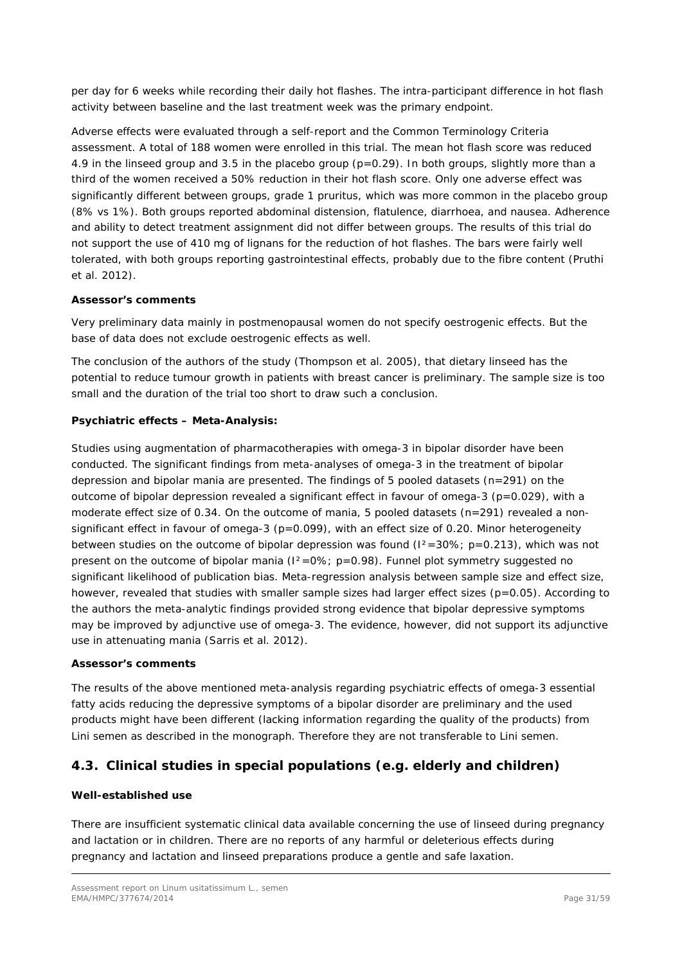per day for 6 weeks while recording their daily hot flashes. The intra-participant difference in hot flash activity between baseline and the last treatment week was the primary endpoint.

Adverse effects were evaluated through a self-report and the Common Terminology Criteria assessment. A total of 188 women were enrolled in this trial. The mean hot flash score was reduced 4.9 in the linseed group and 3.5 in the placebo group ( $p=0.29$ ). In both groups, slightly more than a third of the women received a 50% reduction in their hot flash score. Only one adverse effect was significantly different between groups, grade 1 pruritus, which was more common in the placebo group (8% vs 1%). Both groups reported abdominal distension, flatulence, diarrhoea, and nausea. Adherence and ability to detect treatment assignment did not differ between groups. The results of this trial do not support the use of 410 mg of lignans for the reduction of hot flashes. The bars were fairly well tolerated, with both groups reporting gastrointestinal effects, probably due to the fibre content (Pruthi *et al.* 2012).

### *Assessor's comments*

*Very preliminary data mainly in postmenopausal women do not specify oestrogenic effects. But the base of data does not exclude oestrogenic effects as well.* 

*The conclusion of the authors of the study (Thompson et al. 2005), that dietary linseed has the potential to reduce tumour growth in patients with breast cancer is preliminary. The sample size is too small and the duration of the trial too short to draw such a conclusion.* 

## *Psychiatric effects – Meta-Analysis:*

Studies using augmentation of pharmacotherapies with omega-3 in bipolar disorder have been conducted. The significant findings from meta-analyses of omega-3 in the treatment of bipolar depression and bipolar mania are presented. The findings of 5 pooled datasets ( $n=291$ ) on the outcome of bipolar depression revealed a significant effect in favour of omega-3 ( $p=0.029$ ), with a moderate effect size of 0.34. On the outcome of mania, 5 pooled datasets (n=291) revealed a nonsignificant effect in favour of omega-3 ( $p=0.099$ ), with an effect size of 0.20. Minor heterogeneity between studies on the outcome of bipolar depression was found  $(1^2=30\%; p=0.213)$ , which was not present on the outcome of bipolar mania  $(1^2=0\%)$ ; p=0.98). Funnel plot symmetry suggested no significant likelihood of publication bias. Meta-regression analysis between sample size and effect size, however, revealed that studies with smaller sample sizes had larger effect sizes (p=0.05). According to the authors the meta-analytic findings provided strong evidence that bipolar depressive symptoms may be improved by adjunctive use of omega-3. The evidence, however, did not support its adjunctive use in attenuating mania (Sarris *et al.* 2012).

#### *Assessor's comments*

*The results of the above mentioned meta-analysis regarding psychiatric effects of omega-3 essential fatty acids reducing the depressive symptoms of a bipolar disorder are preliminary and the used products might have been different (lacking information regarding the quality of the products) from Lini semen as described in the monograph. Therefore they are not transferable to Lini semen.*

# <span id="page-30-0"></span>*4.3. Clinical studies in special populations (e.g. elderly and children)*

## **Well-established use**

There are insufficient systematic clinical data available concerning the use of linseed during pregnancy and lactation or in children. There are no reports of any harmful or deleterious effects during pregnancy and lactation and linseed preparations produce a gentle and safe laxation.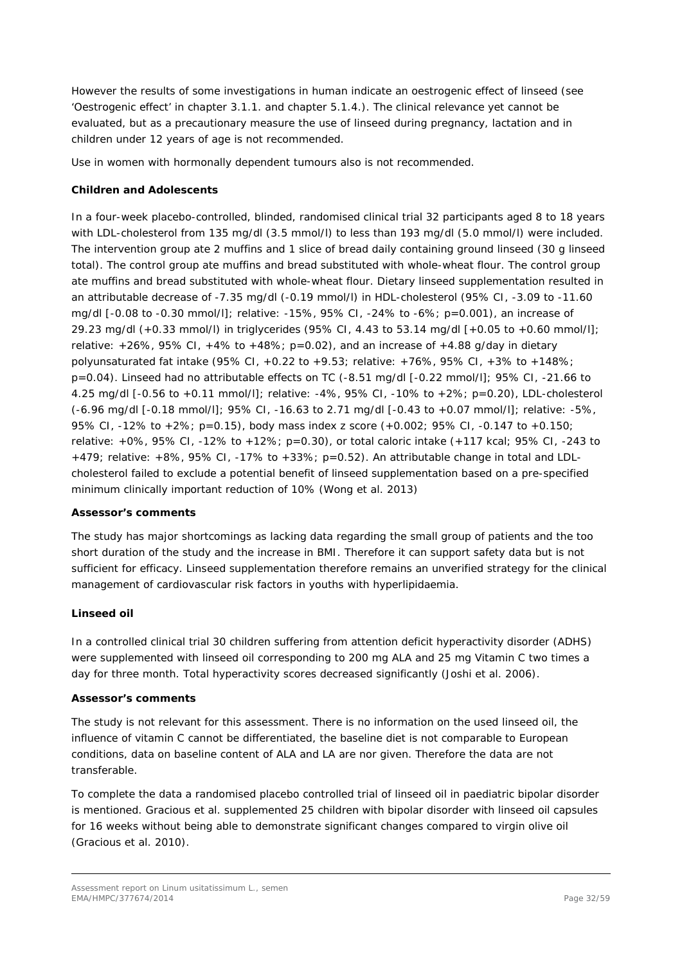However the results of some investigations in human indicate an oestrogenic effect of linseed (see 'Oestrogenic effect' in chapter 3.1.1. and chapter 5.1.4.). The clinical relevance yet cannot be evaluated, but as a precautionary measure the use of linseed during pregnancy, lactation and in children under 12 years of age is not recommended.

Use in women with hormonally dependent tumours also is not recommended.

### **Children and Adolescents**

In a four-week placebo-controlled, blinded, randomised clinical trial 32 participants aged 8 to 18 years with LDL-cholesterol from 135 mg/dl (3.5 mmol/l) to less than 193 mg/dl (5.0 mmol/l) were included. The intervention group ate 2 muffins and 1 slice of bread daily containing ground linseed (30 g linseed total). The control group ate muffins and bread substituted with whole-wheat flour. The control group ate muffins and bread substituted with whole-wheat flour. Dietary linseed supplementation resulted in an attributable decrease of -7.35 mg/dl (-0.19 mmol/l) in HDL-cholesterol (95% CI, -3.09 to -11.60 mg/dl [-0.08 to -0.30 mmol/l]; relative: -15%, 95% CI, -24% to -6%; p=0.001), an increase of 29.23 mg/dl (+0.33 mmol/l) in triglycerides (95% CI, 4.43 to 53.14 mg/dl [+0.05 to +0.60 mmol/l]; relative:  $+26\%$ , 95% CI,  $+4\%$  to  $+48\%$ ; p=0.02), and an increase of  $+4.88$  g/day in dietary polyunsaturated fat intake (95% CI, +0.22 to +9.53; relative: +76%, 95% CI, +3% to +148%; p=0.04). Linseed had no attributable effects on TC (-8.51 mg/dl [-0.22 mmol/l]; 95% CI, -21.66 to 4.25 mg/dl [-0.56 to +0.11 mmol/l]; relative: -4%, 95% CI, -10% to +2%; p=0.20), LDL-cholesterol (-6.96 mg/dl [-0.18 mmol/l]; 95% CI, -16.63 to 2.71 mg/dl [-0.43 to +0.07 mmol/l]; relative: -5%, 95% CI, -12% to +2%; p=0.15), body mass index z score (+0.002; 95% CI, -0.147 to +0.150; relative: +0%, 95% CI, -12% to +12%; p=0.30), or total caloric intake (+117 kcal; 95% CI, -243 to +479; relative: +8%, 95% CI, -17% to +33%; p=0.52). An attributable change in total and LDLcholesterol failed to exclude a potential benefit of linseed supplementation based on a pre-specified minimum clinically important reduction of 10% (Wong *et al.* 2013)

#### *Assessor's comments*

*The study has major shortcomings as lacking data regarding the small group of patients and the too short duration of the study and the increase in BMI. Therefore it can support safety data but is not sufficient for efficacy. Linseed supplementation therefore remains an unverified strategy for the clinical management of cardiovascular risk factors in youths with hyperlipidaemia.*

#### **Linseed oil**

In a controlled clinical trial 30 children suffering from attention deficit hyperactivity disorder (ADHS) were supplemented with linseed oil corresponding to 200 mg ALA and 25 mg Vitamin C two times a day for three month. Total hyperactivity scores decreased significantly (Joshi *et al.* 2006).

#### *Assessor's comments*

*The study is not relevant for this assessment. There is no information on the used linseed oil, the influence of vitamin C cannot be differentiated, the baseline diet is not comparable to European conditions, data on baseline content of ALA and LA are nor given. Therefore the data are not transferable.*

*To complete the data a randomised placebo controlled trial of linseed oil in paediatric bipolar disorder is mentioned. Gracious et al. supplemented 25 children with bipolar disorder with linseed oil capsules*  for 16 weeks without being able to demonstrate significant changes compared to virgin olive oil *(Gracious et al. 2010).*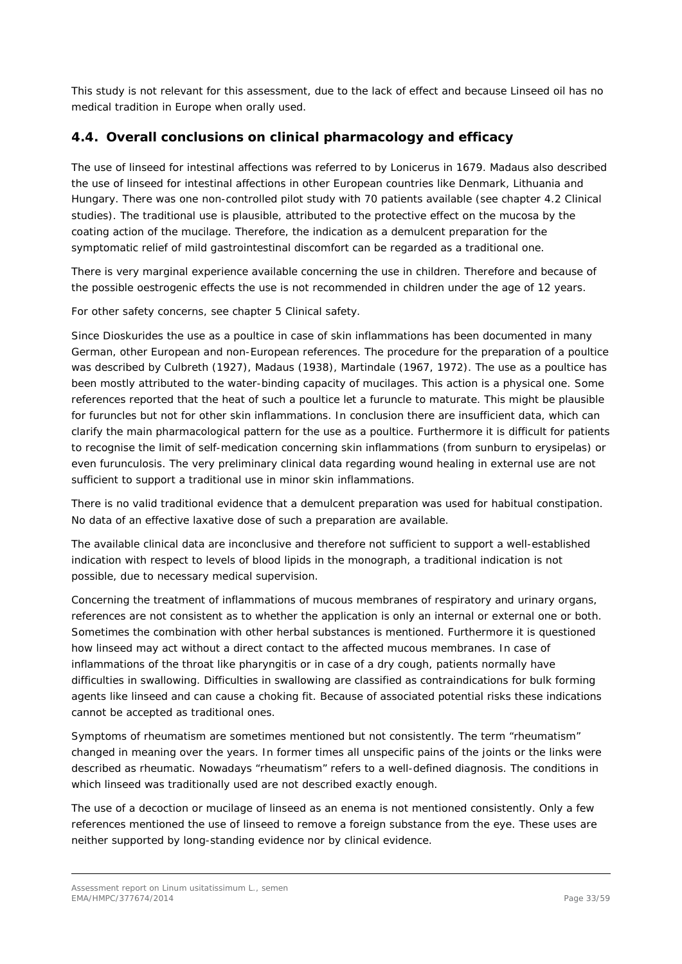*This study is not relevant for this assessment, due to the lack of effect and because Linseed oil has no medical tradition in Europe when orally used.*

# <span id="page-32-0"></span>*4.4. Overall conclusions on clinical pharmacology and efficacy*

The use of linseed for intestinal affections was referred to by Lonicerus in 1679. Madaus also described the use of linseed for intestinal affections in other European countries like Denmark, Lithuania and Hungary. There was one non-controlled pilot study with 70 patients available (see chapter 4.2 Clinical studies). The traditional use is plausible, attributed to the protective effect on the mucosa by the coating action of the mucilage. Therefore, the indication as a demulcent preparation for the symptomatic relief of mild gastrointestinal discomfort can be regarded as a traditional one.

There is very marginal experience available concerning the use in children. Therefore and because of the possible oestrogenic effects the use is not recommended in children under the age of 12 years.

For other safety concerns, see chapter 5 Clinical safety.

Since Dioskurides the use as a poultice in case of skin inflammations has been documented in many German, other European and non-European references. The procedure for the preparation of a poultice was described by Culbreth (1927), Madaus (1938), Martindale (1967, 1972). The use as a poultice has been mostly attributed to the water-binding capacity of mucilages. This action is a physical one. Some references reported that the heat of such a poultice let a furuncle to maturate. This might be plausible for furuncles but not for other skin inflammations. In conclusion there are insufficient data, which can clarify the main pharmacological pattern for the use as a poultice. Furthermore it is difficult for patients to recognise the limit of self-medication concerning skin inflammations (from sunburn to erysipelas) or even furunculosis. The very preliminary clinical data regarding wound healing in external use are not sufficient to support a traditional use in minor skin inflammations.

There is no valid traditional evidence that a demulcent preparation was used for habitual constipation. No data of an effective laxative dose of such a preparation are available.

The available clinical data are inconclusive and therefore not sufficient to support a well-established indication with respect to levels of blood lipids in the monograph, a traditional indication is not possible, due to necessary medical supervision.

Concerning the treatment of inflammations of mucous membranes of respiratory and urinary organs, references are not consistent as to whether the application is only an internal or external one or both. Sometimes the combination with other herbal substances is mentioned. Furthermore it is questioned how linseed may act without a direct contact to the affected mucous membranes. In case of inflammations of the throat like pharyngitis or in case of a dry cough, patients normally have difficulties in swallowing. Difficulties in swallowing are classified as contraindications for bulk forming agents like linseed and can cause a choking fit. Because of associated potential risks these indications cannot be accepted as traditional ones.

Symptoms of rheumatism are sometimes mentioned but not consistently. The term "rheumatism" changed in meaning over the years. In former times all unspecific pains of the joints or the links were described as rheumatic. Nowadays "rheumatism" refers to a well-defined diagnosis. The conditions in which linseed was traditionally used are not described exactly enough.

The use of a decoction or mucilage of linseed as an enema is not mentioned consistently. Only a few references mentioned the use of linseed to remove a foreign substance from the eye. These uses are neither supported by long-standing evidence nor by clinical evidence.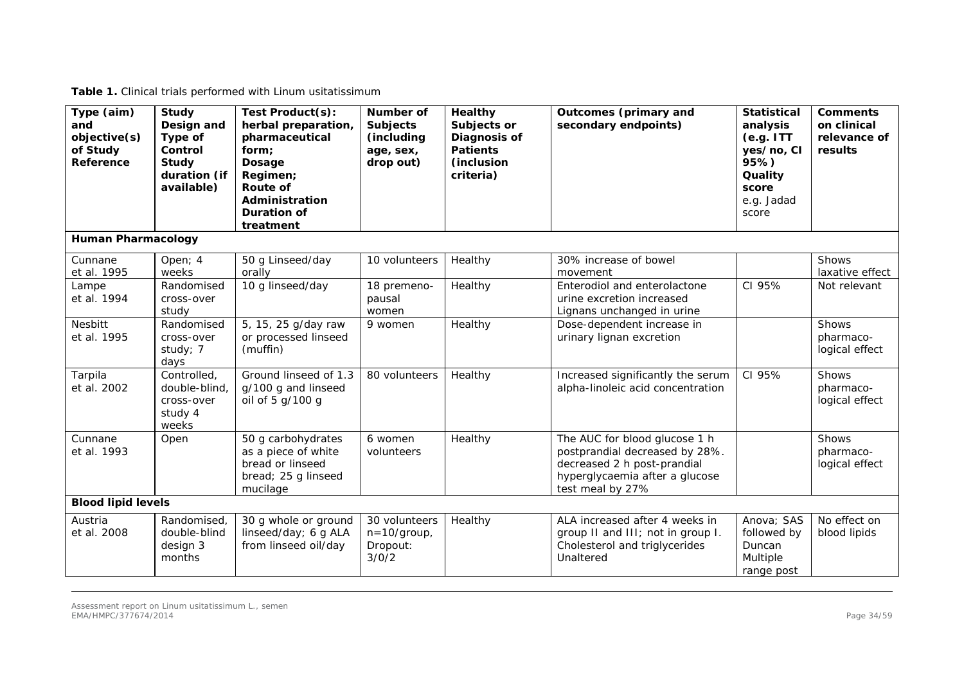|  | Table 1. Clinical trials performed with Linum usitatissimum |
|--|-------------------------------------------------------------|
|--|-------------------------------------------------------------|

| Type (aim)<br>and<br>objective(s)<br>of Study<br>Reference | <b>Study</b><br>Design and<br>Type of<br>Control<br><b>Study</b><br>duration (if<br>available) | Test Product(s):<br>herbal preparation,<br>pharmaceutical<br>form;<br>Dosage<br>Regimen;<br>Route of<br>Administration<br>Duration of<br>treatment | <b>Number of</b><br><b>Subjects</b><br>(including<br>age, sex,<br>drop out) | <b>Healthy</b><br>Subjects or<br>Diagnosis of<br><b>Patients</b><br>(inclusion<br>criteria) | <b>Outcomes (primary and</b><br>secondary endpoints)                                                                                                 | <b>Statistical</b><br>analysis<br>(e.g. ITT)<br>yes/no, CI<br>95%<br>Quality<br>score<br>e.g. Jadad<br>score | <b>Comments</b><br>on clinical<br>relevance of<br>results |
|------------------------------------------------------------|------------------------------------------------------------------------------------------------|----------------------------------------------------------------------------------------------------------------------------------------------------|-----------------------------------------------------------------------------|---------------------------------------------------------------------------------------------|------------------------------------------------------------------------------------------------------------------------------------------------------|--------------------------------------------------------------------------------------------------------------|-----------------------------------------------------------|
| <b>Human Pharmacology</b>                                  |                                                                                                |                                                                                                                                                    |                                                                             |                                                                                             |                                                                                                                                                      |                                                                                                              |                                                           |
| Cunnane<br>et al. 1995                                     | Open; 4<br>weeks                                                                               | 50 g Linseed/day<br>orally                                                                                                                         | 10 volunteers                                                               | Healthy                                                                                     | 30% increase of bowel<br>movement                                                                                                                    |                                                                                                              | <b>Shows</b><br>laxative effect                           |
| Lampe<br>et al. 1994                                       | Randomised<br>cross-over<br>study                                                              | 10 g linseed/day                                                                                                                                   | 18 premeno-<br>pausal<br>women                                              | Healthy                                                                                     | Enterodiol and enterolactone<br>urine excretion increased<br>Lignans unchanged in urine                                                              | CI 95%                                                                                                       | Not relevant                                              |
| Nesbitt<br>et al. 1995                                     | Randomised<br>cross-over<br>study; 7<br>days                                                   | 5, 15, 25 g/day raw<br>or processed linseed<br>(muffin)                                                                                            | 9 women                                                                     | Healthy                                                                                     | Dose-dependent increase in<br>urinary lignan excretion                                                                                               |                                                                                                              | Shows<br>pharmaco-<br>logical effect                      |
| Tarpila<br>et al. 2002                                     | Controlled,<br>double-blind,<br>cross-over<br>study 4<br>weeks                                 | Ground linseed of 1.3<br>g/100 g and linseed<br>oil of 5 g/100 g                                                                                   | 80 volunteers                                                               | Healthy                                                                                     | Increased significantly the serum<br>alpha-linoleic acid concentration                                                                               | CI 95%                                                                                                       | Shows<br>pharmaco-<br>logical effect                      |
| Cunnane<br>et al. 1993                                     | Open                                                                                           | 50 g carbohydrates<br>as a piece of white<br>bread or linseed<br>bread; 25 g linseed<br>mucilage                                                   | 6 women<br>volunteers                                                       | Healthy                                                                                     | The AUC for blood glucose 1 h<br>postprandial decreased by 28%.<br>decreased 2 h post-prandial<br>hyperglycaemia after a glucose<br>test meal by 27% |                                                                                                              | Shows<br>pharmaco-<br>logical effect                      |
| <b>Blood lipid levels</b>                                  |                                                                                                |                                                                                                                                                    |                                                                             |                                                                                             |                                                                                                                                                      |                                                                                                              |                                                           |
| Austria<br>et al. 2008                                     | Randomised,<br>double-blind<br>design 3<br>months                                              | 30 g whole or ground<br>linseed/day; 6 g ALA<br>from linseed oil/day                                                                               | 30 volunteers<br>$n = 10$ /group,<br>Dropout:<br>3/0/2                      | Healthy                                                                                     | ALA increased after 4 weeks in<br>group II and III; not in group I.<br>Cholesterol and triglycerides<br>Unaltered                                    | Anova; SAS<br>followed by<br>Duncan<br>Multiple<br>range post                                                | No effect on<br>blood lipids                              |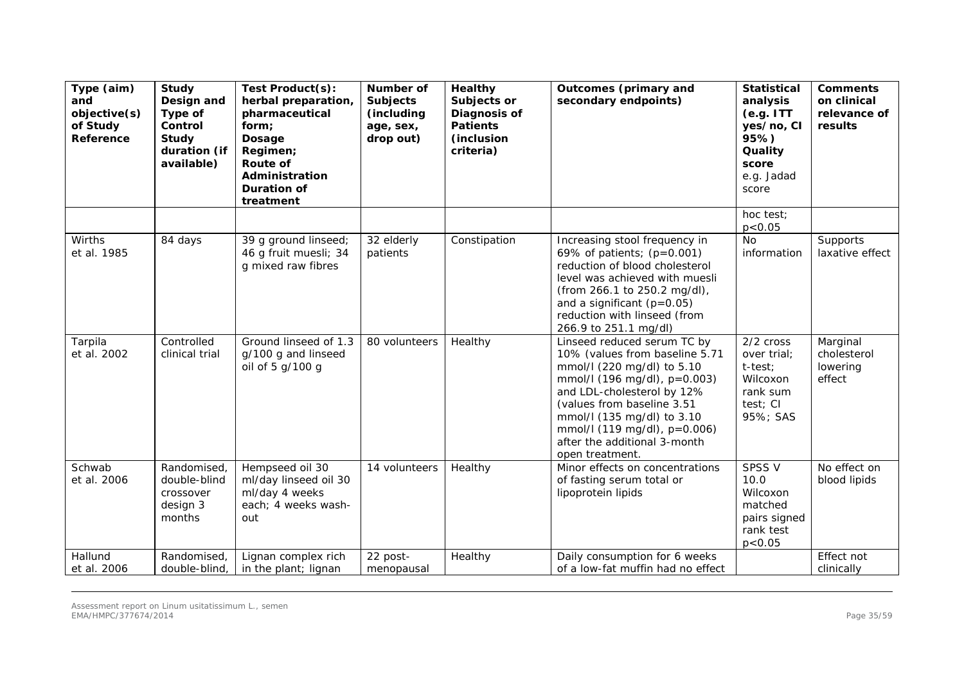| Type (aim)<br>and<br>objective(s)<br>of Study<br>Reference | Study<br>Design and<br>Type of<br>Control<br>Study<br>duration (if<br>available) | Test Product(s):<br>herbal preparation,<br>pharmaceutical<br>form;<br>Dosage<br>Regimen;<br><b>Route of</b><br>Administration<br><b>Duration of</b><br>treatment | Number of<br><b>Subjects</b><br>(including<br>age, sex,<br>drop out) | Healthy<br>Subjects or<br>Diagnosis of<br><b>Patients</b><br>(inclusion<br>criteria) | Outcomes (primary and<br>secondary endpoints)                                                                                                                                                                                                                                                            | <b>Statistical</b><br>analysis<br>(e.g. ITT)<br>yes/no, CI<br>95%)<br>Quality<br>score<br>e.g. Jadad<br>score | <b>Comments</b><br>on clinical<br>relevance of<br>results |
|------------------------------------------------------------|----------------------------------------------------------------------------------|------------------------------------------------------------------------------------------------------------------------------------------------------------------|----------------------------------------------------------------------|--------------------------------------------------------------------------------------|----------------------------------------------------------------------------------------------------------------------------------------------------------------------------------------------------------------------------------------------------------------------------------------------------------|---------------------------------------------------------------------------------------------------------------|-----------------------------------------------------------|
|                                                            |                                                                                  |                                                                                                                                                                  |                                                                      |                                                                                      |                                                                                                                                                                                                                                                                                                          | hoc test;<br>p < 0.05                                                                                         |                                                           |
| Wirths<br>et al. 1985                                      | 84 days                                                                          | 39 g ground linseed;<br>46 g fruit muesli; 34<br>g mixed raw fibres                                                                                              | 32 elderly<br>patients                                               | Constipation                                                                         | Increasing stool frequency in<br>69% of patients; $(p=0.001)$<br>reduction of blood cholesterol<br>level was achieved with muesli<br>(from 266.1 to 250.2 mg/dl),<br>and a significant ( $p=0.05$ )<br>reduction with linseed (from<br>266.9 to 251.1 mg/dl)                                             | No<br>information                                                                                             | Supports<br>laxative effect                               |
| Tarpila<br>et al. 2002                                     | Controlled<br>clinical trial                                                     | Ground linseed of 1.3<br>g/100 g and linseed<br>oil of 5 g/100 g                                                                                                 | 80 volunteers                                                        | Healthy                                                                              | Linseed reduced serum TC by<br>10% (values from baseline 5.71<br>mmol/l (220 mg/dl) to 5.10<br>mmol/l (196 mg/dl), p=0.003)<br>and LDL-cholesterol by 12%<br>(values from baseline 3.51<br>mmol/l (135 mg/dl) to 3.10<br>mmol/l (119 mg/dl), p=0.006)<br>after the additional 3-month<br>open treatment. | 2/2 cross<br>over trial;<br>t-test;<br>Wilcoxon<br>rank sum<br>test; CI<br>95%; SAS                           | Marginal<br>cholesterol<br>lowering<br>effect             |
| Schwab<br>et al. 2006                                      | Randomised,<br>double-blind<br>crossover<br>design 3<br>months                   | Hempseed oil 30<br>ml/day linseed oil 30<br>ml/day 4 weeks<br>each; 4 weeks wash-<br>out                                                                         | 14 volunteers                                                        | Healthy                                                                              | Minor effects on concentrations<br>of fasting serum total or<br>lipoprotein lipids                                                                                                                                                                                                                       | SPSS V<br>10.0<br>Wilcoxon<br>matched<br>pairs signed<br>rank test<br>p < 0.05                                | No effect on<br>blood lipids                              |
| Hallund<br>et al. 2006                                     | Randomised,<br>double-blind,                                                     | Lignan complex rich<br>in the plant; lignan                                                                                                                      | 22 post-<br>menopausal                                               | Healthy                                                                              | Daily consumption for 6 weeks<br>of a low-fat muffin had no effect                                                                                                                                                                                                                                       |                                                                                                               | Effect not<br>clinically                                  |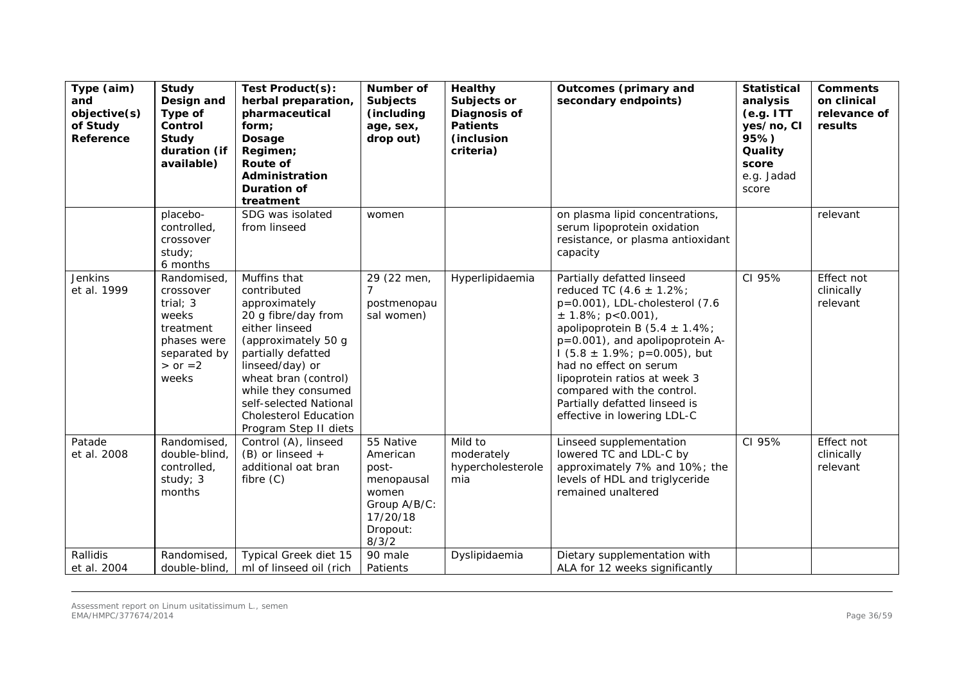| Type (aim)<br>and<br>objective(s)<br>of Study<br>Reference | <b>Study</b><br>Design and<br>Type of<br>Control<br>Study<br>duration (if<br>available)                             | Test Product(s):<br>herbal preparation,<br>pharmaceutical<br>form;<br>Dosage<br>Regimen;<br><b>Route of</b><br>Administration<br><b>Duration of</b><br>treatment                                                                                                                        | Number of<br><b>Subjects</b><br>(including<br>age, sex,<br>drop out)                                   | <b>Healthy</b><br>Subjects or<br>Diagnosis of<br><b>Patients</b><br>(inclusion<br>criteria) | <b>Outcomes (primary and</b><br>secondary endpoints)                                                                                                                                                                                                                                                                                                                                        | <b>Statistical</b><br>analysis<br>(e.g. ITT)<br>yes/no, CI<br>95%)<br>Quality<br>score<br>e.g. Jadad<br>score | <b>Comments</b><br>on clinical<br>relevance of<br>results |
|------------------------------------------------------------|---------------------------------------------------------------------------------------------------------------------|-----------------------------------------------------------------------------------------------------------------------------------------------------------------------------------------------------------------------------------------------------------------------------------------|--------------------------------------------------------------------------------------------------------|---------------------------------------------------------------------------------------------|---------------------------------------------------------------------------------------------------------------------------------------------------------------------------------------------------------------------------------------------------------------------------------------------------------------------------------------------------------------------------------------------|---------------------------------------------------------------------------------------------------------------|-----------------------------------------------------------|
|                                                            | placebo-<br>controlled,<br>crossover<br>study;<br>6 months                                                          | SDG was isolated<br>from linseed                                                                                                                                                                                                                                                        | women                                                                                                  |                                                                                             | on plasma lipid concentrations,<br>serum lipoprotein oxidation<br>resistance, or plasma antioxidant<br>capacity                                                                                                                                                                                                                                                                             |                                                                                                               | relevant                                                  |
| Jenkins<br>et al. 1999                                     | Randomised,<br>crossover<br>trial; $3$<br>weeks<br>treatment<br>phases were<br>separated by<br>$>$ or $=2$<br>weeks | Muffins that<br>contributed<br>approximately<br>20 g fibre/day from<br>either linseed<br>(approximately 50 g<br>partially defatted<br>linseed/day) or<br>wheat bran (control)<br>while they consumed<br>self-selected National<br><b>Cholesterol Education</b><br>Program Step II diets | 29 (22 men,<br>$\overline{7}$<br>postmenopau<br>sal women)                                             | Hyperlipidaemia                                                                             | Partially defatted linseed<br>reduced TC $(4.6 \pm 1.2\%)$<br>p=0.001), LDL-cholesterol (7.6<br>$\pm$ 1.8%; p<0.001),<br>apolipoprotein B $(5.4 \pm 1.4\%)$<br>p=0.001), and apolipoprotein A-<br>$1(5.8 \pm 1.9\%; p=0.005)$ , but<br>had no effect on serum<br>lipoprotein ratios at week 3<br>compared with the control.<br>Partially defatted linseed is<br>effective in lowering LDL-C | CI 95%                                                                                                        | Effect not<br>clinically<br>relevant                      |
| Patade<br>et al. 2008                                      | Randomised,<br>double-blind.<br>controlled,<br>study; 3<br>months                                                   | Control (A), linseed<br>$(B)$ or linseed $+$<br>additional oat bran<br>fibre $(C)$                                                                                                                                                                                                      | 55 Native<br>American<br>post-<br>menopausal<br>women<br>Group A/B/C:<br>17/20/18<br>Dropout:<br>8/3/2 | Mild to<br>moderately<br>hypercholesterole<br>mia                                           | Linseed supplementation<br>lowered TC and LDL-C by<br>approximately 7% and 10%; the<br>levels of HDL and triglyceride<br>remained unaltered                                                                                                                                                                                                                                                 | CI 95%                                                                                                        | Effect not<br>clinically<br>relevant                      |
| Rallidis<br>et al. 2004                                    | Randomised,<br>double-blind                                                                                         | Typical Greek diet 15<br>ml of linseed oil (rich                                                                                                                                                                                                                                        | 90 male<br>Patients                                                                                    | Dyslipidaemia                                                                               | Dietary supplementation with<br>ALA for 12 weeks significantly                                                                                                                                                                                                                                                                                                                              |                                                                                                               |                                                           |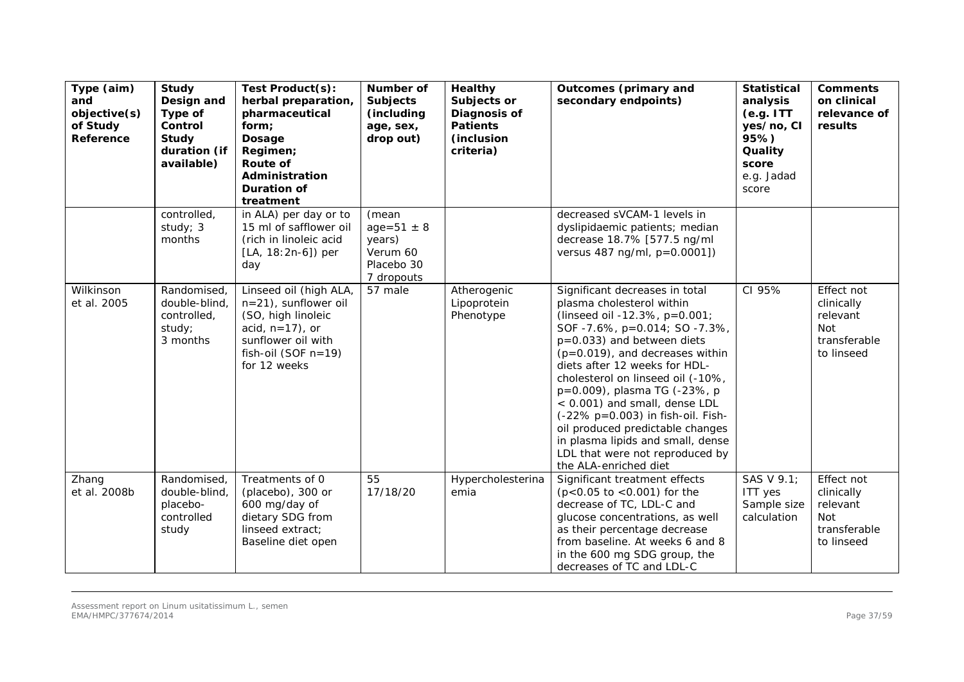| Type (aim)<br>and<br>objective(s)<br>of Study<br>Reference | Study<br>Design and<br>Type of<br>Control<br><b>Study</b><br>duration (if<br>available) | Test Product(s):<br>herbal preparation,<br>pharmaceutical<br>form;<br><b>Dosage</b><br>Regimen;<br>Route of<br>Administration<br><b>Duration of</b><br>treatment | Number of<br><b>Subjects</b><br>(including<br>age, sex,<br>drop out)        | <b>Healthy</b><br>Subjects or<br>Diagnosis of<br><b>Patients</b><br>(inclusion<br>criteria) | <b>Outcomes (primary and</b><br>secondary endpoints)                                                                                                                                                                                                                                                                                                                                                                                                                                                               | <b>Statistical</b><br>analysis<br>(e.g. ITT)<br>yes/no, CI<br>95%)<br>Quality<br>score<br>e.g. Jadad<br>score | <b>Comments</b><br>on clinical<br>relevance of<br>results                        |
|------------------------------------------------------------|-----------------------------------------------------------------------------------------|------------------------------------------------------------------------------------------------------------------------------------------------------------------|-----------------------------------------------------------------------------|---------------------------------------------------------------------------------------------|--------------------------------------------------------------------------------------------------------------------------------------------------------------------------------------------------------------------------------------------------------------------------------------------------------------------------------------------------------------------------------------------------------------------------------------------------------------------------------------------------------------------|---------------------------------------------------------------------------------------------------------------|----------------------------------------------------------------------------------|
|                                                            | controlled,<br>study; 3<br>months                                                       | in ALA) per day or to<br>15 ml of safflower oil<br>(rich in linoleic acid<br>[LA, 18:2n-6]) per<br>day                                                           | (mean<br>$age = 51 \pm 8$<br>years)<br>Verum 60<br>Placebo 30<br>7 dropouts |                                                                                             | decreased sVCAM-1 levels in<br>dyslipidaemic patients; median<br>decrease 18.7% [577.5 ng/ml<br>versus 487 ng/ml, p=0.0001])                                                                                                                                                                                                                                                                                                                                                                                       |                                                                                                               |                                                                                  |
| Wilkinson<br>et al. 2005                                   | Randomised,<br>double-blind,<br>controlled,<br>study;<br>3 months                       | Linseed oil (high ALA,<br>n=21), sunflower oil<br>(SO, high linoleic<br>acid, $n=17$ ), or<br>sunflower oil with<br>fish-oil (SOF $n=19$ )<br>for 12 weeks       | 57 male                                                                     | Atherogenic<br>Lipoprotein<br>Phenotype                                                     | Significant decreases in total<br>plasma cholesterol within<br>(linseed oil -12.3%, p=0.001;<br>SOF -7.6%, p=0.014; SO -7.3%,<br>p=0.033) and between diets<br>$(p=0.019)$ , and decreases within<br>diets after 12 weeks for HDL-<br>cholesterol on linseed oil (-10%,<br>p=0.009), plasma TG (-23%, p<br>< 0.001) and small, dense LDL<br>(-22% p=0.003) in fish-oil. Fish-<br>oil produced predictable changes<br>in plasma lipids and small, dense<br>LDL that were not reproduced by<br>the ALA-enriched diet | CI 95%                                                                                                        | Effect not<br>clinically<br>relevant<br><b>Not</b><br>transferable<br>to linseed |
| Zhang<br>et al. 2008b                                      | Randomised,<br>double-blind,<br>placebo-<br>controlled<br>study                         | Treatments of 0<br>(placebo), 300 or<br>600 mg/day of<br>dietary SDG from<br>linseed extract;<br>Baseline diet open                                              | 55<br>17/18/20                                                              | Hypercholesterina<br>emia                                                                   | Significant treatment effects<br>$(p<0.05$ to $<0.001$ ) for the<br>decrease of TC, LDL-C and<br>glucose concentrations, as well<br>as their percentage decrease<br>from baseline. At weeks 6 and 8<br>in the 600 mg SDG group, the<br>decreases of TC and LDL-C                                                                                                                                                                                                                                                   | SAS V 9.1;<br><b>ITT</b> yes<br>Sample size<br>calculation                                                    | Effect not<br>clinically<br>relevant<br><b>Not</b><br>transferable<br>to linseed |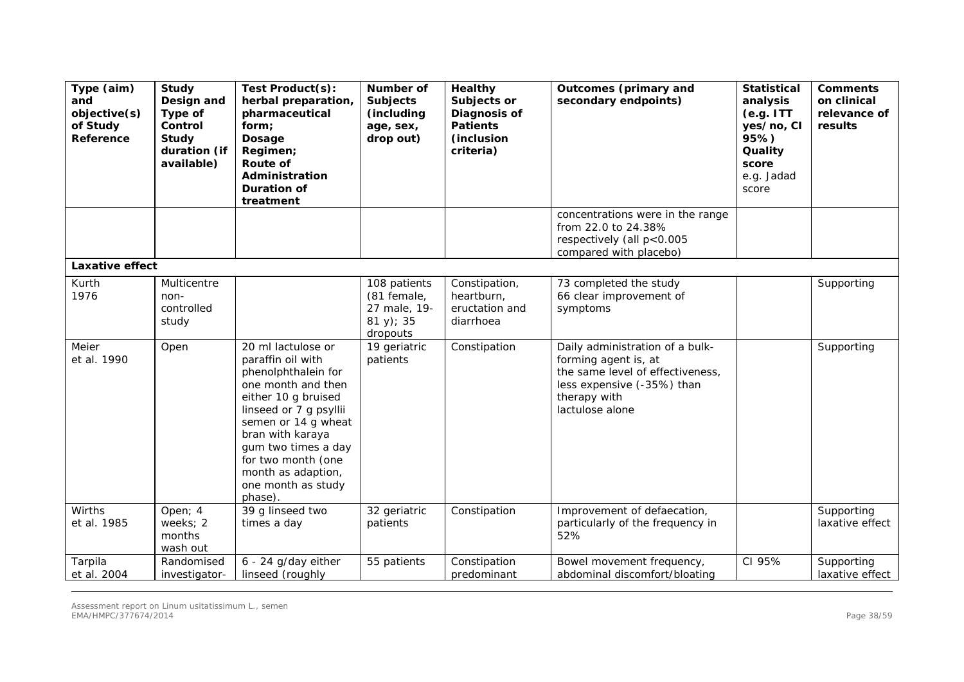| Type (aim)<br>and<br>objective(s)<br>of Study<br>Reference | <b>Study</b><br>Design and<br>Type of<br>Control<br>Study<br>duration (if<br>available) | Test Product(s):<br>herbal preparation,<br>pharmaceutical<br>form;<br>Dosage<br>Regimen;<br>Route of<br>Administration<br><b>Duration of</b><br>treatment                                                                                                                            | Number of<br><b>Subjects</b><br>(including<br>age, sex,<br>drop out)   | Healthy<br>Subjects or<br>Diagnosis of<br><b>Patients</b><br><i>(inclusion)</i><br>criteria) | <b>Outcomes (primary and</b><br>secondary endpoints)                                                                                                         | <b>Statistical</b><br>analysis<br>(e.g. ITT)<br>yes/no, CI<br>95%)<br>Quality<br>score<br>e.g. Jadad<br>score | <b>Comments</b><br>on clinical<br>relevance of<br>results |
|------------------------------------------------------------|-----------------------------------------------------------------------------------------|--------------------------------------------------------------------------------------------------------------------------------------------------------------------------------------------------------------------------------------------------------------------------------------|------------------------------------------------------------------------|----------------------------------------------------------------------------------------------|--------------------------------------------------------------------------------------------------------------------------------------------------------------|---------------------------------------------------------------------------------------------------------------|-----------------------------------------------------------|
|                                                            |                                                                                         |                                                                                                                                                                                                                                                                                      |                                                                        |                                                                                              | concentrations were in the range<br>from 22.0 to 24.38%<br>respectively (all p<0.005<br>compared with placebo)                                               |                                                                                                               |                                                           |
| Laxative effect                                            |                                                                                         |                                                                                                                                                                                                                                                                                      |                                                                        |                                                                                              |                                                                                                                                                              |                                                                                                               |                                                           |
| Kurth<br>1976                                              | Multicentre<br>non-<br>controlled<br>study                                              |                                                                                                                                                                                                                                                                                      | 108 patients<br>(81 female,<br>27 male, 19-<br>$81 y$ ; 35<br>dropouts | Constipation,<br>heartburn,<br>eructation and<br>diarrhoea                                   | 73 completed the study<br>66 clear improvement of<br>symptoms                                                                                                |                                                                                                               | Supporting                                                |
| Meier<br>et al. 1990                                       | Open                                                                                    | 20 ml lactulose or<br>paraffin oil with<br>phenolphthalein for<br>one month and then<br>either 10 g bruised<br>linseed or 7 g psyllii<br>semen or 14 g wheat<br>bran with karaya<br>gum two times a day<br>for two month (one<br>month as adaption,<br>one month as study<br>phase). | 19 geriatric<br>patients                                               | Constipation                                                                                 | Daily administration of a bulk-<br>forming agent is, at<br>the same level of effectiveness,<br>less expensive (-35%) than<br>therapy with<br>lactulose alone |                                                                                                               | Supporting                                                |
| Wirths<br>et al. 1985                                      | Open; 4<br>weeks; 2<br>months<br>wash out                                               | 39 g linseed two<br>times a day                                                                                                                                                                                                                                                      | 32 geriatric<br>patients                                               | Constipation                                                                                 | Improvement of defaecation,<br>particularly of the frequency in<br>52%                                                                                       |                                                                                                               | Supporting<br>laxative effect                             |
| Tarpila<br>et al. 2004                                     | Randomised<br>investigator-                                                             | $6 - 24$ g/day either<br>linseed (roughly                                                                                                                                                                                                                                            | 55 patients                                                            | Constipation<br>predominant                                                                  | Bowel movement frequency,<br>abdominal discomfort/bloating                                                                                                   | CI 95%                                                                                                        | Supporting<br>laxative effect                             |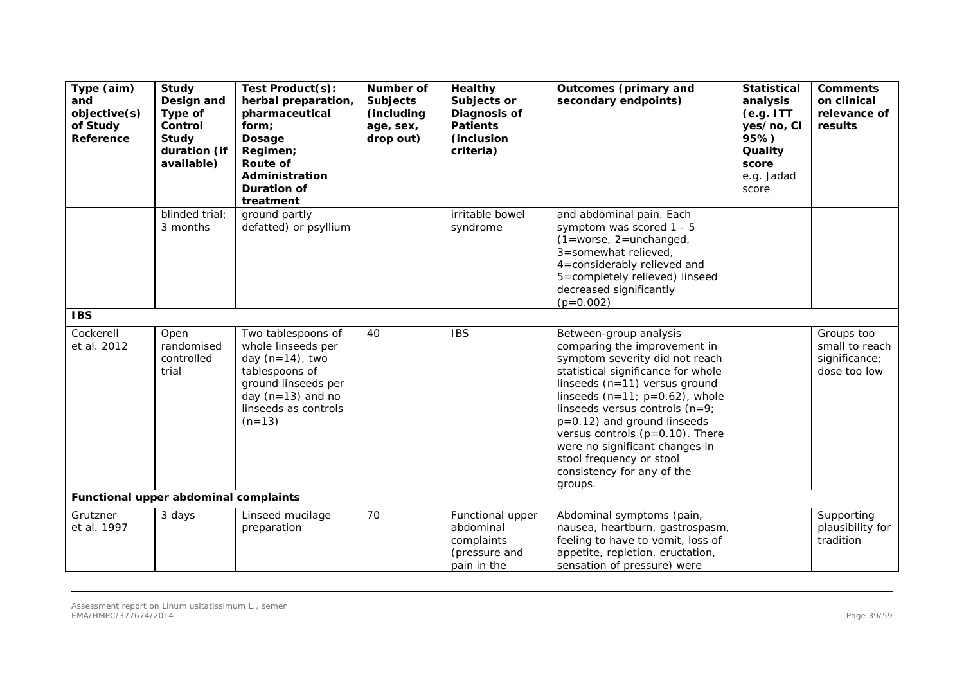| Type (aim)<br>and<br>objective(s)<br>of Study<br>Reference | Study<br>Design and<br>Type of<br>Control<br>Study<br>duration (if<br>available) | Test Product(s):<br>herbal preparation,<br>pharmaceutical<br>form;<br>Dosage<br>Regimen;<br>Route of<br>Administration<br><b>Duration of</b><br>treatment          | Number of<br><b>Subjects</b><br>(including<br>age, sex,<br>drop out) | <b>Healthy</b><br>Subjects or<br>Diagnosis of<br><b>Patients</b><br>(inclusion<br>criteria) | <b>Outcomes (primary and</b><br>secondary endpoints)                                                                                                                                                                                                                                                                                                                                                               | <b>Statistical</b><br>analysis<br>(e.g. ITT)<br>yes/no, CI<br>95%)<br>Quality<br>score<br>e.g. Jadad<br>score | <b>Comments</b><br>on clinical<br>relevance of<br>results     |
|------------------------------------------------------------|----------------------------------------------------------------------------------|--------------------------------------------------------------------------------------------------------------------------------------------------------------------|----------------------------------------------------------------------|---------------------------------------------------------------------------------------------|--------------------------------------------------------------------------------------------------------------------------------------------------------------------------------------------------------------------------------------------------------------------------------------------------------------------------------------------------------------------------------------------------------------------|---------------------------------------------------------------------------------------------------------------|---------------------------------------------------------------|
|                                                            | blinded trial;<br>3 months                                                       | ground partly<br>defatted) or psyllium                                                                                                                             |                                                                      | irritable bowel<br>syndrome                                                                 | and abdominal pain. Each<br>symptom was scored 1 - 5<br>$(1 = \text{worse}, 2 = \text{unchanged},$<br>3=somewhat relieved,<br>4=considerably relieved and<br>5=completely relieved) linseed<br>decreased significantly<br>$(p=0.002)$                                                                                                                                                                              |                                                                                                               |                                                               |
| <b>IBS</b>                                                 |                                                                                  |                                                                                                                                                                    |                                                                      |                                                                                             |                                                                                                                                                                                                                                                                                                                                                                                                                    |                                                                                                               |                                                               |
| Cockerell<br>et al. 2012                                   | Open<br>randomised<br>controlled<br>trial                                        | Two tablespoons of<br>whole linseeds per<br>day $(n=14)$ , two<br>tablespoons of<br>ground linseeds per<br>day $(n=13)$ and no<br>linseeds as controls<br>$(n=13)$ | 40                                                                   | <b>IBS</b>                                                                                  | Between-group analysis<br>comparing the improvement in<br>symptom severity did not reach<br>statistical significance for whole<br>linseeds (n=11) versus ground<br>linseeds $(n=11; p=0.62)$ , whole<br>linseeds versus controls (n=9;<br>p=0.12) and ground linseeds<br>versus controls $(p=0.10)$ . There<br>were no significant changes in<br>stool frequency or stool<br>consistency for any of the<br>groups. |                                                                                                               | Groups too<br>small to reach<br>significance;<br>dose too low |
| Functional upper abdominal complaints                      |                                                                                  |                                                                                                                                                                    |                                                                      |                                                                                             |                                                                                                                                                                                                                                                                                                                                                                                                                    |                                                                                                               |                                                               |
| Grutzner<br>et al. 1997                                    | 3 days                                                                           | Linseed mucilage<br>preparation                                                                                                                                    | 70                                                                   | Functional upper<br>abdominal<br>complaints<br>(pressure and<br>pain in the                 | Abdominal symptoms (pain,<br>nausea, heartburn, gastrospasm,<br>feeling to have to vomit, loss of<br>appetite, repletion, eructation,<br>sensation of pressure) were                                                                                                                                                                                                                                               |                                                                                                               | Supporting<br>plausibility for<br>tradition                   |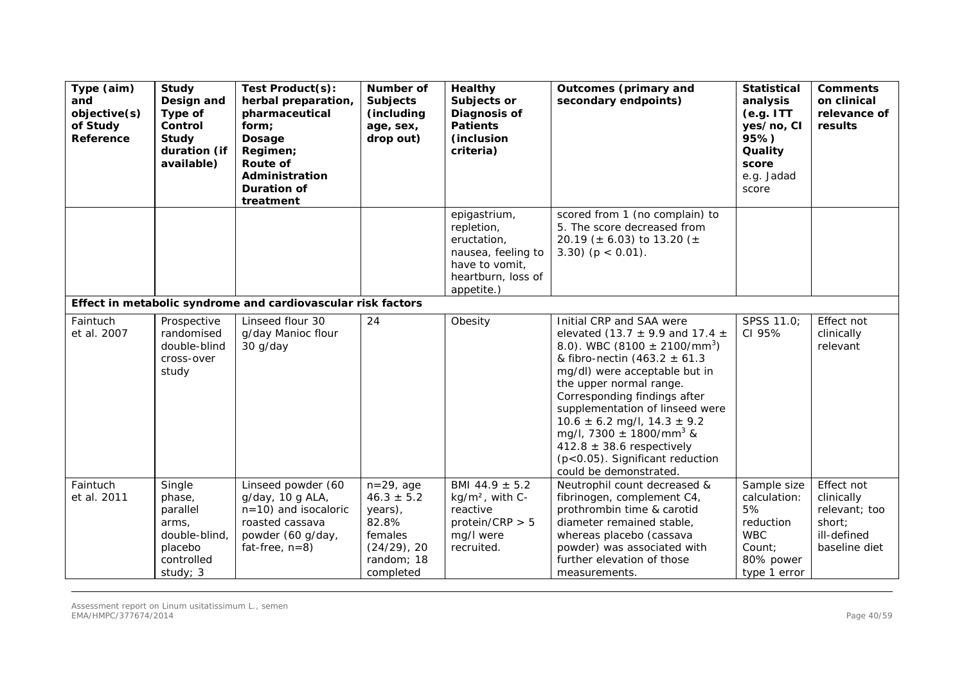| Type (aim)<br>and<br>objective(s)<br>of Study<br>Reference | Study<br>Design and<br>Type of<br>Control<br>Study<br>duration (if<br>available)            | Test Product(s):<br>herbal preparation,<br>pharmaceutical<br>form;<br>Dosage<br>Regimen;<br><b>Route of</b><br>Administration<br><b>Duration of</b><br>treatment | Number of<br><b>Subjects</b><br>(including<br>age, sex,<br>drop out)                                       | <b>Healthy</b><br>Subjects or<br>Diagnosis of<br><b>Patients</b><br>(inclusion<br>criteria)                           | <b>Outcomes (primary and</b><br>secondary endpoints)                                                                                                                                                                                                                                                                                                                                                                                                                    | <b>Statistical</b><br>analysis<br>(e.g. ITT)<br>yes/no, CI<br>95%)<br>Quality<br>score<br>e.g. Jadad<br>score | <b>Comments</b><br>on clinical<br>relevance of<br>results                           |
|------------------------------------------------------------|---------------------------------------------------------------------------------------------|------------------------------------------------------------------------------------------------------------------------------------------------------------------|------------------------------------------------------------------------------------------------------------|-----------------------------------------------------------------------------------------------------------------------|-------------------------------------------------------------------------------------------------------------------------------------------------------------------------------------------------------------------------------------------------------------------------------------------------------------------------------------------------------------------------------------------------------------------------------------------------------------------------|---------------------------------------------------------------------------------------------------------------|-------------------------------------------------------------------------------------|
|                                                            |                                                                                             |                                                                                                                                                                  |                                                                                                            | epigastrium,<br>repletion,<br>eructation,<br>nausea, feeling to<br>have to vomit,<br>heartburn, loss of<br>appetite.) | scored from 1 (no complain) to<br>5. The score decreased from<br>20.19 ( $\pm$ 6.03) to 13.20 ( $\pm$<br>3.30) ( $p < 0.01$ ).                                                                                                                                                                                                                                                                                                                                          |                                                                                                               |                                                                                     |
|                                                            |                                                                                             | Effect in metabolic syndrome and cardiovascular risk factors                                                                                                     |                                                                                                            |                                                                                                                       |                                                                                                                                                                                                                                                                                                                                                                                                                                                                         |                                                                                                               |                                                                                     |
| Faintuch<br>et al. 2007                                    | Prospective<br>randomised<br>double-blind<br>cross-over<br>study                            | Linseed flour 30<br>g/day Manioc flour<br>30 g/day                                                                                                               | 24                                                                                                         | Obesity                                                                                                               | Initial CRP and SAA were<br>elevated (13.7 $\pm$ 9.9 and 17.4 $\pm$<br>8.0). WBC (8100 $\pm$ 2100/mm <sup>3</sup> )<br>& fibro-nectin $(463.2 \pm 61.3)$<br>mg/dl) were acceptable but in<br>the upper normal range.<br>Corresponding findings after<br>supplementation of linseed were<br>$10.6 \pm 6.2$ mg/l, $14.3 \pm 9.2$<br>mg/l, 7300 $\pm$ 1800/mm <sup>3</sup> &<br>412.8 $\pm$ 38.6 respectively<br>(p<0.05). Significant reduction<br>could be demonstrated. | SPSS 11.0;<br>CI 95%                                                                                          | Effect not<br>clinically<br>relevant                                                |
| Faintuch<br>et al. 2011                                    | Single<br>phase,<br>parallel<br>arms.<br>double-blind,<br>placebo<br>controlled<br>study; 3 | Linseed powder (60<br>g/day, 10 g ALA,<br>$n=10$ ) and isocaloric<br>roasted cassava<br>powder (60 g/day,<br>fat-free, $n=8$ )                                   | $n=29$ , age<br>$46.3 \pm 5.2$<br>years),<br>82.8%<br>females<br>$(24/29)$ , 20<br>random; 18<br>completed | BMI 44.9 $\pm$ 5.2<br>kg/m <sup>2</sup> , with C-<br>reactive<br>protein/CRP $> 5$<br>mg/l were<br>recruited.         | Neutrophil count decreased &<br>fibrinogen, complement C4,<br>prothrombin time & carotid<br>diameter remained stable,<br>whereas placebo (cassava<br>powder) was associated with<br>further elevation of those<br>measurements.                                                                                                                                                                                                                                         | Sample size<br>calculation:<br>5%<br>reduction<br><b>WBC</b><br>Count:<br>80% power<br>type 1 error           | Effect not<br>clinically<br>relevant; too<br>short;<br>ill-defined<br>baseline diet |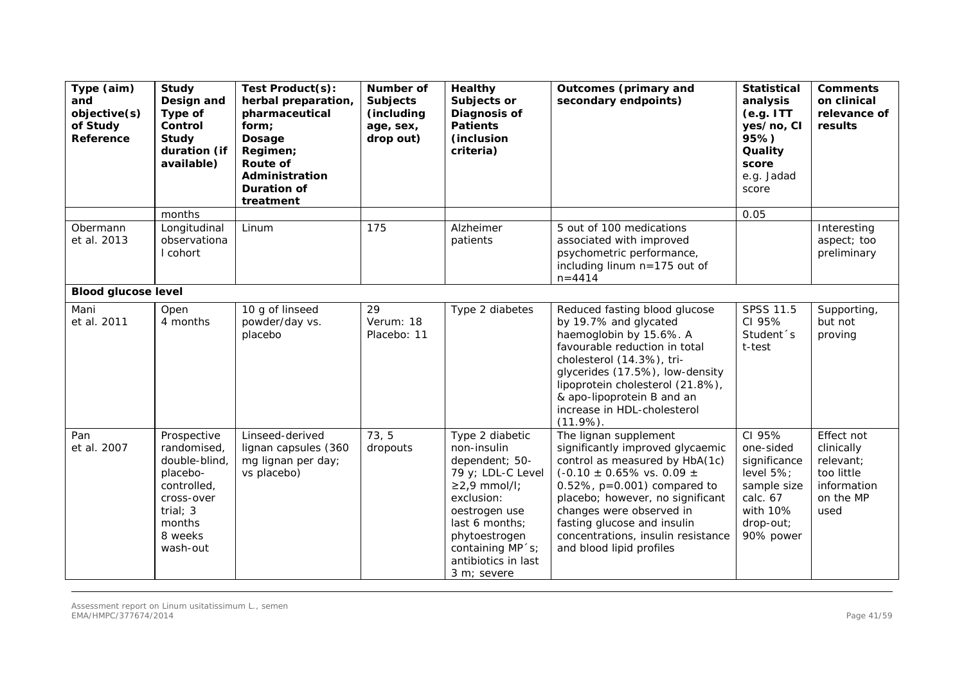| Type (aim)<br>and<br>objective(s)<br>of Study<br>Reference | Study<br>Design and<br>Type of<br>Control<br>Study<br>duration (if<br>available)                                                    | Test Product(s):<br>herbal preparation,<br>pharmaceutical<br>form;<br>Dosage<br>Regimen;<br>Route of<br>Administration<br><b>Duration of</b><br>treatment | <b>Number of</b><br><b>Subjects</b><br>(including<br>age, sex,<br>drop out) | <b>Healthy</b><br>Subjects or<br><b>Diagnosis of</b><br><b>Patients</b><br>(inclusion)<br>criteria)                                                                                                                      | <b>Outcomes (primary and</b><br>secondary endpoints)                                                                                                                                                                                                                                                                                                                                                                                                                                                                                                                                         | <b>Statistical</b><br>analysis<br>(e.g. ITT)<br>yes/no, CI<br>95%)<br>Quality<br>score<br>e.g. Jadad<br>score     | <b>Comments</b><br>on clinical<br>relevance of<br>results                               |
|------------------------------------------------------------|-------------------------------------------------------------------------------------------------------------------------------------|-----------------------------------------------------------------------------------------------------------------------------------------------------------|-----------------------------------------------------------------------------|--------------------------------------------------------------------------------------------------------------------------------------------------------------------------------------------------------------------------|----------------------------------------------------------------------------------------------------------------------------------------------------------------------------------------------------------------------------------------------------------------------------------------------------------------------------------------------------------------------------------------------------------------------------------------------------------------------------------------------------------------------------------------------------------------------------------------------|-------------------------------------------------------------------------------------------------------------------|-----------------------------------------------------------------------------------------|
|                                                            | months                                                                                                                              |                                                                                                                                                           |                                                                             |                                                                                                                                                                                                                          |                                                                                                                                                                                                                                                                                                                                                                                                                                                                                                                                                                                              | 0.05                                                                                                              |                                                                                         |
| Obermann<br>et al. 2013                                    | Longitudinal<br>observationa<br>I cohort                                                                                            | Linum                                                                                                                                                     | 175                                                                         | Alzheimer<br>patients                                                                                                                                                                                                    | 5 out of 100 medications<br>associated with improved<br>psychometric performance,<br>including linum n=175 out of<br>$n = 4414$                                                                                                                                                                                                                                                                                                                                                                                                                                                              |                                                                                                                   | Interesting<br>aspect; too<br>preliminary                                               |
| <b>Blood glucose level</b>                                 |                                                                                                                                     |                                                                                                                                                           |                                                                             |                                                                                                                                                                                                                          |                                                                                                                                                                                                                                                                                                                                                                                                                                                                                                                                                                                              |                                                                                                                   |                                                                                         |
| Mani<br>et al. 2011                                        | Open<br>4 months                                                                                                                    | 10 g of linseed<br>powder/day vs.<br>placebo                                                                                                              | 29<br>Verum: 18<br>Placebo: 11                                              | Type 2 diabetes                                                                                                                                                                                                          | Reduced fasting blood glucose<br>by 19.7% and glycated<br>haemoglobin by 15.6%. A<br>favourable reduction in total<br>cholesterol (14.3%), tri-<br>glycerides (17.5%), low-density<br>lipoprotein cholesterol (21.8%),<br>& apo-lipoprotein B and an<br>increase in HDL-cholesterol<br>$(11.9\%)$ .                                                                                                                                                                                                                                                                                          | SPSS 11.5<br>CI 95%<br>Student <sup>s</sup><br>t-test                                                             | Supporting,<br>but not<br>proving                                                       |
| Pan<br>et al. 2007                                         | Prospective<br>randomised,<br>double-blind,<br>placebo-<br>controlled,<br>cross-over<br>trial; $3$<br>months<br>8 weeks<br>wash-out | Linseed-derived<br>lignan capsules (360<br>mg lignan per day;<br>vs placebo)                                                                              | 73, 5<br>dropouts                                                           | Type 2 diabetic<br>non-insulin<br>dependent; 50-<br>79 y; LDL-C Level<br>$\geq$ 2,9 mmol/l;<br>exclusion:<br>oestrogen use<br>last 6 months;<br>phytoestrogen<br>containing MP 's;<br>antibiotics in last<br>3 m; severe | The lignan supplement<br>significantly improved glycaemic<br>control as measured by HbA(1c)<br>$(-0.10 \pm 0.65\% \text{ vs. } 0.09 \pm 0.009 \pm 0.009 \pm 0.009 \pm 0.009 \pm 0.009 \pm 0.009 \pm 0.009 \pm 0.009 \pm 0.009 \pm 0.009 \pm 0.009 \pm 0.009 \pm 0.009 \pm 0.009 \pm 0.009 \pm 0.009 \pm 0.009 \pm 0.009 \pm 0.009 \pm 0.009 \pm 0.009 \pm 0.009 \pm 0.009 \pm 0.009 \pm $<br>0.52%, $p=0.001$ ) compared to<br>placebo; however, no significant<br>changes were observed in<br>fasting glucose and insulin<br>concentrations, insulin resistance<br>and blood lipid profiles | CI 95%<br>one-sided<br>significance<br>level 5%;<br>sample size<br>calc. 67<br>with 10%<br>drop-out;<br>90% power | Effect not<br>clinically<br>relevant;<br>too little<br>information<br>on the MP<br>used |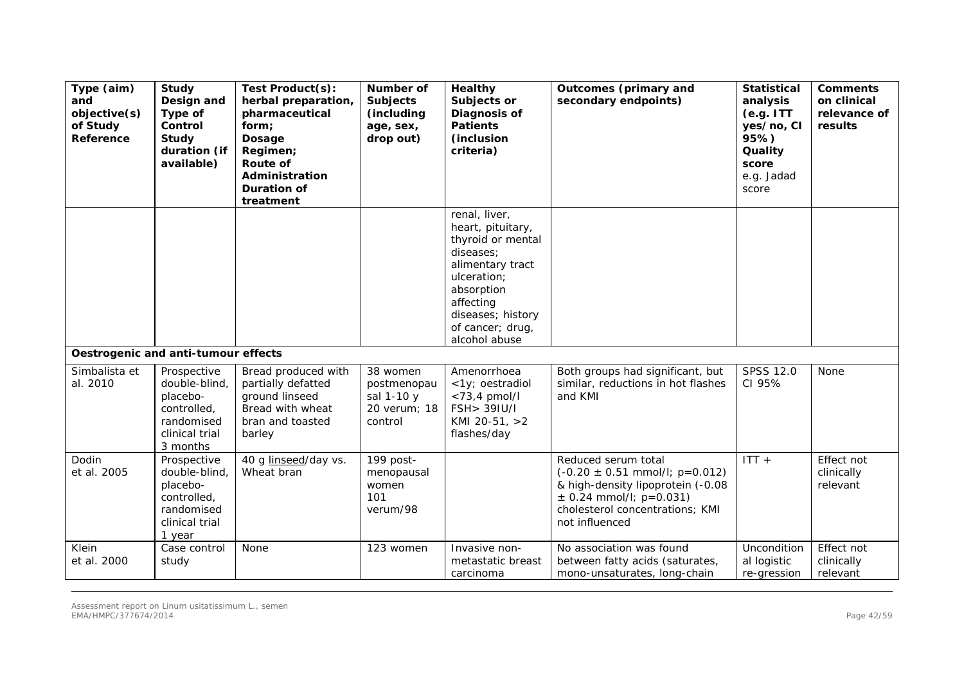| Type (aim)<br>and<br>objective(s)<br>of Study<br>Reference | Study<br>Design and<br>Type of<br>Control<br>Study<br>duration (if<br>available)                    | Test Product(s):<br>herbal preparation,<br>pharmaceutical<br>form;<br>Dosage<br>Regimen;<br><b>Route of</b><br>Administration<br>Duration of<br>treatment | Number of<br><b>Subjects</b><br>(including<br>age, sex,<br>drop out) | <b>Healthy</b><br>Subjects or<br><b>Diagnosis of</b><br><b>Patients</b><br>(inclusion)<br>criteria)                                                                                          | <b>Outcomes (primary and</b><br>secondary endpoints)                                                                                                                                               | <b>Statistical</b><br>analysis<br>(e.g. ITT)<br>yes/no, CI<br>95%)<br>Quality<br>score<br>e.g. Jadad<br>score | <b>Comments</b><br>on clinical<br>relevance of<br>results |
|------------------------------------------------------------|-----------------------------------------------------------------------------------------------------|-----------------------------------------------------------------------------------------------------------------------------------------------------------|----------------------------------------------------------------------|----------------------------------------------------------------------------------------------------------------------------------------------------------------------------------------------|----------------------------------------------------------------------------------------------------------------------------------------------------------------------------------------------------|---------------------------------------------------------------------------------------------------------------|-----------------------------------------------------------|
|                                                            |                                                                                                     |                                                                                                                                                           |                                                                      | renal, liver,<br>heart, pituitary,<br>thyroid or mental<br>diseases:<br>alimentary tract<br>ulceration;<br>absorption<br>affecting<br>diseases; history<br>of cancer; drug,<br>alcohol abuse |                                                                                                                                                                                                    |                                                                                                               |                                                           |
| Oestrogenic and anti-tumour effects                        |                                                                                                     |                                                                                                                                                           |                                                                      |                                                                                                                                                                                              |                                                                                                                                                                                                    |                                                                                                               |                                                           |
| Simbalista et<br>al. 2010                                  | Prospective<br>double-blind,<br>placebo-<br>controlled,<br>randomised<br>clinical trial<br>3 months | Bread produced with<br>partially defatted<br>ground linseed<br>Bread with wheat<br>bran and toasted<br>barley                                             | 38 women<br>postmenopau<br>sal 1-10 y<br>20 verum; 18<br>control     | Amenorrhoea<br><1y; oestradiol<br>$<$ 73,4 pmol/l<br>FSH> 39IU/I<br>KMI 20-51, >2<br>flashes/day                                                                                             | Both groups had significant, but<br>similar, reductions in hot flashes<br>and KMI                                                                                                                  | SPSS 12.0<br>CI 95%                                                                                           | None                                                      |
| Dodin<br>et al. 2005                                       | Prospective<br>double-blind,<br>placebo-<br>controlled,<br>randomised<br>clinical trial<br>1 year   | 40 g linseed/day vs.<br>Wheat bran                                                                                                                        | 199 post-<br>menopausal<br>women<br>101<br>verum/98                  |                                                                                                                                                                                              | Reduced serum total<br>$(-0.20 \pm 0.51 \text{ mmol/l}; \text{ p=0.012})$<br>& high-density lipoprotein (-0.08<br>$\pm$ 0.24 mmol/l; p=0.031)<br>cholesterol concentrations; KMI<br>not influenced | $ITT +$                                                                                                       | Effect not<br>clinically<br>relevant                      |
| Klein<br>et al. 2000                                       | Case control<br>study                                                                               | None                                                                                                                                                      | 123 women                                                            | Invasive non-<br>metastatic breast<br>carcinoma                                                                                                                                              | No association was found<br>between fatty acids (saturates,<br>mono-unsaturates, long-chain                                                                                                        | Uncondition<br>al logistic<br>re-gression                                                                     | Effect not<br>clinically<br>relevant                      |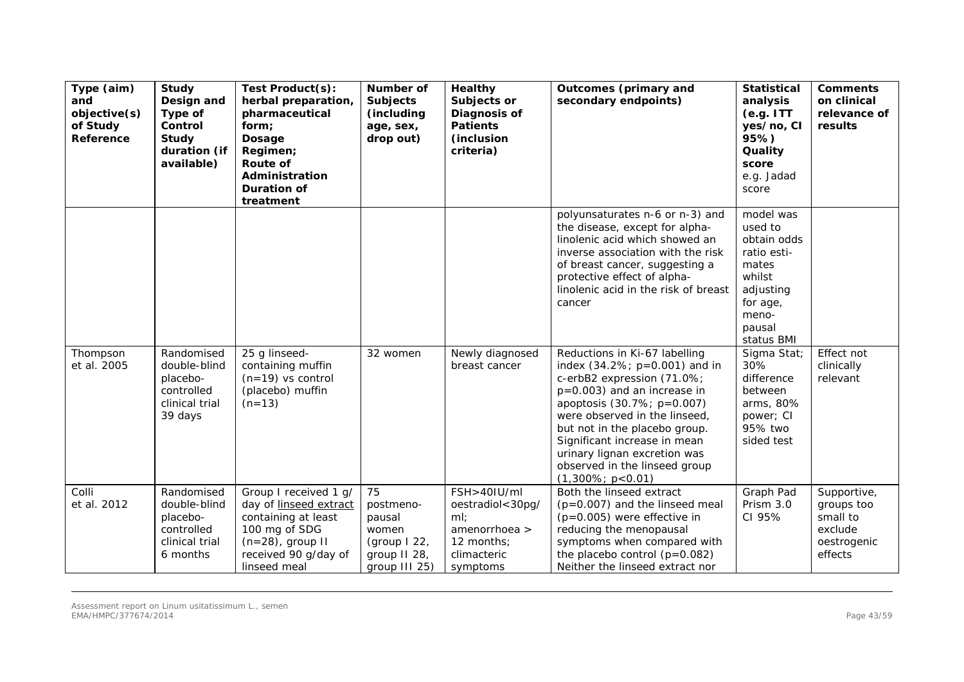| Type (aim)<br>and<br>objective(s)<br>of Study<br>Reference | <b>Study</b><br>Design and<br>Type of<br>Control<br>Study<br>duration (if<br>available) | Test Product(s):<br>herbal preparation,<br>pharmaceutical<br>form;<br>Dosage<br>Regimen;<br>Route of<br>Administration<br><b>Duration of</b><br>treatment | Number of<br><b>Subjects</b><br>(including<br>age, sex,<br>drop out)                  | <b>Healthy</b><br>Subjects or<br>Diagnosis of<br><b>Patients</b><br>(inclusion<br>criteria)      | <b>Outcomes (primary and</b><br>secondary endpoints)                                                                                                                                                                                                                                                                                                      | <b>Statistical</b><br>analysis<br>(e.g. ITT)<br>yes/no, CI<br>95%)<br>Quality<br>score<br>e.g. Jadad<br>score                   | <b>Comments</b><br>on clinical<br>relevance of<br>results                  |
|------------------------------------------------------------|-----------------------------------------------------------------------------------------|-----------------------------------------------------------------------------------------------------------------------------------------------------------|---------------------------------------------------------------------------------------|--------------------------------------------------------------------------------------------------|-----------------------------------------------------------------------------------------------------------------------------------------------------------------------------------------------------------------------------------------------------------------------------------------------------------------------------------------------------------|---------------------------------------------------------------------------------------------------------------------------------|----------------------------------------------------------------------------|
|                                                            |                                                                                         |                                                                                                                                                           |                                                                                       |                                                                                                  | polyunsaturates n-6 or n-3) and<br>the disease, except for alpha-<br>linolenic acid which showed an<br>inverse association with the risk<br>of breast cancer, suggesting a<br>protective effect of alpha-<br>linolenic acid in the risk of breast<br>cancer                                                                                               | model was<br>used to<br>obtain odds<br>ratio esti-<br>mates<br>whilst<br>adjusting<br>for age,<br>meno-<br>pausal<br>status BMI |                                                                            |
| Thompson<br>et al. 2005                                    | Randomised<br>double-blind<br>placebo-<br>controlled<br>clinical trial<br>39 days       | 25 g linseed-<br>containing muffin<br>$(n=19)$ vs control<br>(placebo) muffin<br>$(n=13)$                                                                 | 32 women                                                                              | Newly diagnosed<br>breast cancer                                                                 | Reductions in Ki-67 labelling<br>index $(34.2\%; p=0.001)$ and in<br>c-erbB2 expression (71.0%;<br>$p=0.003$ ) and an increase in<br>apoptosis (30.7%; p=0.007)<br>were observed in the linseed,<br>but not in the placebo group.<br>Significant increase in mean<br>urinary lignan excretion was<br>observed in the linseed group<br>$(1,300\%; p<0.01)$ | Sigma Stat;<br>30%<br>difference<br>between<br>arms, 80%<br>power; CI<br>95% two<br>sided test                                  | Effect not<br>clinically<br>relevant                                       |
| Colli<br>et al. 2012                                       | Randomised<br>double-blind<br>placebo-<br>controlled<br>clinical trial<br>6 months      | Group I received 1 g/<br>day of linseed extract<br>containing at least<br>100 mg of SDG<br>$(n=28)$ , group II<br>received 90 g/day of<br>linseed meal    | 75<br>postmeno-<br>pausal<br>women<br>(group $122$ ,<br>group II 28,<br>group III 25) | FSH>40IU/ml<br>oestradiol<30pg/<br>ml:<br>amenorrhoea ><br>12 months;<br>climacteric<br>symptoms | Both the linseed extract<br>$(p=0.007)$ and the linseed meal<br>$(p=0.005)$ were effective in<br>reducing the menopausal<br>symptoms when compared with<br>the placebo control $(p=0.082)$<br>Neither the linseed extract nor                                                                                                                             | Graph Pad<br>Prism 3.0<br>CI 95%                                                                                                | Supportive,<br>groups too<br>small to<br>exclude<br>oestrogenic<br>effects |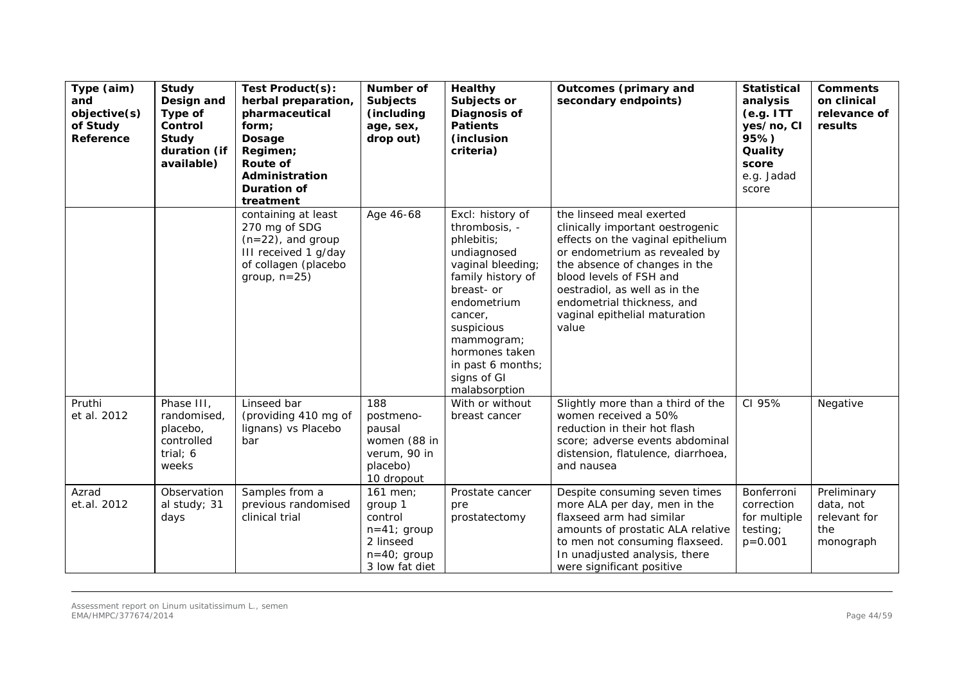| Type (aim)<br>and<br>objective(s)<br>of Study<br>Reference | <b>Study</b><br>Design and<br>Type of<br>Control<br>Study<br>duration (if<br>available) | Test Product(s):<br>herbal preparation,<br>pharmaceutical<br>form;<br>Dosage<br>Regimen;<br><b>Route of</b><br>Administration<br><b>Duration of</b><br>treatment | Number of<br><b>Subjects</b><br>(including<br>age, sex,<br>drop out)                             | <b>Healthy</b><br>Subjects or<br>Diagnosis of<br><b>Patients</b><br>(inclusion<br>criteria)                                                                                                                                                         | <b>Outcomes (primary and</b><br>secondary endpoints)                                                                                                                                                                                                                                                    | <b>Statistical</b><br>analysis<br>(e.g. ITT)<br>yes/no, CI<br>95%)<br>Quality<br>score<br>e.g. Jadad<br>score | <b>Comments</b><br>on clinical<br>relevance of<br>results    |
|------------------------------------------------------------|-----------------------------------------------------------------------------------------|------------------------------------------------------------------------------------------------------------------------------------------------------------------|--------------------------------------------------------------------------------------------------|-----------------------------------------------------------------------------------------------------------------------------------------------------------------------------------------------------------------------------------------------------|---------------------------------------------------------------------------------------------------------------------------------------------------------------------------------------------------------------------------------------------------------------------------------------------------------|---------------------------------------------------------------------------------------------------------------|--------------------------------------------------------------|
|                                                            |                                                                                         | containing at least<br>270 mg of SDG<br>$(n=22)$ , and group<br>III received 1 g/day<br>of collagen (placebo<br>group, $n=25$ )                                  | Age 46-68                                                                                        | Excl: history of<br>thrombosis, -<br>phlebitis;<br>undiagnosed<br>vaginal bleeding;<br>family history of<br>breast- or<br>endometrium<br>cancer,<br>suspicious<br>mammogram;<br>hormones taken<br>in past 6 months;<br>signs of GI<br>malabsorption | the linseed meal exerted<br>clinically important oestrogenic<br>effects on the vaginal epithelium<br>or endometrium as revealed by<br>the absence of changes in the<br>blood levels of FSH and<br>oestradiol, as well as in the<br>endometrial thickness, and<br>vaginal epithelial maturation<br>value |                                                                                                               |                                                              |
| Pruthi<br>et al. 2012                                      | Phase III,<br>randomised,<br>placebo,<br>controlled<br>trial; 6<br>weeks                | Linseed bar<br>(providing 410 mg of<br>lignans) vs Placebo<br>bar                                                                                                | 188<br>postmeno-<br>pausal<br>women (88 in<br>verum, 90 in<br>placebo)<br>10 dropout             | With or without<br>breast cancer                                                                                                                                                                                                                    | Slightly more than a third of the<br>women received a 50%<br>reduction in their hot flash<br>score; adverse events abdominal<br>distension, flatulence, diarrhoea,<br>and nausea                                                                                                                        | CI 95%                                                                                                        | Negative                                                     |
| Azrad<br>et.al. 2012                                       | Observation<br>al study; 31<br>days                                                     | Samples from a<br>previous randomised<br>clinical trial                                                                                                          | 161 men;<br>group 1<br>control<br>$n=41$ ; group<br>2 linseed<br>$n=40;$ group<br>3 low fat diet | Prostate cancer<br>pre<br>prostatectomy                                                                                                                                                                                                             | Despite consuming seven times<br>more ALA per day, men in the<br>flaxseed arm had similar<br>amounts of prostatic ALA relative<br>to men not consuming flaxseed.<br>In unadjusted analysis, there<br>were significant positive                                                                          | Bonferroni<br>correction<br>for multiple<br>testing;<br>$p = 0.001$                                           | Preliminary<br>data, not<br>relevant for<br>the<br>monograph |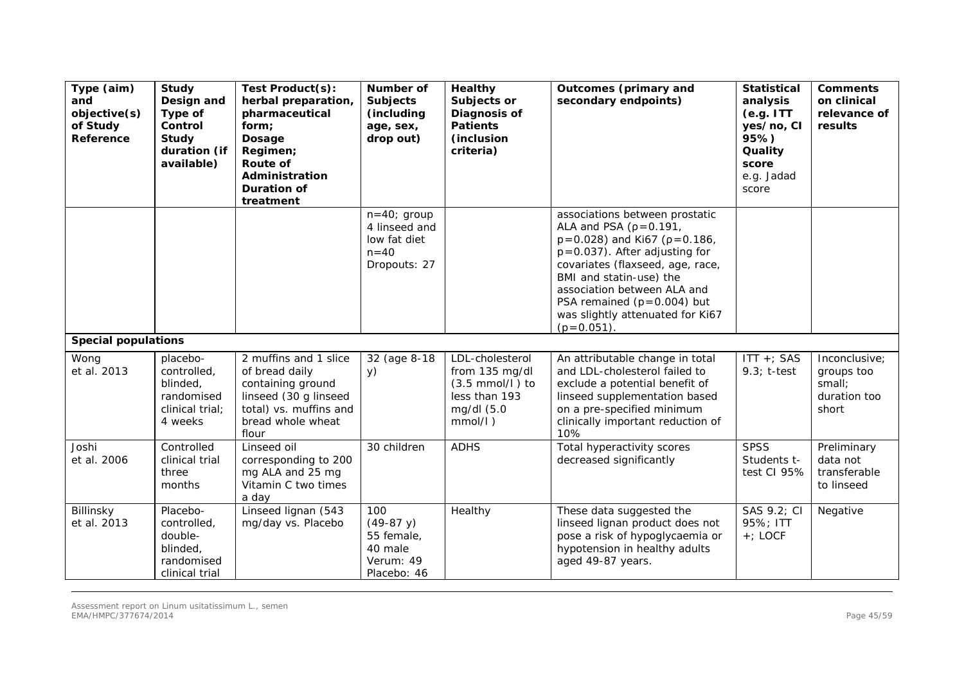| Type (aim)<br>and<br>objective(s)<br>of Study<br>Reference | Study<br>Design and<br>Type of<br>Control<br><b>Study</b><br>duration (if<br>available) | Test Product(s):<br>herbal preparation,<br>pharmaceutical<br>form;<br>Dosage<br>Regimen;<br>Route of<br>Administration<br><b>Duration of</b><br>treatment | Number of<br><b>Subjects</b><br>(including<br>age, sex,<br>drop out)     | <b>Healthy</b><br>Subjects or<br>Diagnosis of<br><b>Patients</b><br>(inclusion<br>criteria)              | <b>Outcomes (primary and</b><br>secondary endpoints)                                                                                                                                                                                                                                                                              | <b>Statistical</b><br>analysis<br>(e.g. ITT)<br>yes/no, CI<br>95%)<br>Quality<br>score<br>e.g. Jadad<br>score | <b>Comments</b><br>on clinical<br>relevance of<br>results      |
|------------------------------------------------------------|-----------------------------------------------------------------------------------------|-----------------------------------------------------------------------------------------------------------------------------------------------------------|--------------------------------------------------------------------------|----------------------------------------------------------------------------------------------------------|-----------------------------------------------------------------------------------------------------------------------------------------------------------------------------------------------------------------------------------------------------------------------------------------------------------------------------------|---------------------------------------------------------------------------------------------------------------|----------------------------------------------------------------|
|                                                            |                                                                                         |                                                                                                                                                           | $n=40;$ group<br>4 linseed and<br>low fat diet<br>$n=40$<br>Dropouts: 27 |                                                                                                          | associations between prostatic<br>ALA and PSA ( $p = 0.191$ ,<br>$p = 0.028$ ) and Ki67 ( $p = 0.186$ ,<br>$p = 0.037$ . After adjusting for<br>covariates (flaxseed, age, race,<br>BMI and statin-use) the<br>association between ALA and<br>PSA remained $(p=0.004)$ but<br>was slightly attenuated for Ki67<br>$(p = 0.051)$ . |                                                                                                               |                                                                |
| <b>Special populations</b>                                 |                                                                                         |                                                                                                                                                           |                                                                          |                                                                                                          |                                                                                                                                                                                                                                                                                                                                   |                                                                                                               |                                                                |
| Wong<br>et al. 2013                                        | placebo-<br>controlled,<br>blinded<br>randomised<br>clinical trial;<br>4 weeks          | 2 muffins and 1 slice<br>of bread daily<br>containing ground<br>linseed (30 g linseed<br>total) vs. muffins and<br>bread whole wheat<br>flour             | 32 (age 8-18<br>y)                                                       | LDL-cholesterol<br>from 135 mg/dl<br>$(3.5 \text{ mmol/l})$ to<br>less than 193<br>mg/dl (5.0<br>mmol/l) | An attributable change in total<br>and LDL-cholesterol failed to<br>exclude a potential benefit of<br>linseed supplementation based<br>on a pre-specified minimum<br>clinically important reduction of<br>10%                                                                                                                     | ITT +; SAS<br>$9.3; t-test$                                                                                   | Inconclusive;<br>groups too<br>small;<br>duration too<br>short |
| Joshi<br>et al. 2006                                       | Controlled<br>clinical trial<br>three<br>months                                         | Linseed oil<br>corresponding to 200<br>mg ALA and 25 mg<br>Vitamin C two times<br>a day                                                                   | 30 children                                                              | <b>ADHS</b>                                                                                              | Total hyperactivity scores<br>decreased significantly                                                                                                                                                                                                                                                                             | <b>SPSS</b><br>Students t-<br>test CI 95%                                                                     | Preliminary<br>data not<br>transferable<br>to linseed          |
| Billinsky<br>et al. 2013                                   | Placebo-<br>controlled,<br>double-<br>blinded,<br>randomised<br>clinical trial          | Linseed lignan (543<br>mg/day vs. Placebo                                                                                                                 | 100<br>$(49-87 y)$<br>55 female,<br>40 male<br>Verum: 49<br>Placebo: 46  | Healthy                                                                                                  | These data suggested the<br>linseed lignan product does not<br>pose a risk of hypoglycaemia or<br>hypotension in healthy adults<br>aged 49-87 years.                                                                                                                                                                              | SAS 9.2; CI<br>95%; ITT<br>$+$ ; LOCF                                                                         | Negative                                                       |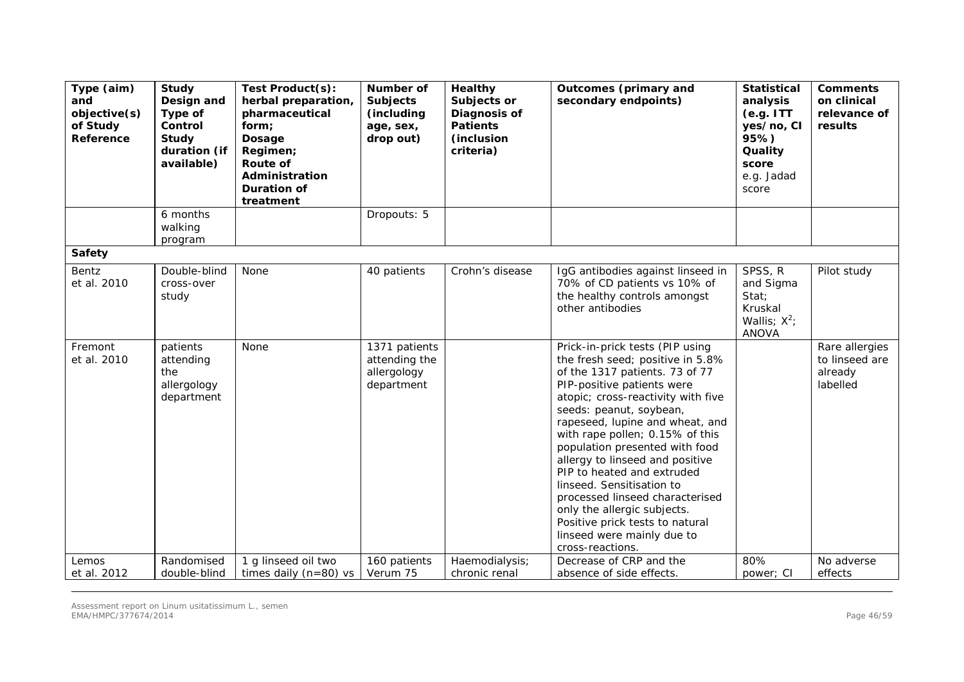| Type (aim)<br>and<br>objective(s)<br>of Study<br>Reference | Study<br>Design and<br>Type of<br>Control<br><b>Study</b><br>duration (if<br>available) | Test Product(s):<br>herbal preparation,<br>pharmaceutical<br>form;<br>Dosage<br>Regimen;<br>Route of<br>Administration<br><b>Duration of</b><br>treatment | <b>Number of</b><br><b>Subjects</b><br>(including<br>age, sex,<br>drop out) | Healthy<br>Subjects or<br>Diagnosis of<br><b>Patients</b><br>(inclusion<br>criteria) | <b>Outcomes (primary and</b><br>secondary endpoints)                                                                                                                                                                                                                                                                                                                                                                                                                                                                                                              | <b>Statistical</b><br>analysis<br>(e.g. ITT)<br>yes/no, CI<br>95%)<br>Quality<br>score<br>e.g. Jadad<br>score | <b>Comments</b><br>on clinical<br>relevance of<br>results |
|------------------------------------------------------------|-----------------------------------------------------------------------------------------|-----------------------------------------------------------------------------------------------------------------------------------------------------------|-----------------------------------------------------------------------------|--------------------------------------------------------------------------------------|-------------------------------------------------------------------------------------------------------------------------------------------------------------------------------------------------------------------------------------------------------------------------------------------------------------------------------------------------------------------------------------------------------------------------------------------------------------------------------------------------------------------------------------------------------------------|---------------------------------------------------------------------------------------------------------------|-----------------------------------------------------------|
|                                                            | 6 months<br>walking<br>program                                                          |                                                                                                                                                           | Dropouts: 5                                                                 |                                                                                      |                                                                                                                                                                                                                                                                                                                                                                                                                                                                                                                                                                   |                                                                                                               |                                                           |
| <b>Safety</b>                                              |                                                                                         |                                                                                                                                                           |                                                                             |                                                                                      |                                                                                                                                                                                                                                                                                                                                                                                                                                                                                                                                                                   |                                                                                                               |                                                           |
| Bentz<br>et al. 2010                                       | Double-blind<br>cross-over<br>study                                                     | None                                                                                                                                                      | 40 patients                                                                 | Crohn's disease                                                                      | IgG antibodies against linseed in<br>70% of CD patients vs 10% of<br>the healthy controls amongst<br>other antibodies                                                                                                                                                                                                                                                                                                                                                                                                                                             | SPSS, R<br>and Sigma<br>Stat;<br>Kruskal<br>Wallis; $X^2$ ;<br><b>ANOVA</b>                                   | Pilot study                                               |
| Fremont<br>et al. 2010                                     | patients<br>attending<br>the<br>allergology<br>department                               | None                                                                                                                                                      | 1371 patients<br>attending the<br>allergology<br>department                 |                                                                                      | Prick-in-prick tests (PIP using<br>the fresh seed; positive in 5.8%<br>of the 1317 patients. 73 of 77<br>PIP-positive patients were<br>atopic; cross-reactivity with five<br>seeds: peanut, soybean,<br>rapeseed, lupine and wheat, and<br>with rape pollen; 0.15% of this<br>population presented with food<br>allergy to linseed and positive<br>PIP to heated and extruded<br>linseed. Sensitisation to<br>processed linseed characterised<br>only the allergic subjects.<br>Positive prick tests to natural<br>linseed were mainly due to<br>cross-reactions. |                                                                                                               | Rare allergies<br>to linseed are<br>already<br>labelled   |
| Lemos<br>et al. 2012                                       | Randomised<br>double-blind                                                              | 1 g linseed oil two<br>times daily $(n=80)$ vs                                                                                                            | 160 patients<br>Verum 75                                                    | Haemodialysis;<br>chronic renal                                                      | Decrease of CRP and the<br>absence of side effects.                                                                                                                                                                                                                                                                                                                                                                                                                                                                                                               | 80%<br>power; CI                                                                                              | No adverse<br>effects                                     |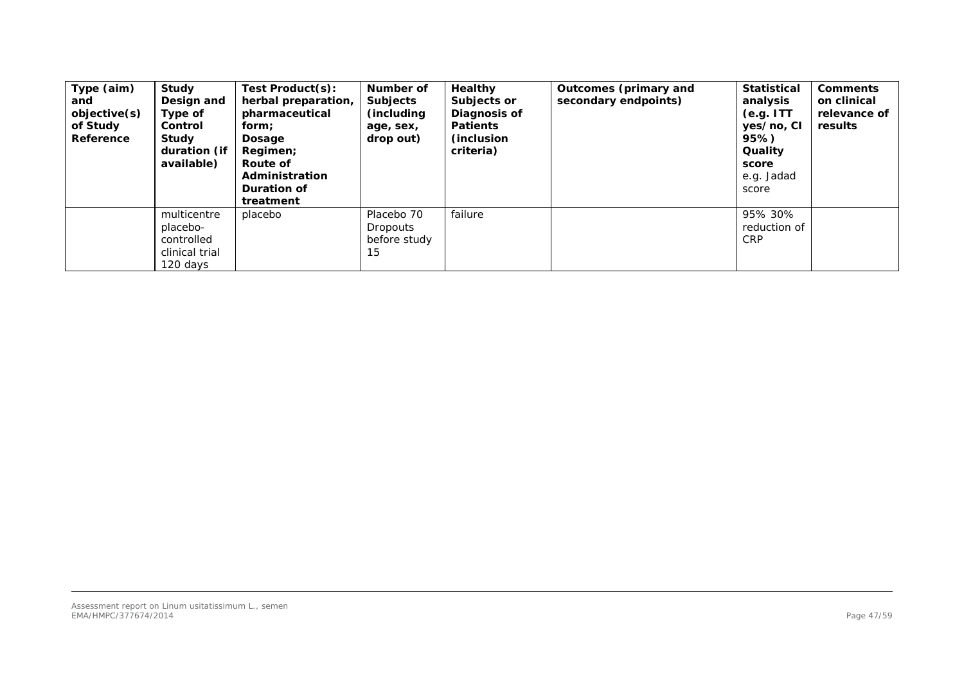| Type (aim)<br>and<br>objective(s)<br>of Study<br>Reference | Study<br>Design and<br>Type of<br><b>Control</b><br>Study<br>duration (if<br>available) | Test Product(s):<br>herbal preparation,<br>pharmaceutical<br>form;<br>Dosage<br>Regimen;<br>Route of<br>Administration<br><b>Duration of</b><br>treatment | Number of<br><b>Subjects</b><br>(including)<br>age, sex,<br>drop out) | Healthy<br>Subjects or<br>Diagnosis of<br><b>Patients</b><br>(inclusion)<br>criteria) | Outcomes (primary and<br>secondary endpoints) | <b>Statistical</b><br>analysis<br>(e.g. ITT)<br>yes/no, CI<br>95%)<br>Quality<br>score<br>e.g. Jadad<br>score | <b>Comments</b><br>on clinical<br>relevance of<br>results |
|------------------------------------------------------------|-----------------------------------------------------------------------------------------|-----------------------------------------------------------------------------------------------------------------------------------------------------------|-----------------------------------------------------------------------|---------------------------------------------------------------------------------------|-----------------------------------------------|---------------------------------------------------------------------------------------------------------------|-----------------------------------------------------------|
|                                                            | multicentre<br>placebo-<br>controlled<br>clinical trial<br>120 days                     | placebo                                                                                                                                                   | Placebo 70<br><b>Dropouts</b><br>before study<br>15                   | failure                                                                               |                                               | 95% 30%<br>reduction of<br><b>CRP</b>                                                                         |                                                           |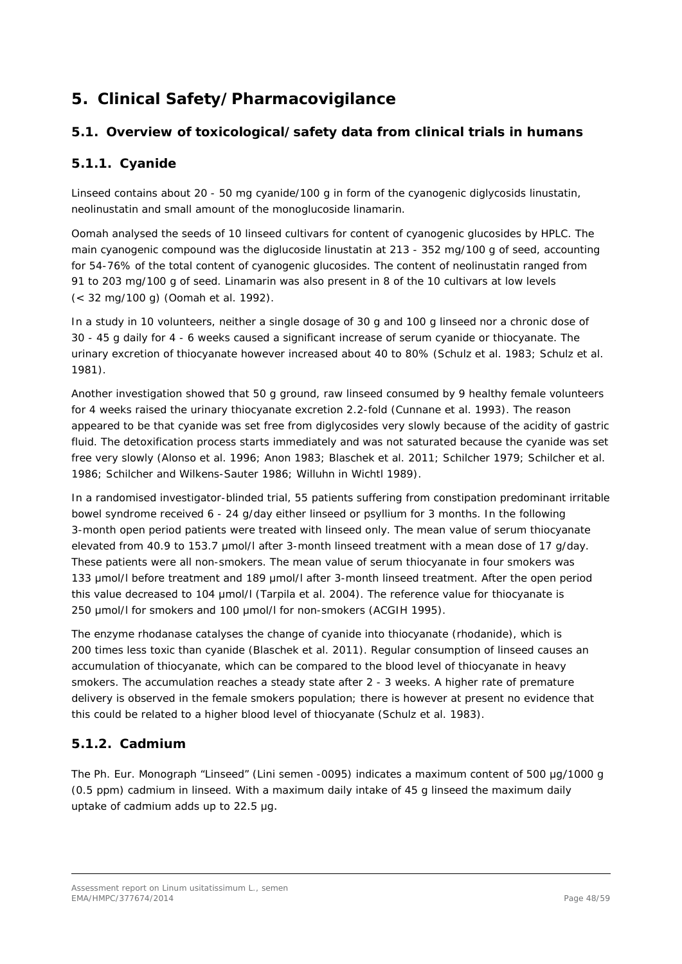# <span id="page-47-0"></span>**5. Clinical Safety/Pharmacovigilance**

# <span id="page-47-1"></span>*5.1. Overview of toxicological/safety data from clinical trials in humans*

# <span id="page-47-2"></span>**5.1.1. Cyanide**

Linseed contains about 20 - 50 mg cyanide/100 g in form of the cyanogenic diglycosids linustatin, neolinustatin and small amount of the monoglucoside linamarin.

Oomah analysed the seeds of 10 linseed cultivars for content of cyanogenic glucosides by HPLC. The main cyanogenic compound was the diglucoside linustatin at 213 - 352 mg/100 g of seed, accounting for 54-76% of the total content of cyanogenic glucosides. The content of neolinustatin ranged from 91 to 203 mg/100 g of seed. Linamarin was also present in 8 of the 10 cultivars at low levels (< 32 mg/100 g) (Oomah *et al.* 1992).

In a study in 10 volunteers, neither a single dosage of 30 g and 100 g linseed nor a chronic dose of 30 - 45 g daily for 4 - 6 weeks caused a significant increase of serum cyanide or thiocyanate. The urinary excretion of thiocyanate however increased about 40 to 80% (Schulz *et al.* 1983; Schulz *et al.*  1981).

Another investigation showed that 50 g ground, raw linseed consumed by 9 healthy female volunteers for 4 weeks raised the urinary thiocyanate excretion 2.2-fold (Cunnane *et al.* 1993). The reason appeared to be that cyanide was set free from diglycosides very slowly because of the acidity of gastric fluid. The detoxification process starts immediately and was not saturated because the cyanide was set free very slowly [\(Alonso](http://www.ncbi.nlm.nih.gov/pubmed?term=Alonso%20L%5BAuthor%5D&cauthor=true&cauthor_uid=8757228) *et al*. 1996; Anon 1983; Blaschek e*t al.* 2011; Schilcher 1979; Schilcher *et al.*  1986; Schilcher and Wilkens-Sauter 1986; Willuhn in Wichtl 1989).

In a randomised investigator-blinded trial, 55 patients suffering from constipation predominant irritable bowel syndrome received 6 - 24 g/day either linseed or psyllium for 3 months. In the following 3-month open period patients were treated with linseed only. The mean value of serum thiocyanate elevated from 40.9 to 153.7 umol/l after 3-month linseed treatment with a mean dose of 17 g/day. These patients were all non-smokers. The mean value of serum thiocyanate in four smokers was 133 μmol/l before treatment and 189 μmol/l after 3-month linseed treatment. After the open period this value decreased to 104 μmol/l (Tarpila *et al.* 2004). The reference value for thiocyanate is 250 umol/l for smokers and 100 umol/l for non-smokers (ACGIH 1995).

The enzyme rhodanase catalyses the change of cyanide into thiocyanate (rhodanide), which is 200 times less toxic than cyanide (Blaschek e*t al.* 2011). Regular consumption of linseed causes an accumulation of thiocyanate, which can be compared to the blood level of thiocyanate in heavy smokers. The accumulation reaches a steady state after 2 - 3 weeks. A higher rate of premature delivery is observed in the female smokers population; there is however at present no evidence that this could be related to a higher blood level of thiocyanate (Schulz *et al.* 1983).

# <span id="page-47-3"></span>**5.1.2. Cadmium**

The Ph. Eur. Monograph "Linseed" (Lini semen -0095) indicates a maximum content of 500 μg/1000 g (0.5 ppm) cadmium in linseed. With a maximum daily intake of 45 g linseed the maximum daily uptake of cadmium adds up to 22.5 μg.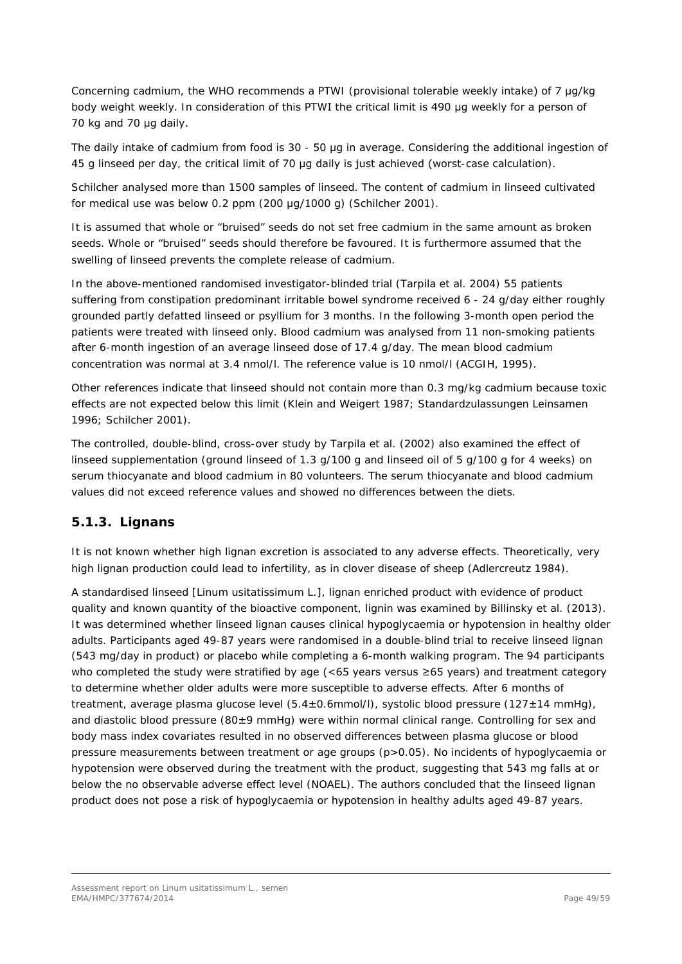Concerning cadmium, the WHO recommends a PTWI (provisional tolerable weekly intake) of 7 μg/kg body weight weekly. In consideration of this PTWI the critical limit is 490 μg weekly for a person of 70 kg and 70 μg daily.

The daily intake of cadmium from food is 30 - 50 μg in average. Considering the additional ingestion of 45 g linseed per day, the critical limit of 70 μg daily is just achieved (worst-case calculation).

Schilcher analysed more than 1500 samples of linseed. The content of cadmium in linseed cultivated for medical use was below 0.2 ppm (200 μg/1000 g) (Schilcher 2001).

It is assumed that whole or "bruised" seeds do not set free cadmium in the same amount as broken seeds. Whole or "bruised" seeds should therefore be favoured. It is furthermore assumed that the swelling of linseed prevents the complete release of cadmium.

In the above-mentioned randomised investigator-blinded trial (Tarpila *et al.* 2004) 55 patients suffering from constipation predominant irritable bowel syndrome received 6 - 24 g/day either roughly grounded partly defatted linseed or psyllium for 3 months. In the following 3-month open period the patients were treated with linseed only. Blood cadmium was analysed from 11 non-smoking patients after 6-month ingestion of an average linseed dose of 17.4 g/day. The mean blood cadmium concentration was normal at 3.4 nmol/l. The reference value is 10 nmol/l (ACGIH, 1995).

Other references indicate that linseed should not contain more than 0.3 mg/kg cadmium because toxic effects are not expected below this limit (Klein and Weigert 1987; Standardzulassungen Leinsamen 1996; Schilcher 2001).

The controlled, double-blind, cross-over study by Tarpila *et al.* (2002) also examined the effect of linseed supplementation (ground linseed of 1.3 g/100 g and linseed oil of 5 g/100 g for 4 weeks) on serum thiocyanate and blood cadmium in 80 volunteers. The serum thiocyanate and blood cadmium values did not exceed reference values and showed no differences between the diets.

# <span id="page-48-0"></span>**5.1.3. Lignans**

It is not known whether high lignan excretion is associated to any adverse effects. Theoretically, very high lignan production could lead to infertility, as in clover disease of sheep (Adlercreutz 1984).

A standardised linseed [*Linum usitatissimum* L.], lignan enriched product with evidence of product quality and known quantity of the bioactive component, lignin was examined by Billinsky *et al.* (2013). It was determined whether linseed lignan causes clinical hypoglycaemia or hypotension in healthy older adults. Participants aged 49-87 years were randomised in a double-blind trial to receive linseed lignan (543 mg/day in product) or placebo while completing a 6-month walking program. The 94 participants who completed the study were stratified by age (<65 years versus ≥65 years) and treatment category to determine whether older adults were more susceptible to adverse effects. After 6 months of treatment, average plasma glucose level (5.4±0.6mmol/l), systolic blood pressure (127±14 mmHg), and diastolic blood pressure ( $80±9$  mmHg) were within normal clinical range. Controlling for sex and body mass index covariates resulted in no observed differences between plasma glucose or blood pressure measurements between treatment or age groups (p>0.05). No incidents of hypoglycaemia or hypotension were observed during the treatment with the product, suggesting that 543 mg falls at or below the no observable adverse effect level (NOAEL). The authors concluded that the linseed lignan product does not pose a risk of hypoglycaemia or hypotension in healthy adults aged 49-87 years.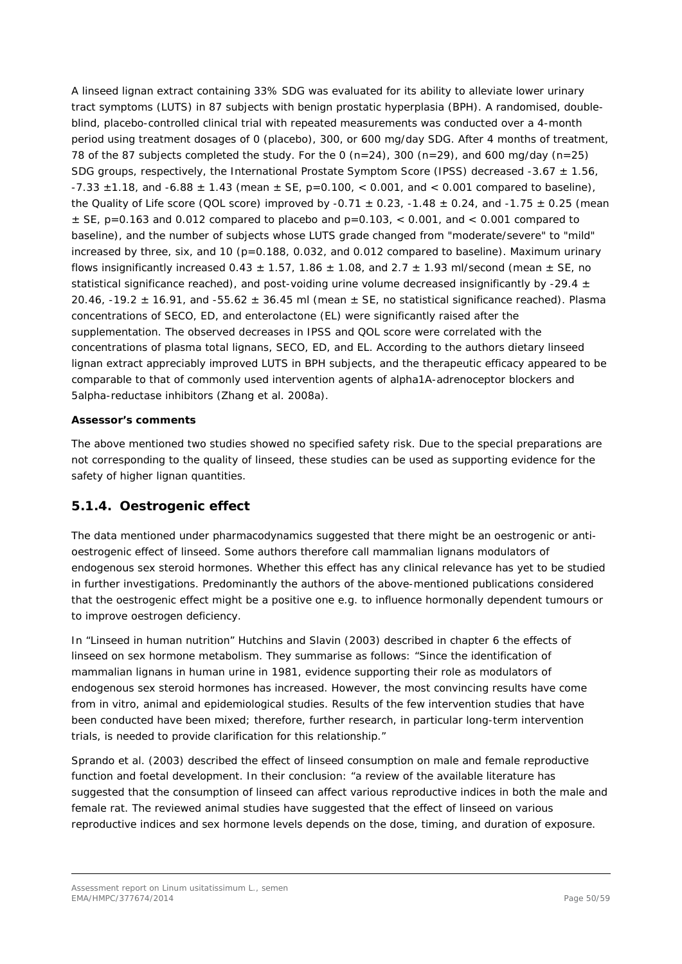A linseed lignan extract containing 33% SDG was evaluated for its ability to alleviate lower urinary tract symptoms (LUTS) in 87 subjects with benign prostatic hyperplasia (BPH). A randomised, doubleblind, placebo-controlled clinical trial with repeated measurements was conducted over a 4-month period using treatment dosages of 0 (placebo), 300, or 600 mg/day SDG. After 4 months of treatment, 78 of the 87 subjects completed the study. For the 0 (n=24), 300 (n=29), and 600 mg/day (n=25) SDG groups, respectively, the International Prostate Symptom Score (IPSS) decreased -3.67  $\pm$  1.56,  $-7.33 \pm 1.18$ , and  $-6.88 \pm 1.43$  (mean  $\pm$  SE, p=0.100, < 0.001, and < 0.001 compared to baseline), the Quality of Life score (QOL score) improved by -0.71  $\pm$  0.23, -1.48  $\pm$  0.24, and -1.75  $\pm$  0.25 (mean  $\pm$  SE, p=0.163 and 0.012 compared to placebo and p=0.103, < 0.001, and < 0.001 compared to baseline), and the number of subjects whose LUTS grade changed from "moderate/severe" to "mild" increased by three, six, and 10 ( $p=0.188$ , 0.032, and 0.012 compared to baseline). Maximum urinary flows insignificantly increased 0.43  $\pm$  1.57, 1.86  $\pm$  1.08, and 2.7  $\pm$  1.93 ml/second (mean  $\pm$  SE, no statistical significance reached), and post-voiding urine volume decreased insignificantly by -29.4  $\pm$ 20.46, -19.2  $\pm$  16.91, and -55.62  $\pm$  36.45 ml (mean  $\pm$  SE, no statistical significance reached). Plasma concentrations of SECO, ED, and enterolactone (EL) were significantly raised after the supplementation. The observed decreases in IPSS and QOL score were correlated with the concentrations of plasma total lignans, SECO, ED, and EL. According to the authors dietary linseed lignan extract appreciably improved LUTS in BPH subjects, and the therapeutic efficacy appeared to be comparable to that of commonly used intervention agents of alpha1A-adrenoceptor blockers and 5alpha-reductase inhibitors (Zhang *et al.* 2008a).

## *Assessor's comments*

*The above mentioned two studies showed no specified safety risk. Due to the special preparations are not corresponding to the quality of linseed, these studies can be used as supporting evidence for the safety of higher lignan quantities.*

## <span id="page-49-0"></span>**5.1.4. Oestrogenic effect**

The data mentioned under pharmacodynamics suggested that there might be an oestrogenic or antioestrogenic effect of linseed. Some authors therefore call mammalian lignans modulators of endogenous sex steroid hormones. Whether this effect has any clinical relevance has yet to be studied in further investigations. Predominantly the authors of the above-mentioned publications considered that the oestrogenic effect might be a positive one e.g. to influence hormonally dependent tumours or to improve oestrogen deficiency.

In "Linseed in human nutrition" Hutchins and Slavin (2003) described in chapter 6 the effects of linseed on sex hormone metabolism. They summarise as follows: "Since the identification of mammalian lignans in human urine in 1981, evidence supporting their role as modulators of endogenous sex steroid hormones has increased. However, the most convincing results have come from *in vitro*, animal and epidemiological studies. Results of the few intervention studies that have been conducted have been mixed; therefore, further research, in particular long-term intervention trials, is needed to provide clarification for this relationship."

Sprando *et al*. (2003) described the effect of linseed consumption on male and female reproductive function and foetal development. In their conclusion: "a review of the available literature has suggested that the consumption of linseed can affect various reproductive indices in both the male and female rat. The reviewed animal studies have suggested that the effect of linseed on various reproductive indices and sex hormone levels depends on the dose, timing, and duration of exposure.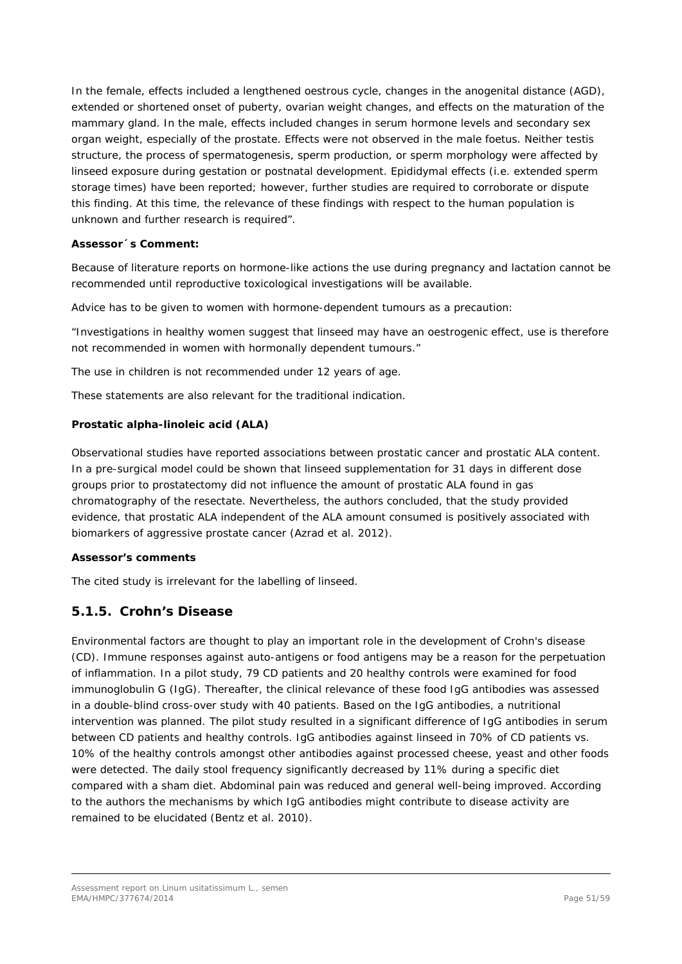In the female, effects included a lengthened oestrous cycle, changes in the anogenital distance (AGD), extended or shortened onset of puberty, ovarian weight changes, and effects on the maturation of the mammary gland. In the male, effects included changes in serum hormone levels and secondary sex organ weight, especially of the prostate. Effects were not observed in the male foetus. Neither testis structure, the process of spermatogenesis, sperm production, or sperm morphology were affected by linseed exposure during gestation or postnatal development. Epididymal effects (i.e. extended sperm storage times) have been reported; however, further studies are required to corroborate or dispute this finding. At this time, the relevance of these findings with respect to the human population is unknown and further research is required".

### *Assessor´s Comment:*

*Because of literature reports on hormone-like actions the use during pregnancy and lactation cannot be recommended until reproductive toxicological investigations will be available.* 

*Advice has to be given to women with hormone-dependent tumours as a precaution:* 

*"Investigations in healthy women suggest that linseed may have an oestrogenic effect, use is therefore not recommended in women with hormonally dependent tumours."* 

*The use in children is not recommended under 12 years of age.* 

*These statements are also relevant for the traditional indication.*

## **Prostatic alpha-linoleic acid (ALA)**

Observational studies have reported associations between prostatic cancer and prostatic ALA content. In a pre-surgical model could be shown that linseed supplementation for 31 days in different dose groups prior to prostatectomy did not influence the amount of prostatic ALA found in gas chromatography of the resectate. Nevertheless, the authors concluded, that the study provided evidence, that prostatic ALA independent of the ALA amount consumed is positively associated with biomarkers of aggressive prostate cancer (Azrad *et al.* 2012).

#### *Assessor's comments*

*The cited study is irrelevant for the labelling of linseed.*

# <span id="page-50-0"></span>**5.1.5. Crohn's Disease**

Environmental factors are thought to play an important role in the development of Crohn's disease (CD). Immune responses against auto-antigens or food antigens may be a reason for the perpetuation of inflammation. In a pilot study, 79 CD patients and 20 healthy controls were examined for food immunoglobulin G (IgG). Thereafter, the clinical relevance of these food IgG antibodies was assessed in a double-blind cross-over study with 40 patients. Based on the IgG antibodies, a nutritional intervention was planned. The pilot study resulted in a significant difference of IgG antibodies in serum between CD patients and healthy controls. IgG antibodies against linseed in 70% of CD patients vs. 10% of the healthy controls amongst other antibodies against processed cheese, yeast and other foods were detected. The daily stool frequency significantly decreased by 11% during a specific diet compared with a sham diet. Abdominal pain was reduced and general well-being improved. According to the authors the mechanisms by which IgG antibodies might contribute to disease activity are remained to be elucidated (Bentz *et al.* 2010).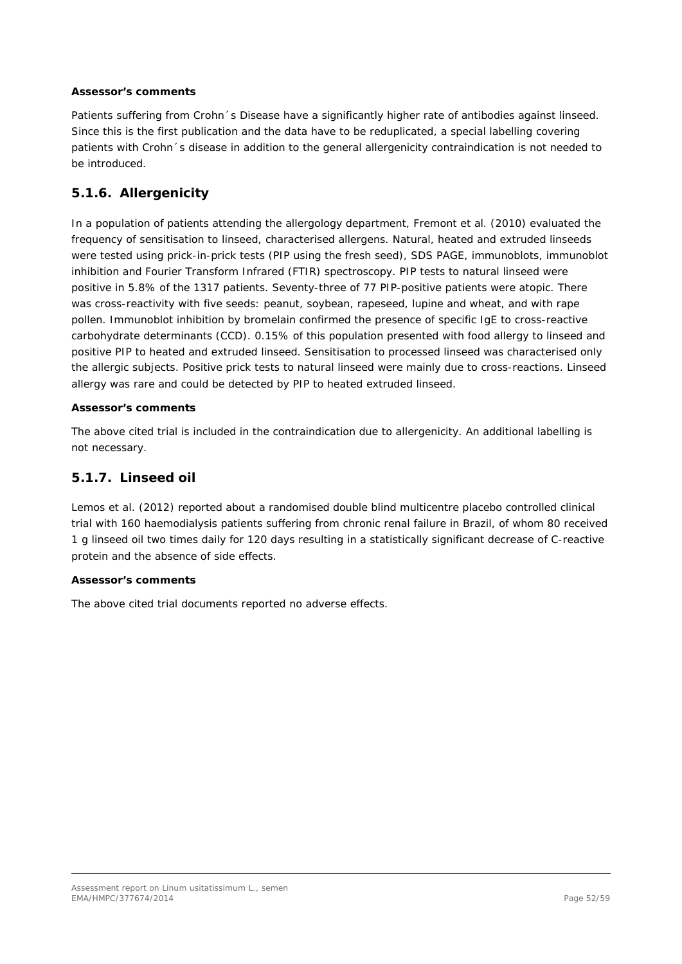#### *Assessor's comments*

*Patients suffering from Crohn´s Disease have a significantly higher rate of antibodies against linseed. Since this is the first publication and the data have to be reduplicated, a special labelling covering patients with Crohn´s disease in addition to the general allergenicity contraindication is not needed to be introduced.*

# <span id="page-51-0"></span>**5.1.6. Allergenicity**

In a population of patients attending the allergology department, Fremont *et al.* (2010) evaluated the frequency of sensitisation to linseed, characterised allergens. Natural, heated and extruded linseeds were tested using prick-in-prick tests (PIP using the fresh seed), SDS PAGE, immunoblots, immunoblot inhibition and Fourier Transform Infrared (FTIR) spectroscopy. PIP tests to natural linseed were positive in 5.8% of the 1317 patients. Seventy-three of 77 PIP-positive patients were atopic. There was cross-reactivity with five seeds: peanut, soybean, rapeseed, lupine and wheat, and with rape pollen. Immunoblot inhibition by bromelain confirmed the presence of specific IgE to cross-reactive carbohydrate determinants (CCD). 0.15% of this population presented with food allergy to linseed and positive PIP to heated and extruded linseed. Sensitisation to processed linseed was characterised only the allergic subjects. Positive prick tests to natural linseed were mainly due to cross-reactions. Linseed allergy was rare and could be detected by PIP to heated extruded linseed.

### *Assessor's comments*

*The above cited trial is included in the contraindication due to allergenicity. An additional labelling is not necessary.*

## <span id="page-51-1"></span>**5.1.7. Linseed oil**

Lemos *et al.* (2012) reported about a randomised double blind multicentre placebo controlled clinical trial with 160 haemodialysis patients suffering from chronic renal failure in Brazil, of whom 80 received 1 g linseed oil two times daily for 120 days resulting in a statistically significant decrease of C-reactive protein and the absence of side effects.

#### *Assessor's comments*

*The above cited trial documents reported no adverse effects.*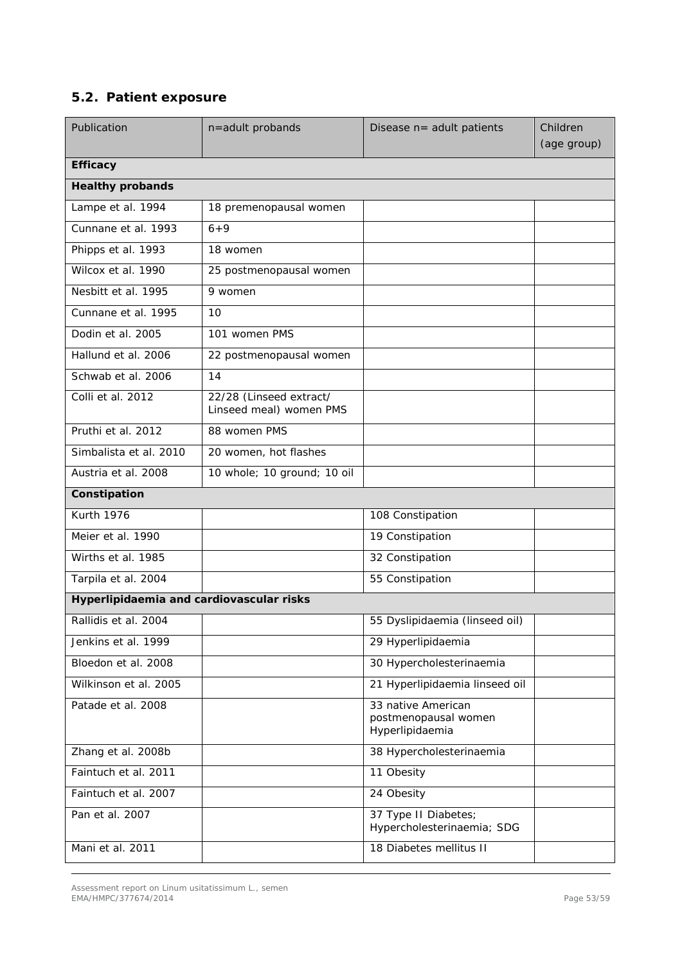# <span id="page-52-0"></span>*5.2. Patient exposure*

| Publication                              | n=adult probands                                   | Disease n= adult patients                                     | Children<br>(age group) |
|------------------------------------------|----------------------------------------------------|---------------------------------------------------------------|-------------------------|
| <b>Efficacy</b>                          |                                                    |                                                               |                         |
| <b>Healthy probands</b>                  |                                                    |                                                               |                         |
| Lampe et al. 1994                        | 18 premenopausal women                             |                                                               |                         |
| Cunnane et al. 1993                      | $6 + 9$                                            |                                                               |                         |
| Phipps et al. 1993                       | 18 women                                           |                                                               |                         |
| Wilcox et al. 1990                       | 25 postmenopausal women                            |                                                               |                         |
| Nesbitt et al. 1995                      | 9 women                                            |                                                               |                         |
| Cunnane et al. 1995                      | 10                                                 |                                                               |                         |
| Dodin et al. 2005                        | 101 women PMS                                      |                                                               |                         |
| Hallund et al. 2006                      | 22 postmenopausal women                            |                                                               |                         |
| Schwab et al. 2006                       | 14                                                 |                                                               |                         |
| Colli et al. 2012                        | 22/28 (Linseed extract/<br>Linseed meal) women PMS |                                                               |                         |
| Pruthi et al. 2012                       | 88 women PMS                                       |                                                               |                         |
| Simbalista et al. 2010                   | 20 women, hot flashes                              |                                                               |                         |
| Austria et al. 2008                      | 10 whole; 10 ground; 10 oil                        |                                                               |                         |
| Constipation                             |                                                    |                                                               |                         |
| <b>Kurth 1976</b>                        |                                                    | 108 Constipation                                              |                         |
| Meier et al. 1990                        |                                                    | 19 Constipation                                               |                         |
| Wirths et al. 1985                       |                                                    | 32 Constipation                                               |                         |
| Tarpila et al. 2004                      |                                                    | 55 Constipation                                               |                         |
| Hyperlipidaemia and cardiovascular risks |                                                    |                                                               |                         |
| Rallidis et al. 2004                     |                                                    | 55 Dyslipidaemia (linseed oil)                                |                         |
| Jenkins et al. 1999                      |                                                    | 29 Hyperlipidaemia                                            |                         |
| Bloedon et al. 2008                      |                                                    | 30 Hypercholesterinaemia                                      |                         |
| Wilkinson et al. 2005                    |                                                    | 21 Hyperlipidaemia linseed oil                                |                         |
| Patade et al. 2008                       |                                                    | 33 native American<br>postmenopausal women<br>Hyperlipidaemia |                         |
| Zhang et al. 2008b                       |                                                    | 38 Hypercholesterinaemia                                      |                         |
| Faintuch et al. 2011                     |                                                    | 11 Obesity                                                    |                         |
| Faintuch et al. 2007                     |                                                    | 24 Obesity                                                    |                         |
| Pan et al. 2007                          |                                                    | 37 Type II Diabetes;<br>Hypercholesterinaemia; SDG            |                         |
| Mani et al. 2011                         |                                                    | 18 Diabetes mellitus II                                       |                         |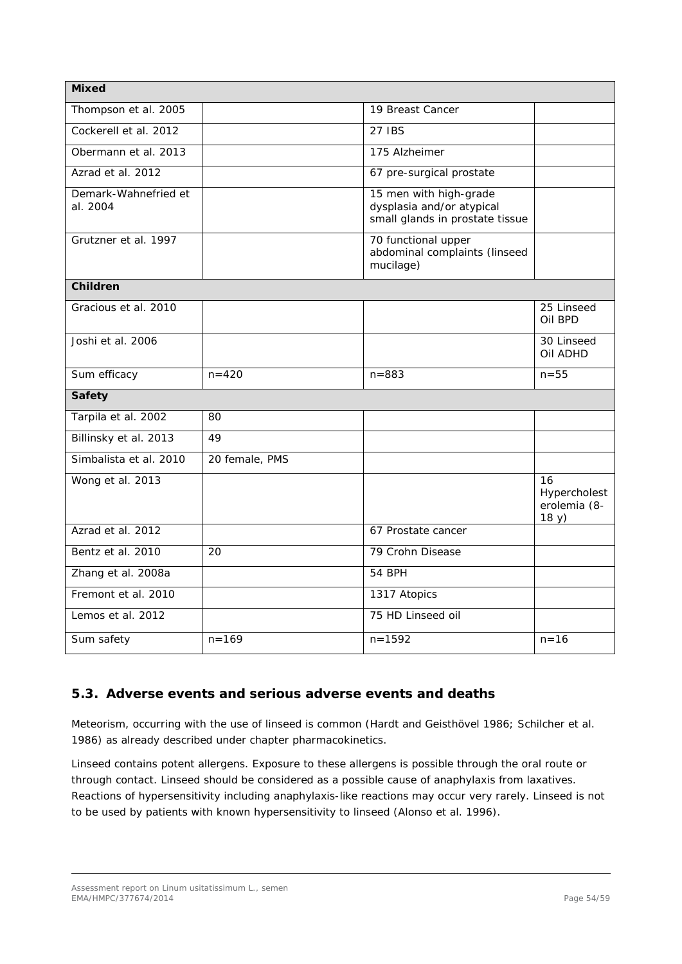| <b>Mixed</b>                     |                |                                                                                        |                                             |
|----------------------------------|----------------|----------------------------------------------------------------------------------------|---------------------------------------------|
| Thompson et al. 2005             |                | 19 Breast Cancer                                                                       |                                             |
| Cockerell et al. 2012            |                | 27 IBS                                                                                 |                                             |
| Obermann et al. 2013             |                | 175 Alzheimer                                                                          |                                             |
| Azrad et al. 2012                |                | 67 pre-surgical prostate                                                               |                                             |
| Demark-Wahnefried et<br>al. 2004 |                | 15 men with high-grade<br>dysplasia and/or atypical<br>small glands in prostate tissue |                                             |
| Grutzner et al. 1997             |                | 70 functional upper<br>abdominal complaints (linseed<br>mucilage)                      |                                             |
| <b>Children</b>                  |                |                                                                                        |                                             |
| Gracious et al. 2010             |                |                                                                                        | 25 Linseed<br>Oil BPD                       |
| Joshi et al. 2006                |                |                                                                                        | 30 Linseed<br>Oil ADHD                      |
|                                  |                |                                                                                        |                                             |
| Sum efficacy                     | $n = 420$      | $n = 883$                                                                              | $n = 55$                                    |
| <b>Safety</b>                    |                |                                                                                        |                                             |
| Tarpila et al. 2002              | 80             |                                                                                        |                                             |
| Billinsky et al. 2013            | 49             |                                                                                        |                                             |
| Simbalista et al. 2010           | 20 female, PMS |                                                                                        |                                             |
| Wong et al. 2013                 |                |                                                                                        | 16<br>Hypercholest<br>erolemia (8-<br>18 y) |
| Azrad et al. 2012                |                | 67 Prostate cancer                                                                     |                                             |
| Bentz et al. 2010                | 20             | 79 Crohn Disease                                                                       |                                             |
| Zhang et al. 2008a               |                | 54 BPH                                                                                 |                                             |
| Fremont et al. 2010              |                | 1317 Atopics                                                                           |                                             |
| Lemos et al. 2012                |                | 75 HD Linseed oil                                                                      |                                             |

# <span id="page-53-0"></span>*5.3. Adverse events and serious adverse events and deaths*

Meteorism, occurring with the use of linseed is common (Hardt and Geisthövel 1986; Schilcher *et al.*  1986) as already described under chapter pharmacokinetics.

Linseed contains potent allergens. Exposure to these allergens is possible through the oral route or through contact. Linseed should be considered as a possible cause of anaphylaxis from laxatives. Reactions of hypersensitivity including anaphylaxis-like reactions may occur very rarely. Linseed is not to be used by patients with known hypersensitivity to linseed (Alonso *et al.* 1996).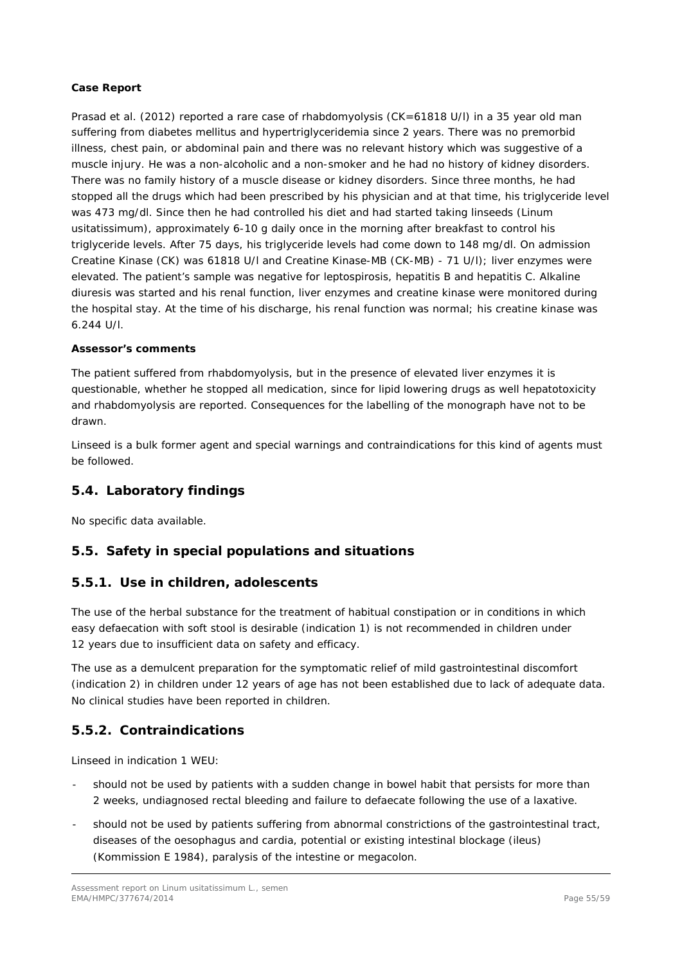#### **Case Report**

Prasad *et al.* (2012) reported a rare case of rhabdomyolysis (CK=61818 U/l) in a 35 year old man suffering from diabetes mellitus and hypertriglyceridemia since 2 years. There was no premorbid illness, chest pain, or abdominal pain and there was no relevant history which was suggestive of a muscle injury. He was a non-alcoholic and a non-smoker and he had no history of kidney disorders. There was no family history of a muscle disease or kidney disorders. Since three months, he had stopped all the drugs which had been prescribed by his physician and at that time, his triglyceride level was 473 mg/dl. Since then he had controlled his diet and had started taking linseeds (*Linum usitatissimum*), approximately 6-10 g daily once in the morning after breakfast to control his triglyceride levels. After 75 days, his triglyceride levels had come down to 148 mg/dl. On admission Creatine Kinase (CK) was 61818 U/l and Creatine Kinase-MB (CK-MB) - 71 U/l); liver enzymes were elevated. The patient's sample was negative for leptospirosis, hepatitis B and hepatitis C. Alkaline diuresis was started and his renal function, liver enzymes and creatine kinase were monitored during the hospital stay. At the time of his discharge, his renal function was normal; his creatine kinase was 6.244 U/l.

### *Assessor's comments*

*The patient suffered from rhabdomyolysis, but in the presence of elevated liver enzymes it is questionable, whether he stopped all medication, since for lipid lowering drugs as well hepatotoxicity and rhabdomyolysis are reported. Consequences for the labelling of the monograph have not to be drawn.*

*Linseed is a bulk former agent and special warnings and contraindications for this kind of agents must be followed.* 

## <span id="page-54-0"></span>*5.4. Laboratory findings*

No specific data available.

## <span id="page-54-1"></span>*5.5. Safety in special populations and situations*

## <span id="page-54-2"></span>**5.5.1. Use in children, adolescents**

The use of the herbal substance for the treatment of habitual constipation or in conditions in which easy defaecation with soft stool is desirable (indication 1) is not recommended in children under 12 years due to insufficient data on safety and efficacy.

The use as a demulcent preparation for the symptomatic relief of mild gastrointestinal discomfort (indication 2) in children under 12 years of age has not been established due to lack of adequate data. No clinical studies have been reported in children.

## <span id="page-54-3"></span>**5.5.2. Contraindications**

Linseed in indication 1 WEU:

- should not be used by patients with a sudden change in bowel habit that persists for more than 2 weeks, undiagnosed rectal bleeding and failure to defaecate following the use of a laxative.
- should not be used by patients suffering from abnormal constrictions of the gastrointestinal tract, diseases of the oesophagus and cardia, potential or existing intestinal blockage (ileus) (Kommission E 1984), paralysis of the intestine or megacolon.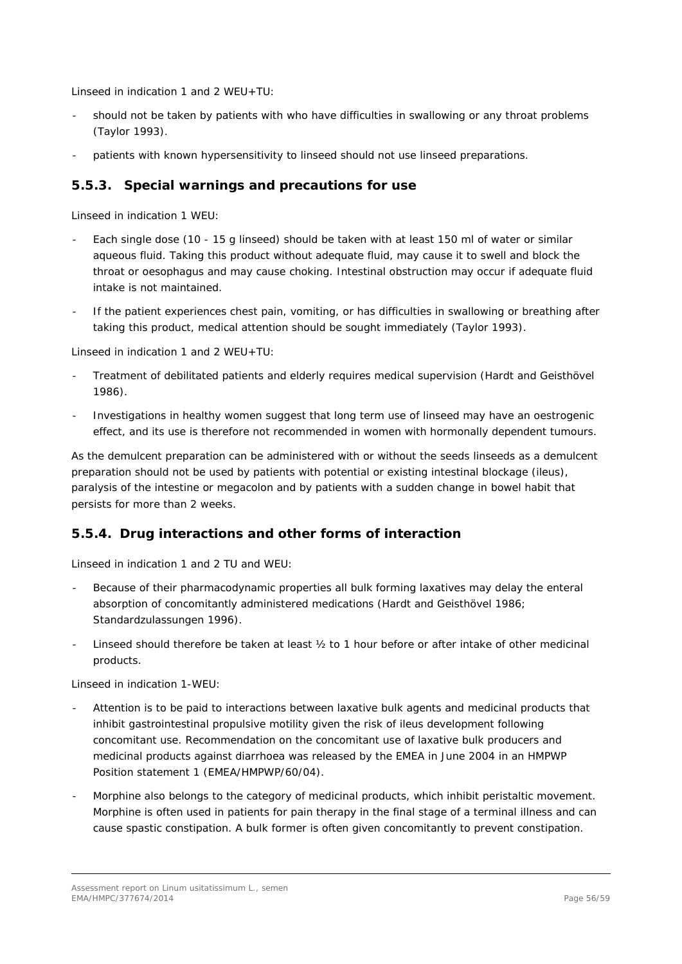Linseed in indication 1 and 2 WEU+TU:

- should not be taken by patients with who have difficulties in swallowing or any throat problems (Taylor 1993).
- patients with known hypersensitivity to linseed should not use linseed preparations.

## <span id="page-55-0"></span>**5.5.3. Special warnings and precautions for use**

Linseed in indication 1 WEU:

- Each single dose (10 15 g linseed) should be taken with at least 150 ml of water or similar aqueous fluid. Taking this product without adequate fluid, may cause it to swell and block the throat or oesophagus and may cause choking. Intestinal obstruction may occur if adequate fluid intake is not maintained.
- If the patient experiences chest pain, vomiting, or has difficulties in swallowing or breathing after taking this product, medical attention should be sought immediately (Taylor 1993).

Linseed in indication 1 and 2 WEU+TU:

- Treatment of debilitated patients and elderly requires medical supervision (Hardt and Geisthövel 1986).
- Investigations in healthy women suggest that long term use of linseed may have an oestrogenic effect, and its use is therefore not recommended in women with hormonally dependent tumours.

As the demulcent preparation can be administered with or without the seeds linseeds as a demulcent preparation should not be used by patients with potential or existing intestinal blockage (ileus), paralysis of the intestine or megacolon and by patients with a sudden change in bowel habit that persists for more than 2 weeks.

## <span id="page-55-1"></span>**5.5.4. Drug interactions and other forms of interaction**

Linseed in indication 1 and 2 TU and WEU:

- Because of their pharmacodynamic properties all bulk forming laxatives may delay the enteral absorption of concomitantly administered medications (Hardt and Geisthövel 1986; Standardzulassungen 1996).
- Linseed should therefore be taken at least  $\frac{1}{2}$  to 1 hour before or after intake of other medicinal products.

Linseed in indication 1-WEU:

- Attention is to be paid to interactions between laxative bulk agents and medicinal products that inhibit gastrointestinal propulsive motility given the risk of ileus development following concomitant use. Recommendation on the concomitant use of laxative bulk producers and medicinal products against diarrhoea was released by the EMEA in June 2004 in an HMPWP Position statement 1 (EMEA/HMPWP/60/04).
- Morphine also belongs to the category of medicinal products, which inhibit peristaltic movement. Morphine is often used in patients for pain therapy in the final stage of a terminal illness and can cause spastic constipation. A bulk former is often given concomitantly to prevent constipation.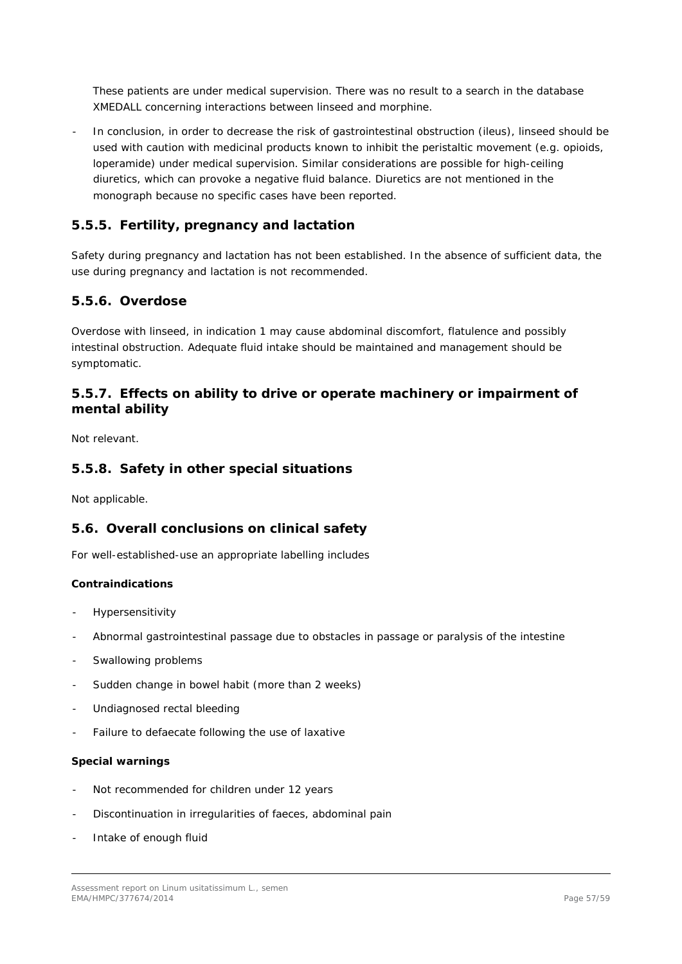These patients are under medical supervision. There was no result to a search in the database XMEDALL concerning interactions between linseed and morphine.

In conclusion, in order to decrease the risk of gastrointestinal obstruction (ileus), linseed should be used with caution with medicinal products known to inhibit the peristaltic movement (e.g. opioids, loperamide) under medical supervision. Similar considerations are possible for high-ceiling diuretics, which can provoke a negative fluid balance. Diuretics are not mentioned in the monograph because no specific cases have been reported.

## <span id="page-56-0"></span>**5.5.5. Fertility, pregnancy and lactation**

Safety during pregnancy and lactation has not been established. In the absence of sufficient data, the use during pregnancy and lactation is not recommended.

## <span id="page-56-1"></span>**5.5.6. Overdose**

Overdose with linseed, in indication 1 may cause abdominal discomfort, flatulence and possibly intestinal obstruction. Adequate fluid intake should be maintained and management should be symptomatic.

## <span id="page-56-2"></span>**5.5.7. Effects on ability to drive or operate machinery or impairment of mental ability**

Not relevant.

## <span id="page-56-3"></span>**5.5.8. Safety in other special situations**

Not applicable.

## <span id="page-56-4"></span>*5.6. Overall conclusions on clinical safety*

For well-established-use an appropriate labelling includes

#### **Contraindications**

- **Hypersensitivity**
- Abnormal gastrointestinal passage due to obstacles in passage or paralysis of the intestine
- Swallowing problems
- Sudden change in bowel habit (more than 2 weeks)
- Undiagnosed rectal bleeding
- Failure to defaecate following the use of laxative

#### **Special warnings**

- Not recommended for children under 12 years
- Discontinuation in irregularities of faeces, abdominal pain
- Intake of enough fluid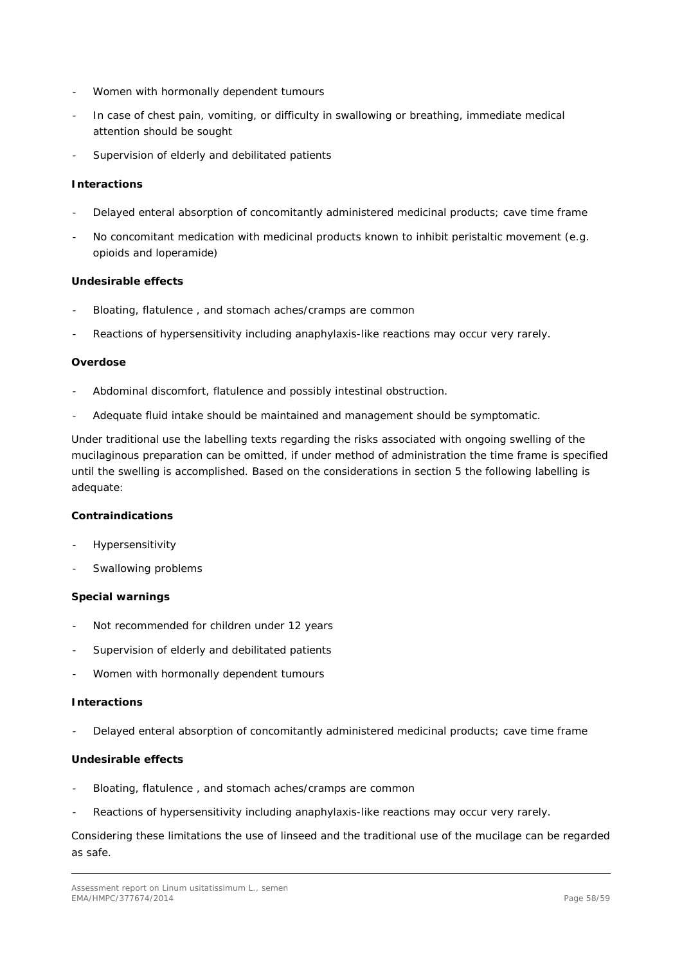- Women with hormonally dependent tumours
- In case of chest pain, vomiting, or difficulty in swallowing or breathing, immediate medical attention should be sought
- Supervision of elderly and debilitated patients

## **Interactions**

- Delayed enteral absorption of concomitantly administered medicinal products; cave time frame
- No concomitant medication with medicinal products known to inhibit peristaltic movement (e.g. opioids and loperamide)

### **Undesirable effects**

- Bloating, flatulence, and stomach aches/cramps are common
- Reactions of hypersensitivity including anaphylaxis-like reactions may occur very rarely.

#### **Overdose**

- Abdominal discomfort, flatulence and possibly intestinal obstruction.
- Adequate fluid intake should be maintained and management should be symptomatic.

Under traditional use the labelling texts regarding the risks associated with ongoing swelling of the mucilaginous preparation can be omitted, if under method of administration the time frame is specified until the swelling is accomplished. Based on the considerations in section 5 the following labelling is adequate:

#### **Contraindications**

- **Hypersensitivity**
- Swallowing problems

#### **Special warnings**

- Not recommended for children under 12 years
- Supervision of elderly and debilitated patients
- Women with hormonally dependent tumours

#### **Interactions**

Delayed enteral absorption of concomitantly administered medicinal products; cave time frame

## **Undesirable effects**

- Bloating, flatulence, and stomach aches/cramps are common
- Reactions of hypersensitivity including anaphylaxis-like reactions may occur very rarely.

Considering these limitations the use of linseed and the traditional use of the mucilage can be regarded as safe.